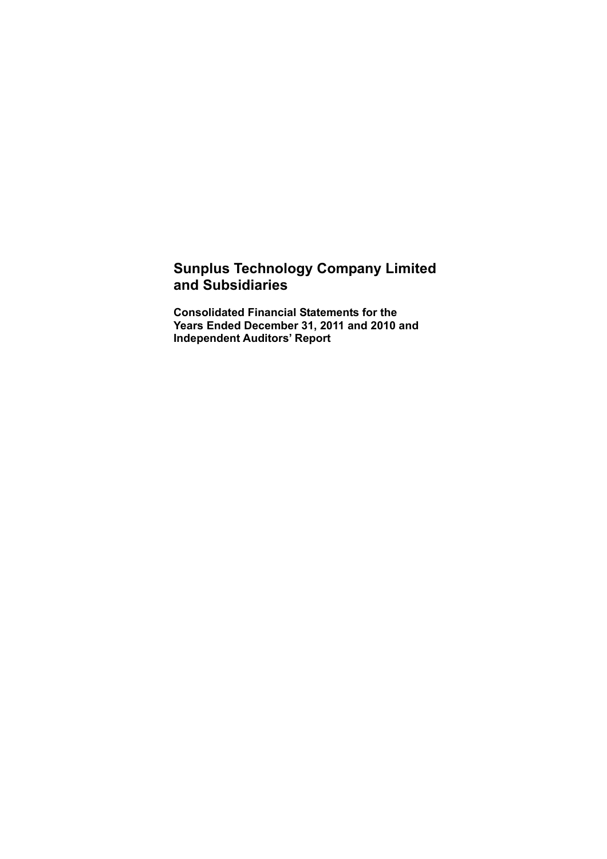# **Sunplus Technology Company Limited and Subsidiaries**

**Consolidated Financial Statements for the Years Ended December 31, 2011 and 2010 and Independent Auditors' Report**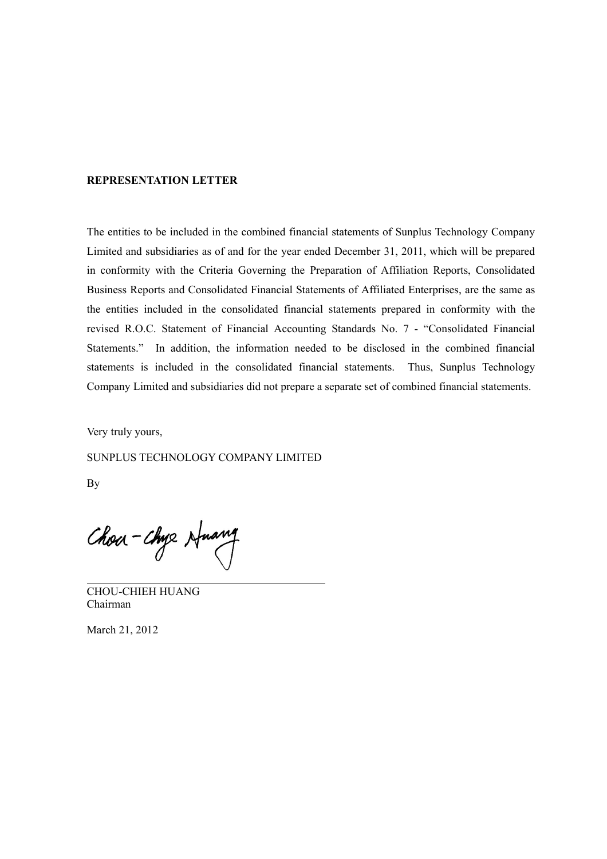#### **REPRESENTATION LETTER**

The entities to be included in the combined financial statements of Sunplus Technology Company Limited and subsidiaries as of and for the year ended December 31, 2011, which will be prepared in conformity with the Criteria Governing the Preparation of Affiliation Reports, Consolidated Business Reports and Consolidated Financial Statements of Affiliated Enterprises, are the same as the entities included in the consolidated financial statements prepared in conformity with the revised R.O.C. Statement of Financial Accounting Standards No. 7 - "Consolidated Financial Statements." In addition, the information needed to be disclosed in the combined financial statements is included in the consolidated financial statements. Thus, Sunplus Technology Company Limited and subsidiaries did not prepare a separate set of combined financial statements.

Very truly yours,

SUNPLUS TECHNOLOGY COMPANY LIMITED

By

Chou - Chye Huang

CHOU-CHIEH HUANG Chairman

March 21, 2012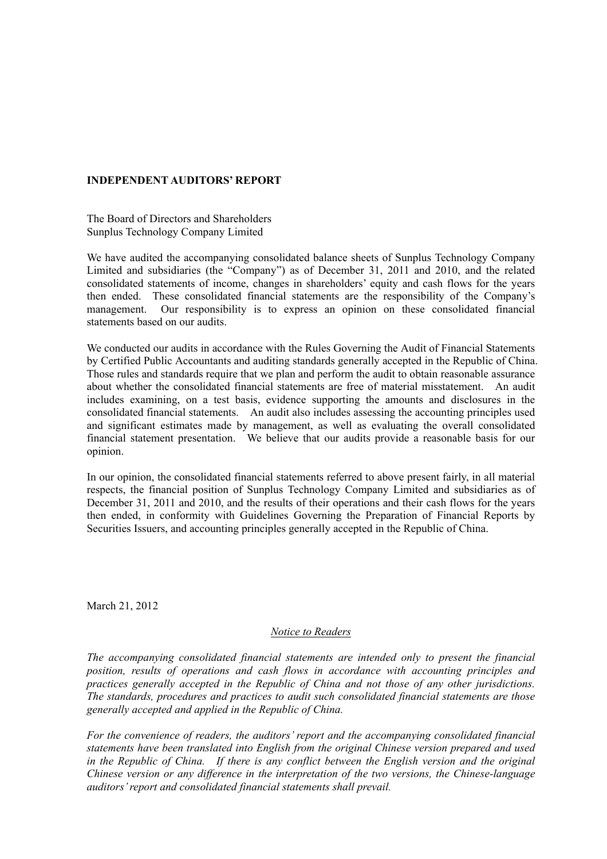#### **INDEPENDENT AUDITORS' REPORT**

The Board of Directors and Shareholders Sunplus Technology Company Limited

We have audited the accompanying consolidated balance sheets of Sunplus Technology Company Limited and subsidiaries (the "Company") as of December 31, 2011 and 2010, and the related consolidated statements of income, changes in shareholders' equity and cash flows for the years then ended. These consolidated financial statements are the responsibility of the Company's management. Our responsibility is to express an opinion on these consolidated financial statements based on our audits.

We conducted our audits in accordance with the Rules Governing the Audit of Financial Statements by Certified Public Accountants and auditing standards generally accepted in the Republic of China. Those rules and standards require that we plan and perform the audit to obtain reasonable assurance about whether the consolidated financial statements are free of material misstatement. An audit includes examining, on a test basis, evidence supporting the amounts and disclosures in the consolidated financial statements. An audit also includes assessing the accounting principles used and significant estimates made by management, as well as evaluating the overall consolidated financial statement presentation. We believe that our audits provide a reasonable basis for our opinion.

In our opinion, the consolidated financial statements referred to above present fairly, in all material respects, the financial position of Sunplus Technology Company Limited and subsidiaries as of December 31, 2011 and 2010, and the results of their operations and their cash flows for the years then ended, in conformity with Guidelines Governing the Preparation of Financial Reports by Securities Issuers, and accounting principles generally accepted in the Republic of China.

March 21, 2012

#### *Notice to Readers*

*The accompanying consolidated financial statements are intended only to present the financial position, results of operations and cash flows in accordance with accounting principles and practices generally accepted in the Republic of China and not those of any other jurisdictions. The standards, procedures and practices to audit such consolidated financial statements are those generally accepted and applied in the Republic of China.* 

*For the convenience of readers, the auditors' report and the accompanying consolidated financial statements have been translated into English from the original Chinese version prepared and used*  in the Republic of China. If there is any conflict between the English version and the original *Chinese version or any difference in the interpretation of the two versions, the Chinese-language auditors' report and consolidated financial statements shall prevail.*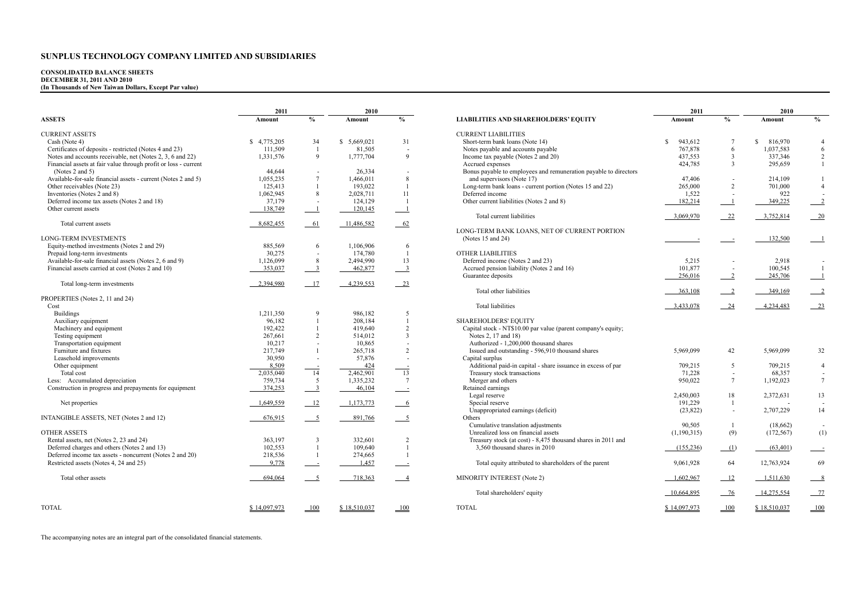# **CONSOLIDATED BALANCE SHEETS DECEMBER 31, 2011 AND 2010 (In Thousands of New Taiwan Dollars, Except Par value)**

|                                                                 | 2010<br>2011 |                           |              |                          | 2011                                                             | 2010          |                          |               |                          |
|-----------------------------------------------------------------|--------------|---------------------------|--------------|--------------------------|------------------------------------------------------------------|---------------|--------------------------|---------------|--------------------------|
| <b>ASSETS</b>                                                   | Amount       | $\frac{0}{0}$             | Amount       | $\frac{0}{0}$            | <b>LIABILITIES AND SHAREHOLDERS' EQUITY</b>                      | Amount        | $\frac{0}{0}$            | Amount        | $\frac{0}{0}$            |
| <b>CURRENT ASSETS</b>                                           |              |                           |              |                          | <b>CURRENT LIABILITIES</b>                                       |               |                          |               |                          |
| Cash (Note 4)                                                   | \$4,775,205  | 34                        | \$5,669,021  | 31                       | Short-term bank loans (Note 14)                                  | 943,612<br>-S |                          | 816,970<br>S. | $\overline{4}$           |
| Certificates of deposits - restricted (Notes 4 and 23)          | 111,509      | $\overline{1}$            | 81,505       | $\overline{\phantom{a}}$ | Notes payable and accounts payable                               | 767,878       | 6                        | 1,037,583     | 6                        |
| Notes and accounts receivable, net (Notes 2, 3, 6 and 22)       | 1,331,576    | 9                         | 1,777,704    | 9                        | Income tax payable (Notes 2 and 20)                              | 437,553       | 3                        | 337,346       | $\overline{c}$           |
| Financial assets at fair value through profit or loss - current |              |                           |              |                          | Accrued expenses                                                 | 424.785       | $\mathbf{3}$             | 295,659       | $\mathbf{1}$             |
| (Notes 2 and 5)                                                 | 44,644       |                           | 26,334       |                          | Bonus payable to employees and remuneration payable to directors |               |                          |               |                          |
| Available-for-sale financial assets - current (Notes 2 and 5)   | 1,055,235    | $7\phantom{.0}$           | 1,466,011    | 8                        | and supervisors (Note 17)                                        | 47,406        | $\sim$                   | 214,109       | $\mathbf{1}$             |
| Other receivables (Note 23)                                     | 125,413      |                           | 193,022      | $\mathbf{1}$             | Long-term bank loans - current portion (Notes 15 and 22)         | 265,000       | 2                        | 701,000       | $\overline{4}$           |
| Inventories (Notes 2 and 8)                                     | 1,062,945    | 8                         | 2,028,711    | 11                       | Deferred income                                                  | 1,522         |                          | 922           |                          |
| Deferred income tax assets (Notes 2 and 18)                     | 37,179       | ÷                         | 124,129      |                          | Other current liabilities (Notes 2 and 8)                        | 182,214       | $\overline{\phantom{0}}$ | 349,225       |                          |
| Other current assets                                            | 138,749      | $\overline{\phantom{0}}$  | 120,145      | $\overline{\phantom{0}}$ |                                                                  |               |                          |               |                          |
|                                                                 |              |                           |              |                          | Total current liabilities                                        | 3,069,970     | 22                       | 3,752,814     | 20                       |
| Total current assets                                            | 8,682,455    | 61                        | 11,486,582   | 62                       |                                                                  |               |                          |               |                          |
|                                                                 |              |                           |              |                          | LONG-TERM BANK LOANS, NET OF CURRENT PORTION                     |               |                          |               |                          |
| <b>LONG-TERM INVESTMENTS</b>                                    |              |                           |              |                          | (Notes $15$ and $24$ )                                           |               |                          | 132,500       |                          |
| Equity-method investments (Notes 2 and 29)                      | 885,569      | 6                         | 1,106,906    | 6                        |                                                                  |               |                          |               |                          |
| Prepaid long-term investments                                   | 30,275       | $\blacksquare$            | 174.780      | $\mathbf{1}$             | <b>OTHER LIABILITIES</b>                                         |               |                          |               |                          |
| Available-for-sale financial assets (Notes 2, 6 and 9)          | 1,126,099    | 8                         | 2,494,990    | 13                       | Deferred income (Notes 2 and 23)                                 | 5,215         | $\overline{\phantom{a}}$ | 2,918         | $\overline{\phantom{a}}$ |
| Financial assets carried at cost (Notes 2 and 10)               | 353,037      | $^{\circ}$                | 462,877      | $\overline{\phantom{a}}$ | Accrued pension liability (Notes 2 and 16)                       | 101,877       | $\overline{\phantom{a}}$ | 100,545       | $\mathbf{1}$             |
|                                                                 |              |                           |              |                          | Guarantee deposits                                               | 256,016       | $\overline{\phantom{0}}$ | 245,706       |                          |
| Total long-term investments                                     | 2,394,980    | 17                        | 4,239,553    | 23                       |                                                                  |               |                          |               |                          |
|                                                                 |              |                           |              |                          | Total other liabilities                                          | 363,108       |                          | 349,169       |                          |
| PROPERTIES (Notes 2, 11 and 24)                                 |              |                           |              |                          |                                                                  |               |                          |               |                          |
| Cost                                                            |              |                           |              |                          | <b>Total liabilities</b>                                         | 3,433,078     | $-24$                    | 4,234,483     | $-23$                    |
| <b>Buildings</b>                                                | 1,211,350    | $\mathbf{Q}$              | 986,182      | 5                        |                                                                  |               |                          |               |                          |
| Auxiliary equipment                                             | 96,182       | $\mathbf{1}$              | 208,184      | $\mathbf{1}$             | <b>SHAREHOLDERS' EQUITY</b>                                      |               |                          |               |                          |
| Machinery and equipment                                         | 192,422      | 1                         | 419.640      | $\overline{2}$           | Capital stock - NT\$10.00 par value (parent company's equity;    |               |                          |               |                          |
| Testing equipment                                               | 267,661      | 2                         | 514,012      | $\overline{3}$           | Notes 2, 17 and 18)                                              |               |                          |               |                          |
| Transportation equipment                                        | 10,217       |                           | 10.865       |                          | Authorized - 1,200,000 thousand shares                           |               |                          |               |                          |
| Furniture and fixtures                                          | 217,749      |                           | 265,718      | $\overline{2}$           | Issued and outstanding - 596,910 thousand shares                 | 5,969,099     | 42                       | 5,969,099     | 32                       |
| Leasehold improvements                                          | 30,950       | $\overline{\phantom{a}}$  | 57,876       | $\overline{\phantom{a}}$ | Capital surplus                                                  |               |                          |               |                          |
| Other equipment                                                 | 8,509        |                           | 424          |                          | Additional paid-in capital - share issuance in excess of par     | 709,215       | 5                        | 709,215       | $\overline{4}$           |
| Total cost                                                      | 2,035,040    | 14                        | 2,462,901    | $\overline{13}$          | Treasury stock transactions                                      | 71,228        | $\overline{\phantom{a}}$ | 68.357        | $\overline{\phantom{a}}$ |
| Less: Accumulated depreciation                                  | 759,734      | 5                         | 1,335,232    | $7\phantom{.0}$          | Merger and others                                                | 950,022       | $7\overline{ }$          | 1,192,023     | $\overline{7}$           |
| Construction in progress and prepayments for equipment          | 374,253      | $\overline{\phantom{a}3}$ | 46,104       | $\sim$                   | Retained earnings                                                |               |                          |               |                          |
|                                                                 |              |                           |              |                          | Legal reserve                                                    | 2,450,003     | 18                       | 2,372,631     | 13                       |
| Net properties                                                  | 1.649.559    | $-12$                     | 1,173,773    | $6\overline{6}$          | Special reserve                                                  | 191,229       | 1                        |               |                          |
|                                                                 |              |                           |              |                          | Unappropriated earnings (deficit)                                | (23, 822)     | $\sim$                   | 2,707,229     | 14                       |
| INTANGIBLE ASSETS, NET (Notes 2 and 12)                         | 676,915      | $\overline{\phantom{0}}$  | 891,766      | $-5$                     | Others                                                           |               |                          |               |                          |
|                                                                 |              |                           |              |                          | Cumulative translation adjustments                               | 90,505        | $\overline{1}$           | (18,662)      |                          |
| <b>OTHER ASSETS</b>                                             |              |                           |              |                          | Unrealized loss on financial assets                              | (1,190,315)   | (9)                      |               | (1)                      |
| Rental assets, net (Notes 2, 23 and 24)                         |              | 3                         | 332,601      | 2                        | Treasury stock (at cost) - 8,475 thousand shares in 2011 and     |               |                          | (172, 567)    |                          |
|                                                                 | 363,197      | $\mathbf{1}$              |              | $\mathbf{1}$             |                                                                  |               |                          |               |                          |
| Deferred charges and others (Notes 2 and 13)                    | 102,553      |                           | 109,640      |                          | 3,560 thousand shares in 2010                                    | (155, 236)    | (1)                      | (63, 401)     |                          |
| Deferred income tax assets - noncurrent (Notes 2 and 20)        | 218,536      | $\overline{1}$            | 274,665      |                          |                                                                  |               |                          |               |                          |
| Restricted assets (Notes 4, 24 and 25)                          | 9,778        |                           | 1,457        | $\sim$ 100 $\pm$         | Total equity attributed to shareholders of the parent            | 9,061,928     | 64                       | 12,763,924    | 69                       |
| Total other assets                                              | 694,064      | $\frac{5}{2}$             | 718,363      | $\overline{\phantom{0}}$ | MINORITY INTEREST (Note 2)                                       | 1,602,967     | 12                       | 1,511,630     | $^{\circ}$               |
|                                                                 |              |                           |              |                          | Total shareholders' equity                                       | 10,664,895    | 76                       | 14,275,554    | $-77$                    |
| <b>TOTAL</b>                                                    | \$14,097,973 | 100                       | \$18,510,037 | 100                      | <b>TOTAL</b>                                                     | \$14,097,973  | 100                      | \$18,510,037  | 100                      |

|                                                                 | 2011         |                           | 2010         |                            |                                                                  | 2011                |                 | 2010         |                            |
|-----------------------------------------------------------------|--------------|---------------------------|--------------|----------------------------|------------------------------------------------------------------|---------------------|-----------------|--------------|----------------------------|
| <b>ASSETS</b>                                                   | Amount       | $\frac{0}{0}$             | Amount       | $\%$                       | <b>LIABILITIES AND SHAREHOLDERS' EQUITY</b>                      | Amount              | $\frac{0}{0}$   | Amount       | $\frac{0}{0}$              |
| <b>CURRENT ASSETS</b>                                           |              |                           |              |                            | <b>CURRENT LIABILITIES</b>                                       |                     |                 |              |                            |
| Cash (Note 4)                                                   | \$4,775,205  | 34                        | \$ 5,669,021 | 31                         | Short-term bank loans (Note 14)                                  | 943,612<br><b>S</b> | 7               | 816,970<br>S | $\overline{4}$             |
| Certificates of deposits - restricted (Notes 4 and 23)          | 111,509      | -1                        | 81,505       | $\overline{\phantom{a}}$   | Notes payable and accounts payable                               | 767,878             | 6               | 1,037,583    | 6                          |
| Notes and accounts receivable, net (Notes 2, 3, 6 and 22)       | 1,331,576    | $\overline{Q}$            | 1,777,704    | $\mathbf{Q}$               | Income tax payable (Notes 2 and 20)                              | 437,553             | 3               | 337,346      | $\overline{2}$             |
| Financial assets at fair value through profit or loss - current |              |                           |              |                            | Accrued expenses                                                 | 424,785             | $\overline{3}$  | 295,659      | $\mathbf{1}$               |
| (Notes 2 and 5)                                                 | 44,644       |                           | 26,334       |                            | Bonus payable to employees and remuneration payable to directors |                     |                 |              |                            |
| Available-for-sale financial assets - current (Notes 2 and 5)   | 1,055,235    | $7\phantom{.0}$           | 1,466,011    | $\,$ 8 $\,$                | and supervisors (Note 17)                                        | 47,406              |                 | 214,109      | -1                         |
| Other receivables (Note 23)                                     | 125,413      |                           | 193,022      |                            | Long-term bank loans - current portion (Notes 15 and 22)         | 265,000             | 2               | 701,000      | $\overline{4}$             |
| Inventories (Notes 2 and 8)                                     | 1,062,945    | 8                         | 2,028,711    | 11                         | Deferred income                                                  | 1,522               |                 | 922          |                            |
| Deferred income tax assets (Notes 2 and 18)                     | 37,179       | $\overline{\phantom{a}}$  | 124,129      | $\overline{1}$             | Other current liabilities (Notes 2 and 8)                        | 182,214             |                 | 349,225      | $\overline{\phantom{0}2}$  |
| Other current assets                                            | 138,749      | $\overline{1}$            | 120,145      |                            |                                                                  |                     |                 |              |                            |
|                                                                 |              |                           |              |                            | Total current liabilities                                        | 3,069,970           | 22              | 3,752,814    | $-20$                      |
| Total current assets                                            | 8,682,455    | 61                        | 11,486,582   | $-62$                      | LONG-TERM BANK LOANS, NET OF CURRENT PORTION                     |                     |                 |              |                            |
| <b>LONG-TERM INVESTMENTS</b>                                    |              |                           |              |                            |                                                                  |                     |                 | 132,500      |                            |
| Equity-method investments (Notes 2 and 29)                      | 885,569      | 6                         | 1,106,906    | 6                          | (Notes $15$ and $24$ )                                           |                     |                 |              | $\overline{\phantom{0}}$   |
| Prepaid long-term investments                                   | 30,275       |                           | 174,780      |                            | OTHER LIABILITIES                                                |                     |                 |              |                            |
| Available-for-sale financial assets (Notes 2, 6 and 9)          | 1,126,099    | 8                         | 2,494,990    | 13                         | Deferred income (Notes 2 and 23)                                 | 5.215               |                 | 2,918        |                            |
| Financial assets carried at cost (Notes 2 and 10)               | 353,037      | $\frac{3}{2}$             | 462,877      | $\overline{\phantom{0}3}$  | Accrued pension liability (Notes 2 and 16)                       | 101,877             |                 | 100,545      | $\overline{1}$             |
|                                                                 |              |                           |              |                            | Guarantee deposits                                               | 256,016             | $\overline{2}$  | 245,706      | $-1$                       |
| Total long-term investments                                     | 2,394,980    | 17                        | 4,239,553    | $-23$                      |                                                                  |                     |                 |              |                            |
|                                                                 |              |                           |              |                            | Total other liabilities                                          | 363,108             |                 | 349,169      | $\overline{\phantom{0}}^2$ |
| PROPERTIES (Notes 2, 11 and 24)                                 |              |                           |              |                            |                                                                  |                     |                 |              |                            |
| Cost                                                            |              |                           |              |                            | <b>Total liabilities</b>                                         | 3,433,078           | 24              | 4,234,483    | $-23$                      |
| <b>Buildings</b>                                                | 1,211,350    | $\mathbf Q$               | 986.182      | 5                          |                                                                  |                     |                 |              |                            |
| Auxiliary equipment                                             | 96,182       | $\mathbf{1}$              | 208,184      |                            | <b>SHAREHOLDERS' EQUITY</b>                                      |                     |                 |              |                            |
| Machinery and equipment                                         | 192,422      |                           | 419,640      | 2                          | Capital stock - NT\$10.00 par value (parent company's equity;    |                     |                 |              |                            |
| Testing equipment                                               | 267.661      | $\overline{2}$            | 514,012      | $\overline{\mathbf{3}}$    | Notes 2, 17 and 18)                                              |                     |                 |              |                            |
| Transportation equipment                                        | 10,217       |                           | 10,865       | $\overline{\phantom{a}}$   | Authorized - 1,200,000 thousand shares                           |                     |                 |              |                            |
| Furniture and fixtures                                          | 217,749      |                           | 265,718      | $\overline{2}$             | Issued and outstanding - 596,910 thousand shares                 | 5,969,099           | 42              | 5,969,099    | 32                         |
| Leasehold improvements                                          | 30,950       |                           | 57,876       | $\overline{\phantom{a}}$   | Capital surplus                                                  |                     |                 |              |                            |
| Other equipment                                                 | 8,509        | $\frac{1}{14}$            | 424          |                            | Additional paid-in capital - share issuance in excess of par     | 709,215             | 5               | 709,215      | $\overline{4}$             |
| Total cost                                                      | 2,035,040    |                           | 2,462,901    | 13                         | Treasury stock transactions                                      | 71,228              | $\sim$          | 68,357       | $\sim$                     |
| Less: Accumulated depreciation                                  | 759,734      | 5                         | 1,335,232    | $7\phantom{.0}$            | Merger and others                                                | 950,022             | $7\overline{ }$ | 1,192,023    | $7\overline{ }$            |
| Construction in progress and prepayments for equipment          | 374,253      | $\overline{\phantom{a}3}$ | 46,104       | $\sim$ $\sim$              | Retained earnings                                                |                     |                 |              |                            |
|                                                                 |              |                           |              |                            | Legal reserve                                                    | 2,450,003           | 18              | 2,372,631    | 13                         |
| Net properties                                                  | 1,649,559    | $-12$                     | 1,173,773    | $-6$                       | Special reserve                                                  | 191,229             |                 |              |                            |
|                                                                 |              |                           |              |                            | Unappropriated earnings (deficit)                                | (23, 822)           | $\sim$          | 2,707,229    | 14                         |
| INTANGIBLE ASSETS, NET (Notes 2 and 12)                         | 676,915      | $-5$                      | 891,766      | $-5$                       | Others                                                           |                     |                 |              |                            |
|                                                                 |              |                           |              |                            | Cumulative translation adjustments                               | 90,505              | -1              | (18,662)     | $\sim$                     |
| OTHER ASSETS                                                    |              |                           |              |                            | Unrealized loss on financial assets                              | (1,190,315)         | (9)             | (172, 567)   | (1)                        |
| Rental assets, net (Notes 2, 23 and 24)                         | 363,197      | 3                         | 332,601      | $\overline{2}$             | Treasury stock (at cost) - 8,475 thousand shares in 2011 and     |                     |                 |              |                            |
| Deferred charges and others (Notes 2 and 13)                    | 102,553      | $\mathbf{1}$              | 109.640      |                            | 3,560 thousand shares in 2010                                    | (155, 236)          | (1)             | (63, 401)    |                            |
| Deferred income tax assets - noncurrent (Notes 2 and 20)        | 218,536      | -1                        | 274,665      |                            |                                                                  |                     |                 |              |                            |
| Restricted assets (Notes 4, 24 and 25)                          | 9,778        | $\sim$ 10 $\pm$           | 1,457        | $\overline{\phantom{0}}$   | Total equity attributed to shareholders of the parent            | 9,061,928           | 64              | 12,763,924   | 69                         |
| Total other assets                                              | 694,064      | $\overline{5}$            | 718,363      | $\overline{\phantom{0}}$ 4 | MINORITY INTEREST (Note 2)                                       | 1,602,967           | 12              | 1,511,630    | $^{\circ}$                 |
|                                                                 |              |                           |              |                            | Total shareholders' equity                                       | 10,664,895          | $-76$           | 14,275,554   | 77                         |
| <b>TOTAL</b>                                                    | \$14,097,973 | 100                       | \$18,510,037 | 100                        | <b>TOTAL</b>                                                     | \$14,097,973        | 100             | \$18510037   | 100                        |

The accompanying notes are an integral part of the consolidated financial statements.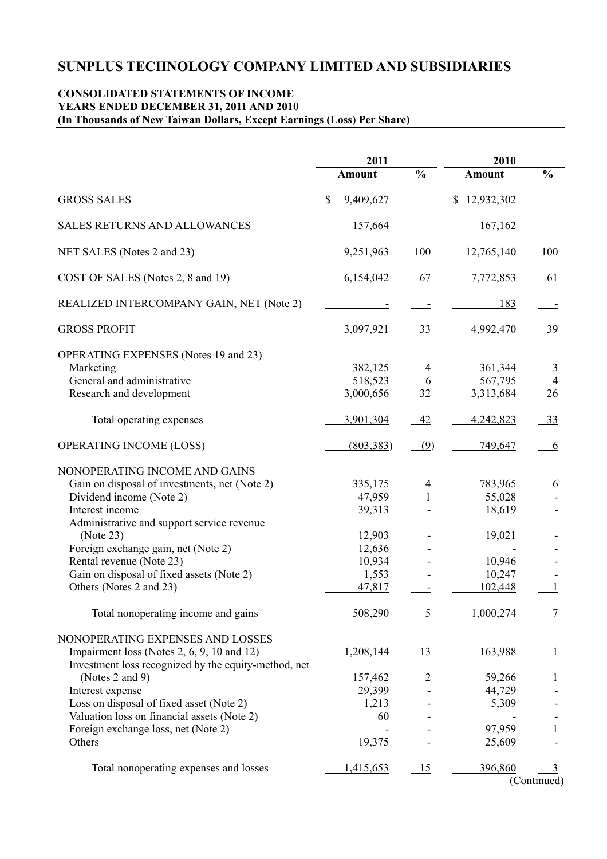## **CONSOLIDATED STATEMENTS OF INCOME YEARS ENDED DECEMBER 31, 2011 AND 2010 (In Thousands of New Taiwan Dollars, Except Earnings (Loss) Per Share)**

|                                                      | 2011                      |                 | 2010                       |                |
|------------------------------------------------------|---------------------------|-----------------|----------------------------|----------------|
|                                                      | <b>Amount</b>             | $\frac{0}{0}$   | <b>Amount</b>              | $\frac{0}{0}$  |
| <b>GROSS SALES</b>                                   | $\mathbb{S}$<br>9,409,627 |                 | 12,932,302<br>$\mathbb{S}$ |                |
| <b>SALES RETURNS AND ALLOWANCES</b>                  | 157,664                   |                 | 167,162                    |                |
| NET SALES (Notes 2 and 23)                           | 9,251,963                 | 100             | 12,765,140                 | 100            |
| COST OF SALES (Notes 2, 8 and 19)                    | 6,154,042                 | 67              | 7,772,853                  | 61             |
| REALIZED INTERCOMPANY GAIN, NET (Note 2)             |                           |                 | 183                        |                |
| <b>GROSS PROFIT</b>                                  | 3,097,921                 | <u>33</u>       | 4,992,470                  | 39             |
| <b>OPERATING EXPENSES</b> (Notes 19 and 23)          |                           |                 |                            |                |
| Marketing                                            | 382,125                   | 4               | 361,344                    | 3              |
| General and administrative                           | 518,523                   | 6               | 567,795                    | $\overline{4}$ |
| Research and development                             | 3,000,656                 | $\frac{32}{2}$  | 3,313,684                  | 26             |
| Total operating expenses                             | 3,901,304                 | 42              | 4,242,823                  | 33             |
| OPERATING INCOME (LOSS)                              | (803, 383)                | (9)             | 749,647                    | 6              |
| NONOPERATING INCOME AND GAINS                        |                           |                 |                            |                |
| Gain on disposal of investments, net (Note 2)        | 335,175                   | $\overline{4}$  | 783,965                    | 6              |
| Dividend income (Note 2)                             | 47,959                    | $\mathbf{1}$    | 55,028                     |                |
| Interest income                                      | 39,313                    |                 | 18,619                     |                |
| Administrative and support service revenue           |                           |                 |                            |                |
| (Note 23)                                            | 12,903                    |                 | 19,021                     |                |
| Foreign exchange gain, net (Note 2)                  | 12,636                    |                 |                            |                |
| Rental revenue (Note 23)                             | 10,934                    |                 | 10,946                     |                |
| Gain on disposal of fixed assets (Note 2)            | 1,553                     |                 | 10,247                     |                |
| Others (Notes 2 and 23)                              | 47,817                    |                 | 102,448                    |                |
|                                                      |                           |                 |                            |                |
| Total nonoperating income and gains                  | 508,290                   | 5               | 1,000,274                  | 7              |
| NONOPERATING EXPENSES AND LOSSES                     |                           |                 |                            |                |
| Impairment loss (Notes 2, 6, 9, 10 and 12)           | 1,208,144                 | 13              | 163,988                    | $\mathbf{1}$   |
| Investment loss recognized by the equity-method, net |                           |                 |                            |                |
| (Notes 2 and 9)                                      | 157,462                   | $\overline{2}$  | 59,266                     | 1              |
| Interest expense                                     | 29,399                    |                 | 44,729                     |                |
| Loss on disposal of fixed asset (Note 2)             | 1,213                     |                 | 5,309                      |                |
| Valuation loss on financial assets (Note 2)          | 60                        |                 |                            |                |
| Foreign exchange loss, net (Note 2)                  |                           |                 | 97,959                     | 1              |
| Others                                               | 19,375                    |                 | 25,609                     |                |
|                                                      |                           |                 |                            |                |
| Total nonoperating expenses and losses               | 1,415,653                 | $\overline{15}$ | 396,860                    | <u>3</u>       |
|                                                      |                           |                 |                            | (Continued)    |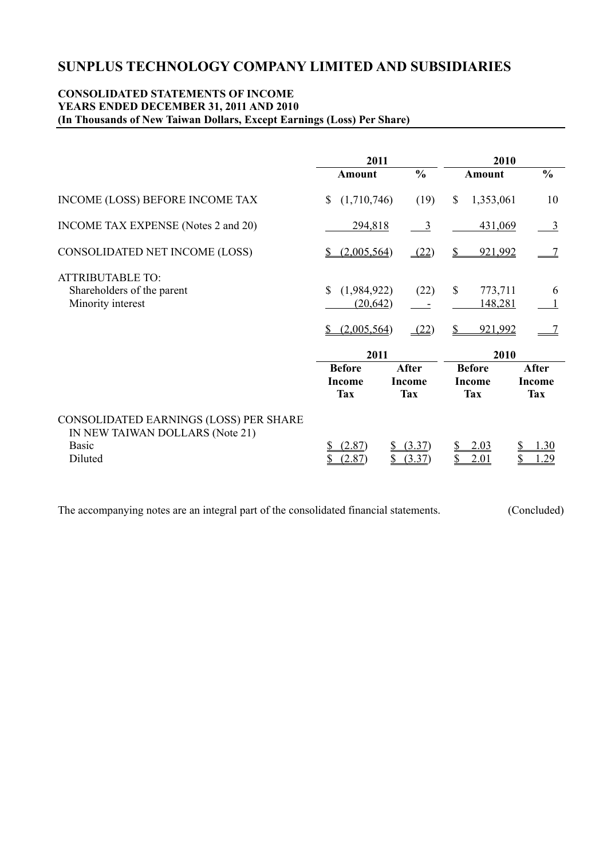### **CONSOLIDATED STATEMENTS OF INCOME YEARS ENDED DECEMBER 31, 2011 AND 2010 (In Thousands of New Taiwan Dollars, Except Earnings (Loss) Per Share)**

|                                                                                                      | 2011                                          |                                             |                                              | 2010                                 |
|------------------------------------------------------------------------------------------------------|-----------------------------------------------|---------------------------------------------|----------------------------------------------|--------------------------------------|
|                                                                                                      | <b>Amount</b>                                 | $\frac{0}{0}$                               | <b>Amount</b>                                | $\frac{0}{0}$                        |
| INCOME (LOSS) BEFORE INCOME TAX                                                                      | (1,710,746)<br>S.                             | (19)                                        | $\mathbb{S}$                                 | 1,353,061<br>10                      |
| <b>INCOME TAX EXPENSE</b> (Notes 2 and 20)                                                           | 294,818                                       | $\frac{3}{2}$                               |                                              | 431,069<br>$\overline{3}$            |
| CONSOLIDATED NET INCOME (LOSS)                                                                       | (2,005,564)                                   | (22)                                        | S                                            | 921,992                              |
| <b>ATTRIBUTABLE TO:</b><br>Shareholders of the parent<br>Minority interest                           | \$<br>(1,984,922)<br>(20, 642)<br>(2,005,564) | (22)<br>(22)                                | $\mathcal{S}$<br>\$                          | 773,711<br>6<br>148,281<br>921,992   |
|                                                                                                      | 2011                                          |                                             |                                              | 2010                                 |
|                                                                                                      | <b>Before</b><br><b>Income</b><br><b>Tax</b>  | <b>After</b><br><b>Income</b><br><b>Tax</b> | <b>Before</b><br><b>Income</b><br><b>Tax</b> | After<br><b>Income</b><br><b>Tax</b> |
| CONSOLIDATED EARNINGS (LOSS) PER SHARE<br>IN NEW TAIWAN DOLLARS (Note 21)<br><b>Basic</b><br>Diluted | (2.87)<br>2.87                                | (3.37)<br>(3.37)                            | 2.03<br><u>2.01</u>                          | 30<br>29                             |

The accompanying notes are an integral part of the consolidated financial statements. (Concluded)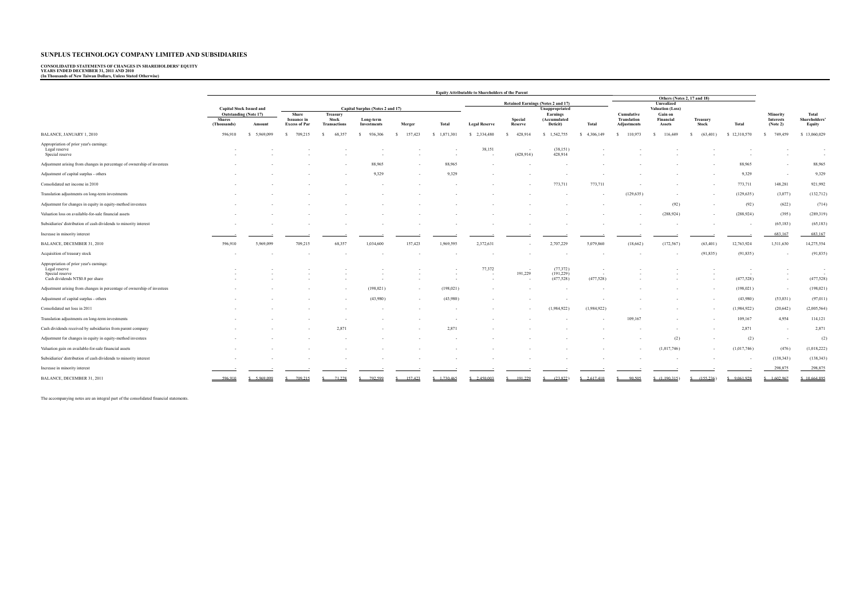# **CONSOLIDATED STATEMENTS OF CHANGES IN SHAREHOLDERS' EQUITY YEARS ENDED DECEMBER 31, 2011 AND 2010 (In Thousands of New Taiwan Dollars, Unless Stated Otherwise)**

|                                                                                                                 | <b>Equity Attributable to Shareholders of the Parent</b> |                                 |                                                     |                                                 |                          |                                    |                 |                      |                                           |                                      |                         |                                                 |                                |                   |                      |                                          |                                        |
|-----------------------------------------------------------------------------------------------------------------|----------------------------------------------------------|---------------------------------|-----------------------------------------------------|-------------------------------------------------|--------------------------|------------------------------------|-----------------|----------------------|-------------------------------------------|--------------------------------------|-------------------------|-------------------------------------------------|--------------------------------|-------------------|----------------------|------------------------------------------|----------------------------------------|
|                                                                                                                 |                                                          |                                 |                                                     |                                                 |                          | Retained Earnings (Notes 2 and 17) |                 |                      | Others (Notes 2, 17 and 18)<br>Unrealized |                                      |                         |                                                 |                                |                   |                      |                                          |                                        |
|                                                                                                                 |                                                          | <b>Capital Stock Issued and</b> |                                                     |                                                 |                          | Capital Surplus (Notes 2 and 17)   |                 | Unappropriated       |                                           |                                      | <b>Valuation (Loss)</b> |                                                 |                                |                   |                      |                                          |                                        |
|                                                                                                                 | <b>Shares</b><br>(Thousands)                             | Outstanding (Note 17)<br>Amount | Share<br><b>Issuance</b> in<br><b>Excess of Par</b> | Treasury<br><b>Stock</b><br><b>Transactions</b> | Long-term<br>Investments | Merger                             | Total           | <b>Legal Reserve</b> | Special<br>Reserve                        | Earnings<br>(Accumulated<br>Deticit) | Total                   | Cumulative<br><b>Translation</b><br>Adjustments | Gain on<br>Financial<br>Assets | Treasury<br>Stock | <b>Total</b>         | Minority<br><b>Interests</b><br>(Note 2) | Total<br><b>Shareholders</b><br>Equity |
| BALANCE, JANUARY 1, 2010                                                                                        | 596,910                                                  | \$ 5,969,099                    | 709,215                                             | 68,357                                          | 936,306                  | 157,423                            | \$1,871,301     | \$ 2,334,480         | 428,914                                   | 1,542,755                            | 4,306,149               | 110,973                                         | 116,449                        | (63, 401)         | 12,310,570           | 749,459                                  | \$13,060,029                           |
| Appropriation of prior year's earnings:<br>Legal reserve<br>Special reserve                                     |                                                          |                                 |                                                     |                                                 |                          |                                    |                 | 38,151               | $\sim$<br>(428.914)                       | (38, 151)<br>428,914                 |                         |                                                 |                                |                   |                      |                                          | $\sim$                                 |
| Adjustment arising from changes in percentage of ownership of investees                                         |                                                          |                                 |                                                     |                                                 | 88,965                   |                                    |                 |                      |                                           |                                      |                         |                                                 |                                |                   | 88,965               |                                          | 88,965                                 |
|                                                                                                                 |                                                          |                                 |                                                     |                                                 |                          |                                    | 88,965          |                      |                                           |                                      |                         |                                                 |                                |                   |                      |                                          |                                        |
| Adjustment of capital surplus - others                                                                          |                                                          |                                 |                                                     |                                                 | 9,329                    |                                    | 9,329           |                      |                                           |                                      |                         |                                                 |                                |                   | 9,329                |                                          | 9,329                                  |
| Consolidated net income in 2010                                                                                 |                                                          |                                 |                                                     |                                                 |                          |                                    |                 |                      |                                           | 773,711                              | 773,711                 |                                                 |                                | $\sim$            | 773,711              | 148,281                                  | 921,992                                |
| Translation adjustments on long-term investments                                                                |                                                          |                                 |                                                     |                                                 |                          |                                    |                 |                      |                                           |                                      |                         | (129, 635)                                      |                                |                   | (129, 635)           | (3,077)                                  | (132, 712)                             |
| Adjustment for changes in equity in equity-method investees                                                     |                                                          |                                 |                                                     |                                                 |                          |                                    |                 |                      |                                           |                                      |                         |                                                 | (92)                           |                   | (92)                 | (622)                                    | (714)                                  |
| Valuation loss on available-for-sale financial assets                                                           |                                                          |                                 |                                                     |                                                 |                          |                                    |                 |                      |                                           |                                      |                         |                                                 | (288, 924)                     |                   | (288, 924)           | (395)                                    | (289,319)                              |
| Subsidiaries' distribution of cash dividends to minority interest                                               |                                                          |                                 |                                                     |                                                 |                          |                                    |                 |                      |                                           |                                      |                         |                                                 |                                |                   |                      | (65, 183)                                | (65, 183)                              |
| Increase in minority interest                                                                                   |                                                          |                                 |                                                     |                                                 |                          |                                    |                 |                      |                                           |                                      |                         |                                                 |                                |                   |                      | 683,167                                  | 683,167                                |
| BALANCE, DECEMBER 31, 2010                                                                                      | 596,910                                                  | 5,969,099                       | 709,215                                             | 68,357                                          | 1,034,600                | 157,423                            | 1,969,595       | 2,372,631            |                                           | 2,707,229                            | 5,079,860               | (18, 662)                                       | (172, 567)                     | (63, 401)         | 12,763,924           | 1,511,630                                | 14,275,554                             |
| Acquisition of treasury stock                                                                                   |                                                          |                                 |                                                     |                                                 |                          |                                    |                 |                      |                                           |                                      |                         |                                                 | $\overline{\phantom{a}}$       | (91, 835)         | (91, 835)            |                                          | (91, 835)                              |
| Appropriation of prior year's earnings:<br>Legal reserve<br>Special reserve<br>Cash dividends NT\$0.8 per share |                                                          |                                 |                                                     |                                                 |                          |                                    |                 | 77,372<br>$\sim$     | ч.<br>191,229<br>- 1                      | (77, 372)<br>(191, 229)<br>(477,528) | $\sim$<br>(477, 528)    |                                                 |                                |                   | $\sim$<br>(477, 528) | $\sim$<br>٠                              | (477, 528)                             |
| Adjustment arising from changes in percentage of ownership of investees                                         |                                                          |                                 |                                                     |                                                 | (198, 021)               |                                    | (198, 021)      |                      |                                           |                                      |                         |                                                 |                                |                   | (198, 021)           |                                          | (198, 021)                             |
| Adjustment of capital surplus - others                                                                          |                                                          |                                 |                                                     |                                                 | (43,980)                 |                                    | (43,980)        |                      |                                           |                                      |                         |                                                 |                                |                   | (43,980)             | (53,031)                                 | (97, 011)                              |
| Consolidated net loss in 2011                                                                                   |                                                          |                                 |                                                     |                                                 |                          |                                    |                 |                      | $\sim$                                    | (1,984,922)                          | (1,984,922)             |                                                 |                                |                   | (1,984,922)          | (20,642)                                 | (2,005,564)                            |
| Translation adjustments on long-term investments                                                                |                                                          |                                 |                                                     |                                                 |                          |                                    |                 |                      |                                           |                                      |                         | 109,167                                         |                                |                   | 109,167              | 4,954                                    | 114,121                                |
| Cash dividends received by subsidiaries from parent company                                                     |                                                          |                                 |                                                     | 2,871                                           |                          |                                    | 2,871           |                      |                                           |                                      |                         |                                                 |                                |                   | 2,871                |                                          | 2,871                                  |
| Adjustment for changes in equity in equity-method investees                                                     |                                                          |                                 |                                                     |                                                 |                          |                                    |                 |                      |                                           |                                      |                         |                                                 | (2)                            |                   | (2)                  | $\overline{\phantom{a}}$                 | (2)                                    |
| Valuation gain on available-for-sale financial assets                                                           |                                                          |                                 |                                                     |                                                 |                          |                                    |                 |                      |                                           |                                      |                         |                                                 | (1,017,746)                    |                   | (1,017,746)          | (476)                                    | (1,018,222)                            |
| Subsidiaries' distribution of cash dividends to minority interest                                               |                                                          |                                 |                                                     |                                                 |                          |                                    |                 |                      |                                           |                                      |                         |                                                 |                                |                   |                      | (138, 343)                               | (138, 343)                             |
| Increase in minority interest                                                                                   |                                                          |                                 |                                                     |                                                 |                          |                                    |                 |                      |                                           |                                      |                         |                                                 |                                |                   |                      | 298,875                                  | 298,875                                |
| BALANCE, DECEMBER 31, 2011                                                                                      | 596.910                                                  | \$ 5.969.099                    | 709 215                                             | 71.228                                          | 792.599                  | 157423                             | $S = 1,730.465$ | $S = 2.450.003$      | 191.229                                   | (23.822)                             | $S = 2.617.410$         | 90.505                                          | \$(1.190.315)                  | (155, 236)        | \$9.061.928          | \$1.602.967                              | \$10,664,895                           |

The accompanying notes are an integral part of the consolidated financial statements.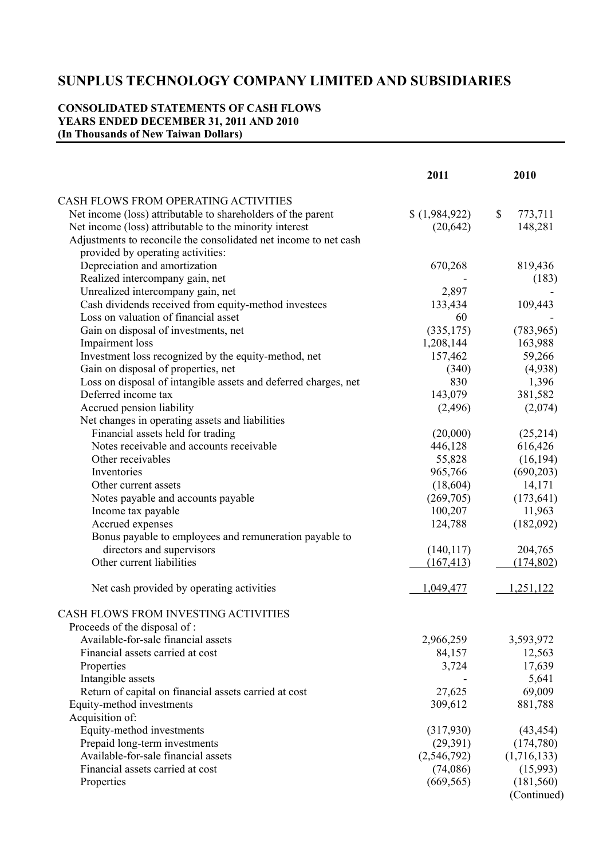# **CONSOLIDATED STATEMENTS OF CASH FLOWS YEARS ENDED DECEMBER 31, 2011 AND 2010 (In Thousands of New Taiwan Dollars)**

|                                                                  | 2011        | 2010          |
|------------------------------------------------------------------|-------------|---------------|
| <b>CASH FLOWS FROM OPERATING ACTIVITIES</b>                      |             |               |
| Net income (loss) attributable to shareholders of the parent     | (1,984,922) | \$<br>773,711 |
| Net income (loss) attributable to the minority interest          | (20, 642)   | 148,281       |
| Adjustments to reconcile the consolidated net income to net cash |             |               |
| provided by operating activities:                                |             |               |
| Depreciation and amortization                                    | 670,268     | 819,436       |
| Realized intercompany gain, net                                  |             | (183)         |
| Unrealized intercompany gain, net                                | 2,897       |               |
| Cash dividends received from equity-method investees             | 133,434     | 109,443       |
| Loss on valuation of financial asset                             | 60          |               |
| Gain on disposal of investments, net                             | (335, 175)  | (783, 965)    |
| Impairment loss                                                  | 1,208,144   | 163,988       |
| Investment loss recognized by the equity-method, net             | 157,462     | 59,266        |
| Gain on disposal of properties, net                              | (340)       | (4,938)       |
| Loss on disposal of intangible assets and deferred charges, net  | 830         | 1,396         |
| Deferred income tax                                              | 143,079     | 381,582       |
| Accrued pension liability                                        | (2,496)     | (2,074)       |
| Net changes in operating assets and liabilities                  |             |               |
| Financial assets held for trading                                | (20,000)    | (25,214)      |
| Notes receivable and accounts receivable                         | 446,128     | 616,426       |
| Other receivables                                                | 55,828      | (16, 194)     |
| Inventories                                                      | 965,766     | (690, 203)    |
| Other current assets                                             | (18,604)    | 14,171        |
| Notes payable and accounts payable                               | (269,705)   | (173, 641)    |
| Income tax payable                                               | 100,207     | 11,963        |
| Accrued expenses                                                 | 124,788     | (182,092)     |
| Bonus payable to employees and remuneration payable to           |             |               |
| directors and supervisors                                        | (140, 117)  | 204,765       |
| Other current liabilities                                        | (167, 413)  | (174, 802)    |
|                                                                  |             |               |
| Net cash provided by operating activities                        | 1,049,477   | 1,251,122     |
| CASH FLOWS FROM INVESTING ACTIVITIES                             |             |               |
| Proceeds of the disposal of:                                     |             |               |
| Available-for-sale financial assets                              | 2,966,259   | 3,593,972     |
| Financial assets carried at cost                                 | 84,157      | 12,563        |
| Properties                                                       | 3,724       | 17,639        |
| Intangible assets                                                |             | 5,641         |
| Return of capital on financial assets carried at cost            | 27,625      | 69,009        |
| Equity-method investments                                        | 309,612     | 881,788       |
| Acquisition of:                                                  |             |               |
| Equity-method investments                                        | (317,930)   | (43, 454)     |
| Prepaid long-term investments                                    | (29,391)    | (174,780)     |
| Available-for-sale financial assets                              | (2,546,792) | (1,716,133)   |
| Financial assets carried at cost                                 | (74,086)    | (15,993)      |
| Properties                                                       | (669, 565)  | (181, 560)    |
|                                                                  |             | (Continued)   |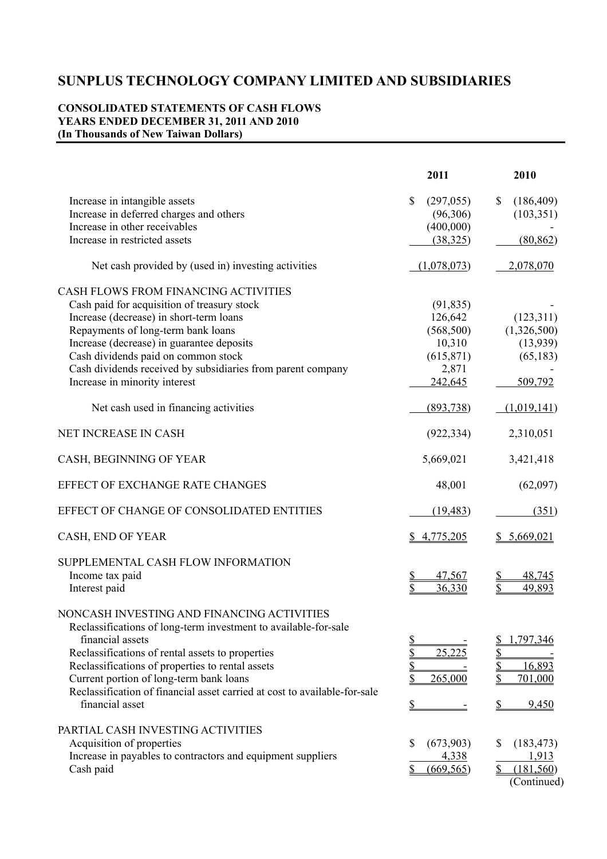# **CONSOLIDATED STATEMENTS OF CASH FLOWS YEARS ENDED DECEMBER 31, 2011 AND 2010 (In Thousands of New Taiwan Dollars)**

|                                                                                                                                                                                                                                                                                                                                                                                      | 2011                                                                                                       | 2010                                                          |
|--------------------------------------------------------------------------------------------------------------------------------------------------------------------------------------------------------------------------------------------------------------------------------------------------------------------------------------------------------------------------------------|------------------------------------------------------------------------------------------------------------|---------------------------------------------------------------|
| Increase in intangible assets<br>Increase in deferred charges and others<br>Increase in other receivables                                                                                                                                                                                                                                                                            | \$<br>(297, 055)<br>(96,306)<br>(400,000)                                                                  | \$<br>(186, 409)<br>(103, 351)                                |
| Increase in restricted assets                                                                                                                                                                                                                                                                                                                                                        | (38, 325)                                                                                                  | (80, 862)                                                     |
| Net cash provided by (used in) investing activities                                                                                                                                                                                                                                                                                                                                  | (1,078,073)                                                                                                | 2,078,070                                                     |
| CASH FLOWS FROM FINANCING ACTIVITIES<br>Cash paid for acquisition of treasury stock<br>Increase (decrease) in short-term loans<br>Repayments of long-term bank loans<br>Increase (decrease) in guarantee deposits<br>Cash dividends paid on common stock<br>Cash dividends received by subsidiaries from parent company<br>Increase in minority interest                             | (91, 835)<br>126,642<br>(568, 500)<br>10,310<br>(615, 871)<br>2,871<br>242,645                             | (123, 311)<br>(1,326,500)<br>(13,939)<br>(65, 183)<br>509,792 |
| Net cash used in financing activities                                                                                                                                                                                                                                                                                                                                                | (893,738)                                                                                                  | (1,019,141)                                                   |
| NET INCREASE IN CASH                                                                                                                                                                                                                                                                                                                                                                 | (922, 334)                                                                                                 | 2,310,051                                                     |
| CASH, BEGINNING OF YEAR                                                                                                                                                                                                                                                                                                                                                              | 5,669,021                                                                                                  | 3,421,418                                                     |
| EFFECT OF EXCHANGE RATE CHANGES                                                                                                                                                                                                                                                                                                                                                      | 48,001                                                                                                     | (62,097)                                                      |
| EFFECT OF CHANGE OF CONSOLIDATED ENTITIES                                                                                                                                                                                                                                                                                                                                            | (19, 483)                                                                                                  | (351)                                                         |
| CASH, END OF YEAR                                                                                                                                                                                                                                                                                                                                                                    | \$4,775,205                                                                                                | 5,669,021                                                     |
| SUPPLEMENTAL CASH FLOW INFORMATION<br>Income tax paid<br>Interest paid                                                                                                                                                                                                                                                                                                               | 47,567<br><u>\$</u><br>\$<br>36,330                                                                        | 48,745<br>49,893                                              |
| NONCASH INVESTING AND FINANCING ACTIVITIES<br>Reclassifications of long-term investment to available-for-sale<br>financial assets<br>Reclassifications of rental assets to properties<br>Reclassifications of properties to rental assets<br>Current portion of long-term bank loans<br>Reclassification of financial asset carried at cost to available-for-sale<br>financial asset | <u>\$</u><br>$\overline{\mathbb{Z}}$<br>25,225<br>$\frac{1}{2}$<br>\$<br>265,000<br>$\mathbf{\mathcal{S}}$ | 1,797,346<br><u>\$</u><br>\$<br>16,893<br>701,000<br>9,450    |
| PARTIAL CASH INVESTING ACTIVITIES<br>Acquisition of properties<br>Increase in payables to contractors and equipment suppliers<br>Cash paid                                                                                                                                                                                                                                           | \$<br>(673,903)<br>4,338<br>(669, 565)<br>\$                                                               | (183, 473)<br>S<br>1,913<br>\$<br>(181, 560)<br>(Continued)   |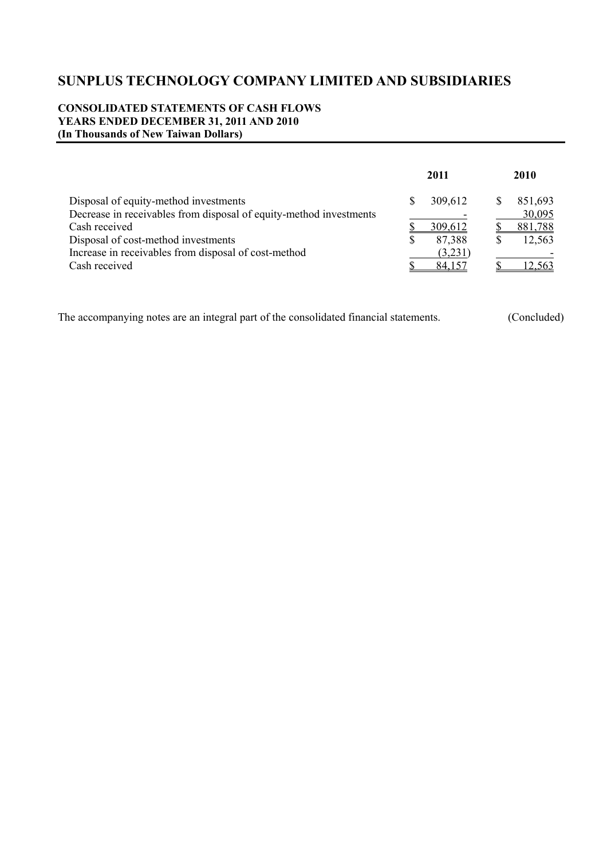## **CONSOLIDATED STATEMENTS OF CASH FLOWS YEARS ENDED DECEMBER 31, 2011 AND 2010 (In Thousands of New Taiwan Dollars)**

|                                                                    | 2011    |   | 2010    |
|--------------------------------------------------------------------|---------|---|---------|
| Disposal of equity-method investments                              | 309,612 | S | 851,693 |
| Decrease in receivables from disposal of equity-method investments |         |   | 30,095  |
| Cash received                                                      | 309,612 |   | 881,788 |
| Disposal of cost-method investments                                | 87,388  | S | 12,563  |
| Increase in receivables from disposal of cost-method               | (3,231) |   |         |
| Cash received                                                      | 84 157  |   | 12.563  |

The accompanying notes are an integral part of the consolidated financial statements. (Concluded)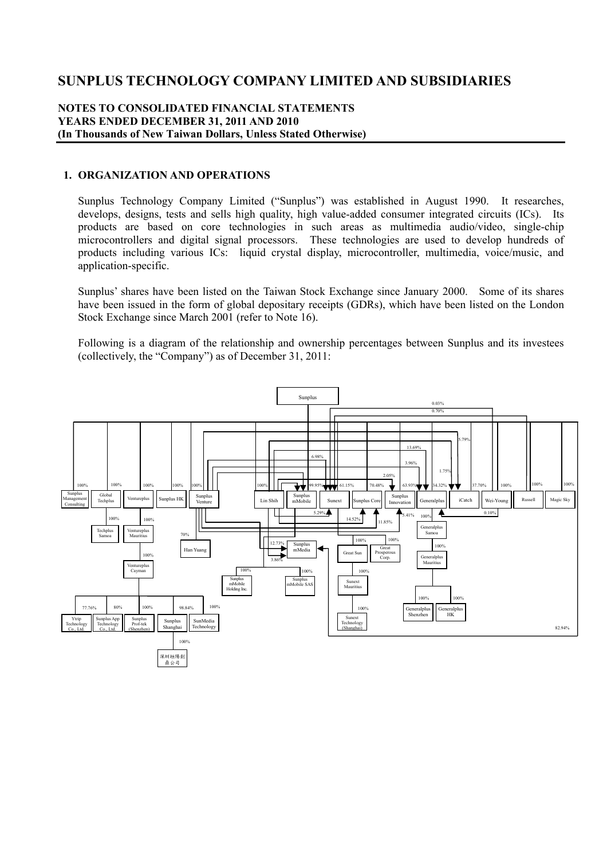### **NOTES TO CONSOLIDATED FINANCIAL STATEMENTS YEARS ENDED DECEMBER 31, 2011 AND 2010 (In Thousands of New Taiwan Dollars, Unless Stated Otherwise)**

#### **1. ORGANIZATION AND OPERATIONS**

Sunplus Technology Company Limited ("Sunplus") was established in August 1990. It researches, develops, designs, tests and sells high quality, high value-added consumer integrated circuits (ICs). Its products are based on core technologies in such areas as multimedia audio/video, single-chip microcontrollers and digital signal processors. These technologies are used to develop hundreds of products including various ICs: liquid crystal display, microcontroller, multimedia, voice/music, and application-specific.

Sunplus' shares have been listed on the Taiwan Stock Exchange since January 2000. Some of its shares have been issued in the form of global depositary receipts (GDRs), which have been listed on the London Stock Exchange since March 2001 (refer to Note 16).

Following is a diagram of the relationship and ownership percentages between Sunplus and its investees (collectively, the "Company") as of December 31, 2011:

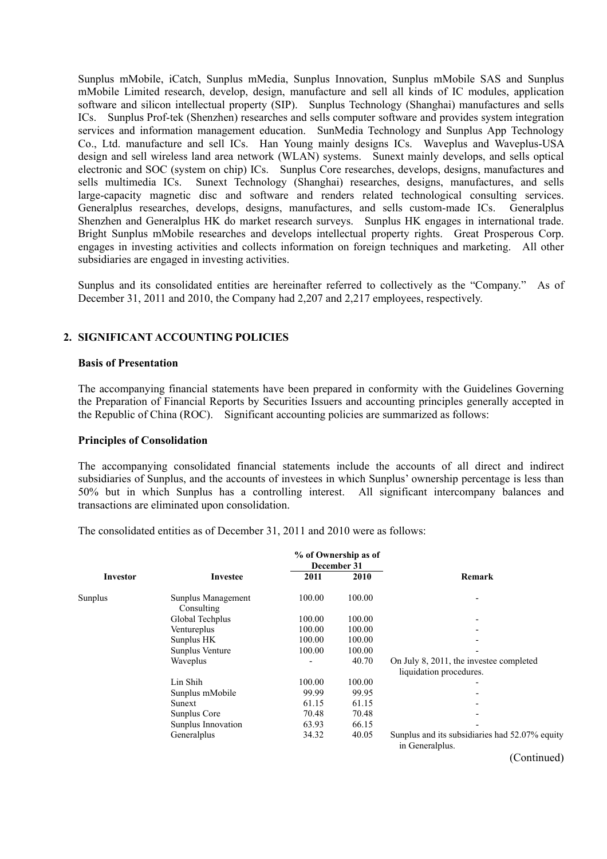Sunplus mMobile, iCatch, Sunplus mMedia, Sunplus Innovation, Sunplus mMobile SAS and Sunplus mMobile Limited research, develop, design, manufacture and sell all kinds of IC modules, application software and silicon intellectual property (SIP). Sunplus Technology (Shanghai) manufactures and sells ICs. Sunplus Prof-tek (Shenzhen) researches and sells computer software and provides system integration services and information management education. SunMedia Technology and Sunplus App Technology Co., Ltd. manufacture and sell ICs. Han Young mainly designs ICs. Waveplus and Waveplus-USA design and sell wireless land area network (WLAN) systems. Sunext mainly develops, and sells optical electronic and SOC (system on chip) ICs. Sunplus Core researches, develops, designs, manufactures and sells multimedia ICs. Sunext Technology (Shanghai) researches, designs, manufactures, and sells large-capacity magnetic disc and software and renders related technological consulting services. Generalplus researches, develops, designs, manufactures, and sells custom-made ICs. Generalplus Shenzhen and Generalplus HK do market research surveys. Sunplus HK engages in international trade. Bright Sunplus mMobile researches and develops intellectual property rights. Great Prosperous Corp. engages in investing activities and collects information on foreign techniques and marketing. All other subsidiaries are engaged in investing activities.

Sunplus and its consolidated entities are hereinafter referred to collectively as the "Company." As of December 31, 2011 and 2010, the Company had 2,207 and 2,217 employees, respectively.

#### **2. SIGNIFICANT ACCOUNTING POLICIES**

#### **Basis of Presentation**

The accompanying financial statements have been prepared in conformity with the Guidelines Governing the Preparation of Financial Reports by Securities Issuers and accounting principles generally accepted in the Republic of China (ROC). Significant accounting policies are summarized as follows:

#### **Principles of Consolidation**

The accompanying consolidated financial statements include the accounts of all direct and indirect subsidiaries of Sunplus, and the accounts of investees in which Sunplus' ownership percentage is less than 50% but in which Sunplus has a controlling interest. All significant intercompany balances and transactions are eliminated upon consolidation.

The consolidated entities as of December 31, 2011 and 2010 were as follows:

|                 |                                  |        | % of Ownership as of<br>December 31 |                                                                    |
|-----------------|----------------------------------|--------|-------------------------------------|--------------------------------------------------------------------|
| <b>Investor</b> | Investee                         | 2011   | 2010                                | <b>Remark</b>                                                      |
| Sunplus         | Sunplus Management<br>Consulting | 100.00 | 100.00                              |                                                                    |
|                 | Global Techplus                  | 100.00 | 100.00                              | ٠                                                                  |
|                 | Ventureplus                      | 100.00 | 100.00                              |                                                                    |
|                 | Sunplus HK                       | 100.00 | 100.00                              |                                                                    |
|                 | Sunplus Venture                  | 100.00 | 100.00                              |                                                                    |
|                 | Waveplus                         |        | 40.70                               | On July 8, 2011, the investee completed<br>liquidation procedures. |
|                 | Lin Shih                         | 100.00 | 100.00                              |                                                                    |
|                 | Sunplus mMobile                  | 99.99  | 99.95                               |                                                                    |
|                 | Sunext                           | 61.15  | 61.15                               |                                                                    |
|                 | Sunplus Core                     | 70.48  | 70.48                               |                                                                    |
|                 | Sunplus Innovation               | 63.93  | 66.15                               |                                                                    |
|                 | Generalplus                      | 34.32  | 40.05                               | Sunplus and its subsidiaries had 52.07% equity<br>in Generalplus.  |
|                 |                                  |        |                                     | (Continued)                                                        |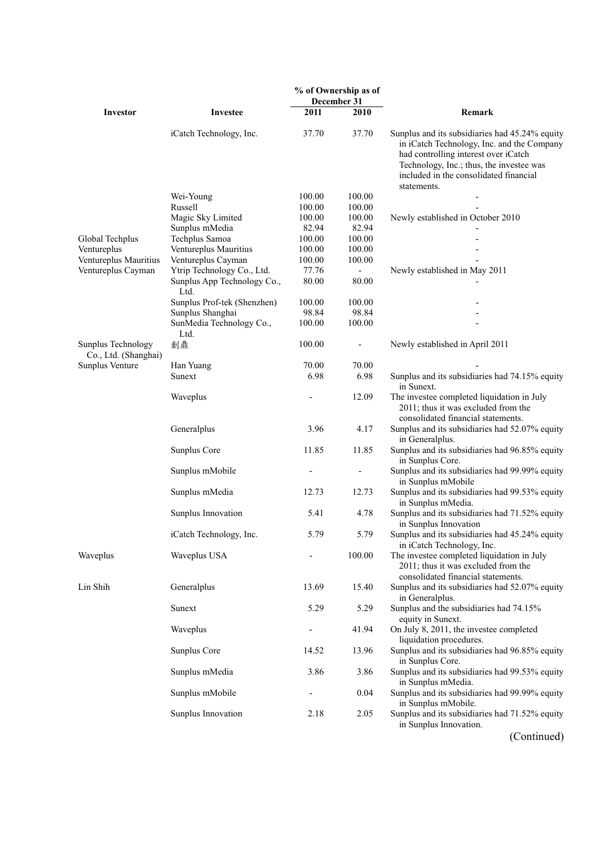|                                                   |                                     |                 | % of Ownership as of<br>December 31 |                                                                                                                                                                                                                                           |  |  |  |
|---------------------------------------------------|-------------------------------------|-----------------|-------------------------------------|-------------------------------------------------------------------------------------------------------------------------------------------------------------------------------------------------------------------------------------------|--|--|--|
| Investor                                          | Investee                            | 2011            | 2010                                | Remark                                                                                                                                                                                                                                    |  |  |  |
|                                                   | iCatch Technology, Inc.             | 37.70           | 37.70                               | Sunplus and its subsidiaries had 45.24% equity<br>in iCatch Technology, Inc. and the Company<br>had controlling interest over iCatch<br>Technology, Inc.; thus, the investee was<br>included in the consolidated financial<br>statements. |  |  |  |
|                                                   | Wei-Young                           | 100.00          | 100.00                              |                                                                                                                                                                                                                                           |  |  |  |
|                                                   | Russell                             | 100.00          | 100.00                              |                                                                                                                                                                                                                                           |  |  |  |
|                                                   | Magic Sky Limited                   | 100.00          | 100.00                              | Newly established in October 2010                                                                                                                                                                                                         |  |  |  |
|                                                   | Sunplus mMedia                      | 82.94           | 82.94                               |                                                                                                                                                                                                                                           |  |  |  |
| Global Techplus                                   | Techplus Samoa                      | 100.00          | 100.00                              |                                                                                                                                                                                                                                           |  |  |  |
| Ventureplus                                       | Ventureplus Mauritius               | 100.00          | 100.00                              |                                                                                                                                                                                                                                           |  |  |  |
| Ventureplus Mauritius                             | Ventureplus Cayman                  | 100.00<br>77.76 | 100.00                              |                                                                                                                                                                                                                                           |  |  |  |
| Ventureplus Cayman                                | Ytrip Technology Co., Ltd.          |                 | $\overline{\phantom{a}}$<br>80.00   | Newly established in May 2011                                                                                                                                                                                                             |  |  |  |
|                                                   | Sunplus App Technology Co.,<br>Ltd. | 80.00           |                                     |                                                                                                                                                                                                                                           |  |  |  |
|                                                   | Sunplus Prof-tek (Shenzhen)         | 100.00          | 100.00                              |                                                                                                                                                                                                                                           |  |  |  |
|                                                   | Sunplus Shanghai                    | 98.84           | 98.84                               |                                                                                                                                                                                                                                           |  |  |  |
|                                                   | SunMedia Technology Co.,            | 100.00          | 100.00                              |                                                                                                                                                                                                                                           |  |  |  |
| <b>Sunplus Technology</b><br>Co., Ltd. (Shanghai) | Ltd.<br>創鼎                          | 100.00          | $\overline{\phantom{a}}$            | Newly established in April 2011                                                                                                                                                                                                           |  |  |  |
| Sunplus Venture                                   | Han Yuang                           | 70.00           | 70.00                               |                                                                                                                                                                                                                                           |  |  |  |
|                                                   | Sunext                              | 6.98            | 6.98                                | Sunplus and its subsidiaries had 74.15% equity<br>in Sunext.                                                                                                                                                                              |  |  |  |
|                                                   | Waveplus                            |                 | 12.09                               | The investee completed liquidation in July<br>2011; thus it was excluded from the<br>consolidated financial statements.                                                                                                                   |  |  |  |
|                                                   | Generalplus                         | 3.96            | 4.17                                | Sunplus and its subsidiaries had 52.07% equity<br>in Generalplus.                                                                                                                                                                         |  |  |  |
|                                                   | Sunplus Core                        | 11.85           | 11.85                               | Sunplus and its subsidiaries had 96.85% equity<br>in Sunplus Core.                                                                                                                                                                        |  |  |  |
|                                                   | Sunplus mMobile                     |                 | $\frac{1}{2}$                       | Sunplus and its subsidiaries had 99.99% equity<br>in Sunplus mMobile                                                                                                                                                                      |  |  |  |
|                                                   | Sunplus mMedia                      | 12.73           | 12.73                               | Sunplus and its subsidiaries had 99.53% equity<br>in Sunplus mMedia.                                                                                                                                                                      |  |  |  |
|                                                   | Sunplus Innovation                  | 5.41            | 4.78                                | Sunplus and its subsidiaries had 71.52% equity<br>in Sunplus Innovation                                                                                                                                                                   |  |  |  |
|                                                   | iCatch Technology, Inc.             | 5.79            | 5.79                                | Sunplus and its subsidiaries had 45.24% equity<br>in iCatch Technology, Inc.                                                                                                                                                              |  |  |  |
| Waveplus                                          | Waveplus USA                        |                 | 100.00                              | The investee completed liquidation in July<br>2011; thus it was excluded from the<br>consolidated financial statements.                                                                                                                   |  |  |  |
| Lin Shih                                          | Generalplus                         | 13.69           | 15.40                               | Sunplus and its subsidiaries had 52.07% equity<br>in Generalplus.                                                                                                                                                                         |  |  |  |
|                                                   | Sunext                              | 5.29            | 5.29                                | Sunplus and the subsidiaries had 74.15%<br>equity in Sunext.                                                                                                                                                                              |  |  |  |
|                                                   | Waveplus                            |                 | 41.94                               | On July 8, 2011, the investee completed<br>liquidation procedures.                                                                                                                                                                        |  |  |  |
|                                                   | Sunplus Core                        | 14.52           | 13.96                               | Sunplus and its subsidiaries had 96.85% equity<br>in Sunplus Core.                                                                                                                                                                        |  |  |  |
|                                                   | Sunplus mMedia                      | 3.86            | 3.86                                | Sunplus and its subsidiaries had 99.53% equity<br>in Sunplus mMedia.                                                                                                                                                                      |  |  |  |
|                                                   | Sunplus mMobile                     |                 | 0.04                                | Sunplus and its subsidiaries had 99.99% equity<br>in Sunplus mMobile.                                                                                                                                                                     |  |  |  |
|                                                   | Sunplus Innovation                  | 2.18            | 2.05                                | Sunplus and its subsidiaries had 71.52% equity<br>in Sunplus Innovation.                                                                                                                                                                  |  |  |  |
|                                                   |                                     |                 |                                     | (Continued)                                                                                                                                                                                                                               |  |  |  |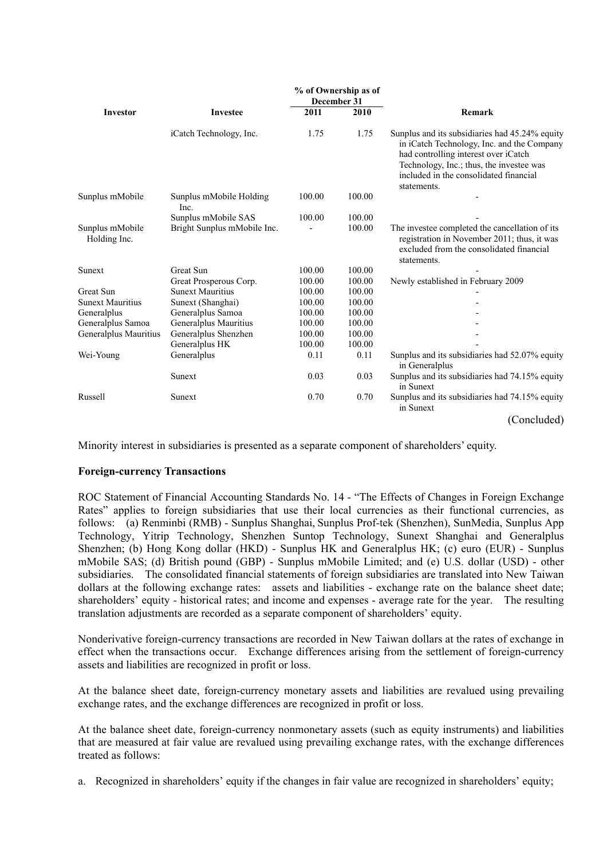|                                 |                                 |        | % of Ownership as of<br>December 31 |                                                                                                                                                                                                                                           |  |  |  |
|---------------------------------|---------------------------------|--------|-------------------------------------|-------------------------------------------------------------------------------------------------------------------------------------------------------------------------------------------------------------------------------------------|--|--|--|
| Investor                        | <b>Investee</b>                 | 2011   | 2010                                | Remark                                                                                                                                                                                                                                    |  |  |  |
|                                 | iCatch Technology, Inc.         | 1.75   | 1.75                                | Sunplus and its subsidiaries had 45.24% equity<br>in iCatch Technology, Inc. and the Company<br>had controlling interest over iCatch<br>Technology, Inc.; thus, the investee was<br>included in the consolidated financial<br>statements. |  |  |  |
| Sunplus mMobile                 | Sunplus mMobile Holding<br>Inc. | 100.00 | 100.00                              |                                                                                                                                                                                                                                           |  |  |  |
|                                 | Sunplus mMobile SAS             | 100.00 | 100.00                              |                                                                                                                                                                                                                                           |  |  |  |
| Sunplus mMobile<br>Holding Inc. | Bright Sunplus mMobile Inc.     |        | 100.00                              | The investee completed the cancellation of its<br>registration in November 2011; thus, it was<br>excluded from the consolidated financial<br>statements.                                                                                  |  |  |  |
| Sunext                          | <b>Great Sun</b>                | 100.00 | 100.00                              |                                                                                                                                                                                                                                           |  |  |  |
|                                 | Great Prosperous Corp.          | 100.00 | 100.00                              | Newly established in February 2009                                                                                                                                                                                                        |  |  |  |
| Great Sun                       | <b>Sunext Mauritius</b>         | 100.00 | 100.00                              |                                                                                                                                                                                                                                           |  |  |  |
| <b>Sunext Mauritius</b>         | Sunext (Shanghai)               | 100.00 | 100.00                              |                                                                                                                                                                                                                                           |  |  |  |
| Generalplus                     | Generalplus Samoa               | 100.00 | 100.00                              |                                                                                                                                                                                                                                           |  |  |  |
| Generalplus Samoa               | Generalplus Mauritius           | 100.00 | 100.00                              |                                                                                                                                                                                                                                           |  |  |  |
| Generalplus Mauritius           | Generalplus Shenzhen            | 100.00 | 100.00                              |                                                                                                                                                                                                                                           |  |  |  |
|                                 | Generalplus HK                  | 100.00 | 100.00                              |                                                                                                                                                                                                                                           |  |  |  |
| Wei-Young                       | Generalplus                     | 0.11   | 0.11                                | Sunplus and its subsidiaries had 52.07% equity<br>in Generalplus                                                                                                                                                                          |  |  |  |
|                                 | Sunext                          | 0.03   | 0.03                                | Sunplus and its subsidiaries had 74.15% equity<br>in Sunext                                                                                                                                                                               |  |  |  |
| Russell                         | Sunext                          | 0.70   | 0.70                                | Sunplus and its subsidiaries had 74.15% equity<br>in Sunext                                                                                                                                                                               |  |  |  |
|                                 |                                 |        |                                     | (Concluded)                                                                                                                                                                                                                               |  |  |  |

Minority interest in subsidiaries is presented as a separate component of shareholders' equity.

#### **Foreign-currency Transactions**

ROC Statement of Financial Accounting Standards No. 14 - "The Effects of Changes in Foreign Exchange Rates" applies to foreign subsidiaries that use their local currencies as their functional currencies, as follows: (a) Renminbi (RMB) - Sunplus Shanghai, Sunplus Prof-tek (Shenzhen), SunMedia, Sunplus App Technology, Yitrip Technology, Shenzhen Suntop Technology, Sunext Shanghai and Generalplus Shenzhen; (b) Hong Kong dollar (HKD) - Sunplus HK and Generalplus HK; (c) euro (EUR) - Sunplus mMobile SAS; (d) British pound (GBP) - Sunplus mMobile Limited; and (e) U.S. dollar (USD) - other subsidiaries. The consolidated financial statements of foreign subsidiaries are translated into New Taiwan dollars at the following exchange rates: assets and liabilities - exchange rate on the balance sheet date; shareholders' equity - historical rates; and income and expenses - average rate for the year. The resulting translation adjustments are recorded as a separate component of shareholders' equity.

Nonderivative foreign-currency transactions are recorded in New Taiwan dollars at the rates of exchange in effect when the transactions occur. Exchange differences arising from the settlement of foreign-currency assets and liabilities are recognized in profit or loss.

At the balance sheet date, foreign-currency monetary assets and liabilities are revalued using prevailing exchange rates, and the exchange differences are recognized in profit or loss.

At the balance sheet date, foreign-currency nonmonetary assets (such as equity instruments) and liabilities that are measured at fair value are revalued using prevailing exchange rates, with the exchange differences treated as follows:

a. Recognized in shareholders' equity if the changes in fair value are recognized in shareholders' equity;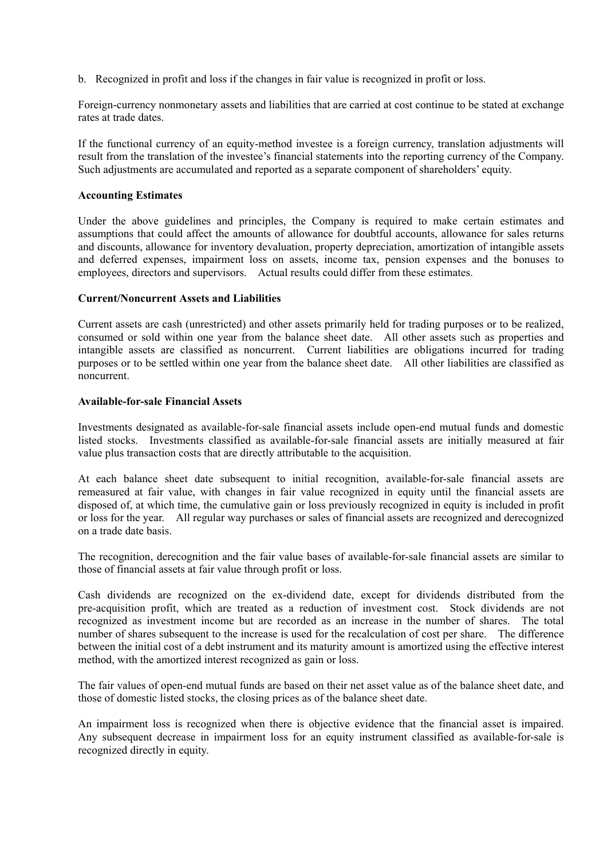b. Recognized in profit and loss if the changes in fair value is recognized in profit or loss.

Foreign-currency nonmonetary assets and liabilities that are carried at cost continue to be stated at exchange rates at trade dates.

If the functional currency of an equity-method investee is a foreign currency, translation adjustments will result from the translation of the investee's financial statements into the reporting currency of the Company. Such adjustments are accumulated and reported as a separate component of shareholders' equity.

#### **Accounting Estimates**

Under the above guidelines and principles, the Company is required to make certain estimates and assumptions that could affect the amounts of allowance for doubtful accounts, allowance for sales returns and discounts, allowance for inventory devaluation, property depreciation, amortization of intangible assets and deferred expenses, impairment loss on assets, income tax, pension expenses and the bonuses to employees, directors and supervisors. Actual results could differ from these estimates.

#### **Current/Noncurrent Assets and Liabilities**

Current assets are cash (unrestricted) and other assets primarily held for trading purposes or to be realized, consumed or sold within one year from the balance sheet date. All other assets such as properties and intangible assets are classified as noncurrent. Current liabilities are obligations incurred for trading purposes or to be settled within one year from the balance sheet date. All other liabilities are classified as noncurrent.

#### **Available-for-sale Financial Assets**

Investments designated as available-for-sale financial assets include open-end mutual funds and domestic listed stocks. Investments classified as available-for-sale financial assets are initially measured at fair value plus transaction costs that are directly attributable to the acquisition.

At each balance sheet date subsequent to initial recognition, available-for-sale financial assets are remeasured at fair value, with changes in fair value recognized in equity until the financial assets are disposed of, at which time, the cumulative gain or loss previously recognized in equity is included in profit or loss for the year. All regular way purchases or sales of financial assets are recognized and derecognized on a trade date basis.

The recognition, derecognition and the fair value bases of available-for-sale financial assets are similar to those of financial assets at fair value through profit or loss.

Cash dividends are recognized on the ex-dividend date, except for dividends distributed from the pre-acquisition profit, which are treated as a reduction of investment cost. Stock dividends are not recognized as investment income but are recorded as an increase in the number of shares. The total number of shares subsequent to the increase is used for the recalculation of cost per share. The difference between the initial cost of a debt instrument and its maturity amount is amortized using the effective interest method, with the amortized interest recognized as gain or loss.

The fair values of open-end mutual funds are based on their net asset value as of the balance sheet date, and those of domestic listed stocks, the closing prices as of the balance sheet date.

An impairment loss is recognized when there is objective evidence that the financial asset is impaired. Any subsequent decrease in impairment loss for an equity instrument classified as available-for-sale is recognized directly in equity.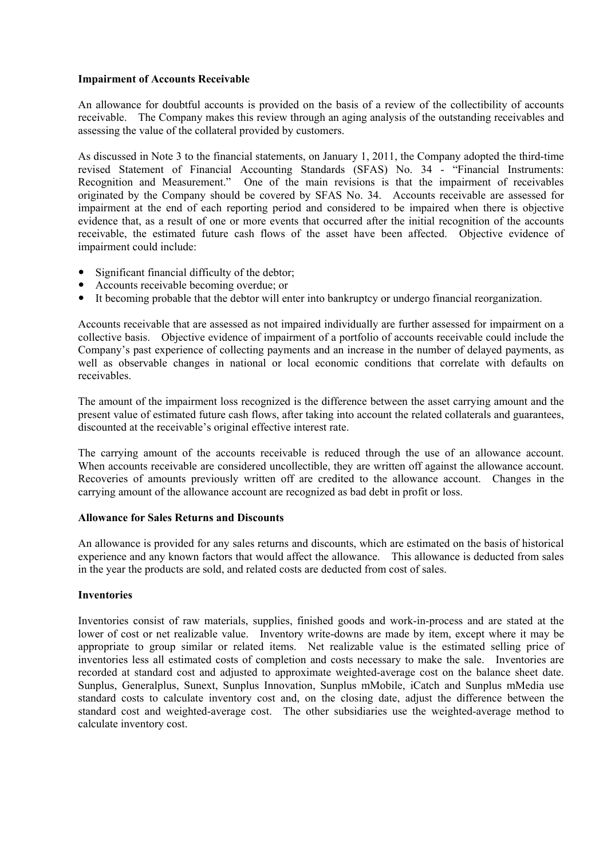### **Impairment of Accounts Receivable**

An allowance for doubtful accounts is provided on the basis of a review of the collectibility of accounts receivable. The Company makes this review through an aging analysis of the outstanding receivables and assessing the value of the collateral provided by customers.

As discussed in Note 3 to the financial statements, on January 1, 2011, the Company adopted the third-time revised Statement of Financial Accounting Standards (SFAS) No. 34 - "Financial Instruments: Recognition and Measurement." One of the main revisions is that the impairment of receivables originated by the Company should be covered by SFAS No. 34. Accounts receivable are assessed for impairment at the end of each reporting period and considered to be impaired when there is objective evidence that, as a result of one or more events that occurred after the initial recognition of the accounts receivable, the estimated future cash flows of the asset have been affected. Objective evidence of impairment could include:

- Significant financial difficulty of the debtor;
- Accounts receivable becoming overdue; or
- It becoming probable that the debtor will enter into bankruptcy or undergo financial reorganization.

Accounts receivable that are assessed as not impaired individually are further assessed for impairment on a collective basis. Objective evidence of impairment of a portfolio of accounts receivable could include the Company's past experience of collecting payments and an increase in the number of delayed payments, as well as observable changes in national or local economic conditions that correlate with defaults on receivables.

The amount of the impairment loss recognized is the difference between the asset carrying amount and the present value of estimated future cash flows, after taking into account the related collaterals and guarantees, discounted at the receivable's original effective interest rate.

The carrying amount of the accounts receivable is reduced through the use of an allowance account. When accounts receivable are considered uncollectible, they are written off against the allowance account. Recoveries of amounts previously written off are credited to the allowance account. Changes in the carrying amount of the allowance account are recognized as bad debt in profit or loss.

#### **Allowance for Sales Returns and Discounts**

An allowance is provided for any sales returns and discounts, which are estimated on the basis of historical experience and any known factors that would affect the allowance. This allowance is deducted from sales in the year the products are sold, and related costs are deducted from cost of sales.

#### **Inventories**

Inventories consist of raw materials, supplies, finished goods and work-in-process and are stated at the lower of cost or net realizable value. Inventory write-downs are made by item, except where it may be appropriate to group similar or related items. Net realizable value is the estimated selling price of inventories less all estimated costs of completion and costs necessary to make the sale. Inventories are recorded at standard cost and adjusted to approximate weighted-average cost on the balance sheet date. Sunplus, Generalplus, Sunext, Sunplus Innovation, Sunplus mMobile, iCatch and Sunplus mMedia use standard costs to calculate inventory cost and, on the closing date, adjust the difference between the standard cost and weighted-average cost. The other subsidiaries use the weighted-average method to calculate inventory cost.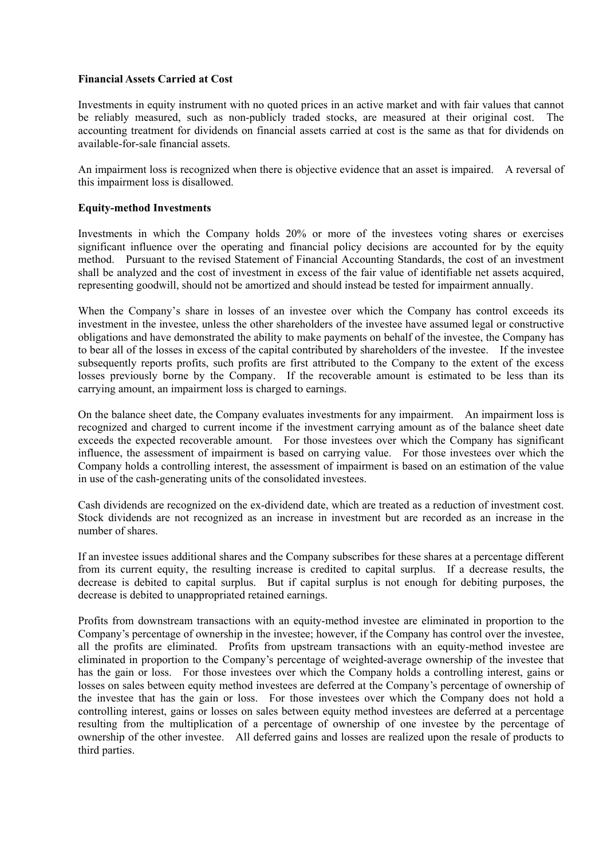### **Financial Assets Carried at Cost**

Investments in equity instrument with no quoted prices in an active market and with fair values that cannot be reliably measured, such as non-publicly traded stocks, are measured at their original cost. The accounting treatment for dividends on financial assets carried at cost is the same as that for dividends on available-for-sale financial assets.

An impairment loss is recognized when there is objective evidence that an asset is impaired. A reversal of this impairment loss is disallowed.

#### **Equity-method Investments**

Investments in which the Company holds 20% or more of the investees voting shares or exercises significant influence over the operating and financial policy decisions are accounted for by the equity method. Pursuant to the revised Statement of Financial Accounting Standards, the cost of an investment shall be analyzed and the cost of investment in excess of the fair value of identifiable net assets acquired, representing goodwill, should not be amortized and should instead be tested for impairment annually.

When the Company's share in losses of an investee over which the Company has control exceeds its investment in the investee, unless the other shareholders of the investee have assumed legal or constructive obligations and have demonstrated the ability to make payments on behalf of the investee, the Company has to bear all of the losses in excess of the capital contributed by shareholders of the investee. If the investee subsequently reports profits, such profits are first attributed to the Company to the extent of the excess losses previously borne by the Company. If the recoverable amount is estimated to be less than its carrying amount, an impairment loss is charged to earnings.

On the balance sheet date, the Company evaluates investments for any impairment. An impairment loss is recognized and charged to current income if the investment carrying amount as of the balance sheet date exceeds the expected recoverable amount. For those investees over which the Company has significant influence, the assessment of impairment is based on carrying value. For those investees over which the Company holds a controlling interest, the assessment of impairment is based on an estimation of the value in use of the cash-generating units of the consolidated investees.

Cash dividends are recognized on the ex-dividend date, which are treated as a reduction of investment cost. Stock dividends are not recognized as an increase in investment but are recorded as an increase in the number of shares.

If an investee issues additional shares and the Company subscribes for these shares at a percentage different from its current equity, the resulting increase is credited to capital surplus. If a decrease results, the decrease is debited to capital surplus. But if capital surplus is not enough for debiting purposes, the decrease is debited to unappropriated retained earnings.

Profits from downstream transactions with an equity-method investee are eliminated in proportion to the Company's percentage of ownership in the investee; however, if the Company has control over the investee, all the profits are eliminated. Profits from upstream transactions with an equity-method investee are eliminated in proportion to the Company's percentage of weighted-average ownership of the investee that has the gain or loss. For those investees over which the Company holds a controlling interest, gains or losses on sales between equity method investees are deferred at the Company's percentage of ownership of the investee that has the gain or loss. For those investees over which the Company does not hold a controlling interest, gains or losses on sales between equity method investees are deferred at a percentage resulting from the multiplication of a percentage of ownership of one investee by the percentage of ownership of the other investee. All deferred gains and losses are realized upon the resale of products to third parties.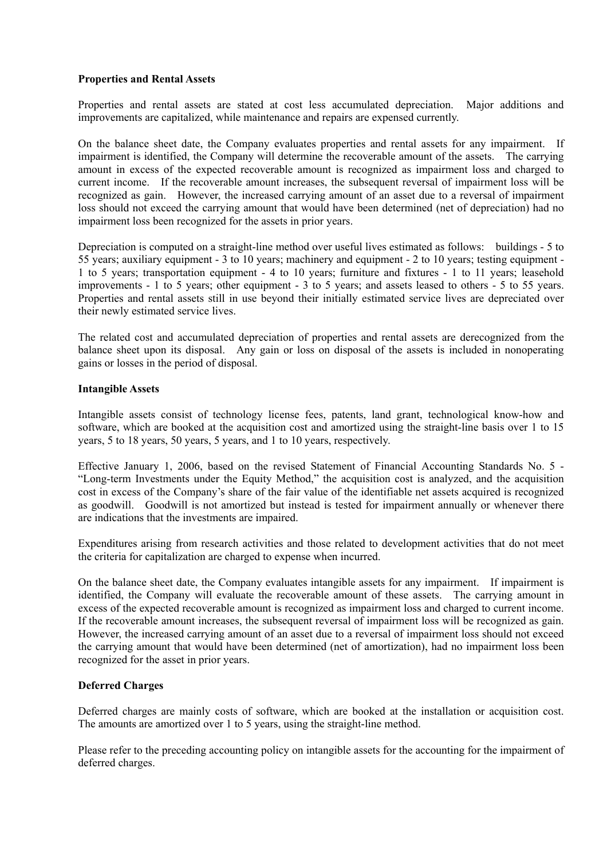### **Properties and Rental Assets**

Properties and rental assets are stated at cost less accumulated depreciation. Major additions and improvements are capitalized, while maintenance and repairs are expensed currently.

On the balance sheet date, the Company evaluates properties and rental assets for any impairment. If impairment is identified, the Company will determine the recoverable amount of the assets. The carrying amount in excess of the expected recoverable amount is recognized as impairment loss and charged to current income. If the recoverable amount increases, the subsequent reversal of impairment loss will be recognized as gain. However, the increased carrying amount of an asset due to a reversal of impairment loss should not exceed the carrying amount that would have been determined (net of depreciation) had no impairment loss been recognized for the assets in prior years.

Depreciation is computed on a straight-line method over useful lives estimated as follows: buildings - 5 to 55 years; auxiliary equipment - 3 to 10 years; machinery and equipment - 2 to 10 years; testing equipment - 1 to 5 years; transportation equipment - 4 to 10 years; furniture and fixtures - 1 to 11 years; leasehold improvements - 1 to 5 years; other equipment - 3 to 5 years; and assets leased to others - 5 to 55 years. Properties and rental assets still in use beyond their initially estimated service lives are depreciated over their newly estimated service lives.

The related cost and accumulated depreciation of properties and rental assets are derecognized from the balance sheet upon its disposal. Any gain or loss on disposal of the assets is included in nonoperating gains or losses in the period of disposal.

#### **Intangible Assets**

Intangible assets consist of technology license fees, patents, land grant, technological know-how and software, which are booked at the acquisition cost and amortized using the straight-line basis over 1 to 15 years, 5 to 18 years, 50 years, 5 years, and 1 to 10 years, respectively.

Effective January 1, 2006, based on the revised Statement of Financial Accounting Standards No. 5 - "Long-term Investments under the Equity Method," the acquisition cost is analyzed, and the acquisition cost in excess of the Company's share of the fair value of the identifiable net assets acquired is recognized as goodwill. Goodwill is not amortized but instead is tested for impairment annually or whenever there are indications that the investments are impaired.

Expenditures arising from research activities and those related to development activities that do not meet the criteria for capitalization are charged to expense when incurred.

On the balance sheet date, the Company evaluates intangible assets for any impairment. If impairment is identified, the Company will evaluate the recoverable amount of these assets. The carrying amount in excess of the expected recoverable amount is recognized as impairment loss and charged to current income. If the recoverable amount increases, the subsequent reversal of impairment loss will be recognized as gain. However, the increased carrying amount of an asset due to a reversal of impairment loss should not exceed the carrying amount that would have been determined (net of amortization), had no impairment loss been recognized for the asset in prior years.

# **Deferred Charges**

Deferred charges are mainly costs of software, which are booked at the installation or acquisition cost. The amounts are amortized over 1 to 5 years, using the straight-line method.

Please refer to the preceding accounting policy on intangible assets for the accounting for the impairment of deferred charges.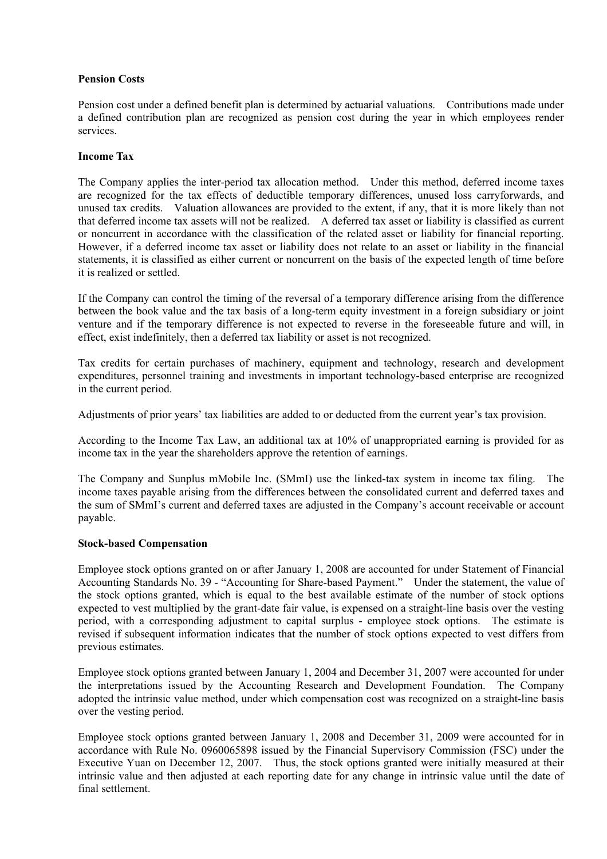### **Pension Costs**

Pension cost under a defined benefit plan is determined by actuarial valuations. Contributions made under a defined contribution plan are recognized as pension cost during the year in which employees render services.

#### **Income Tax**

The Company applies the inter-period tax allocation method. Under this method, deferred income taxes are recognized for the tax effects of deductible temporary differences, unused loss carryforwards, and unused tax credits. Valuation allowances are provided to the extent, if any, that it is more likely than not that deferred income tax assets will not be realized. A deferred tax asset or liability is classified as current or noncurrent in accordance with the classification of the related asset or liability for financial reporting. However, if a deferred income tax asset or liability does not relate to an asset or liability in the financial statements, it is classified as either current or noncurrent on the basis of the expected length of time before it is realized or settled.

If the Company can control the timing of the reversal of a temporary difference arising from the difference between the book value and the tax basis of a long-term equity investment in a foreign subsidiary or joint venture and if the temporary difference is not expected to reverse in the foreseeable future and will, in effect, exist indefinitely, then a deferred tax liability or asset is not recognized.

Tax credits for certain purchases of machinery, equipment and technology, research and development expenditures, personnel training and investments in important technology-based enterprise are recognized in the current period.

Adjustments of prior years' tax liabilities are added to or deducted from the current year's tax provision.

According to the Income Tax Law, an additional tax at 10% of unappropriated earning is provided for as income tax in the year the shareholders approve the retention of earnings.

The Company and Sunplus mMobile Inc. (SMmI) use the linked-tax system in income tax filing. The income taxes payable arising from the differences between the consolidated current and deferred taxes and the sum of SMmI's current and deferred taxes are adjusted in the Company's account receivable or account payable.

#### **Stock-based Compensation**

Employee stock options granted on or after January 1, 2008 are accounted for under Statement of Financial Accounting Standards No. 39 - "Accounting for Share-based Payment." Under the statement, the value of the stock options granted, which is equal to the best available estimate of the number of stock options expected to vest multiplied by the grant-date fair value, is expensed on a straight-line basis over the vesting period, with a corresponding adjustment to capital surplus - employee stock options. The estimate is revised if subsequent information indicates that the number of stock options expected to vest differs from previous estimates.

Employee stock options granted between January 1, 2004 and December 31, 2007 were accounted for under the interpretations issued by the Accounting Research and Development Foundation. The Company adopted the intrinsic value method, under which compensation cost was recognized on a straight-line basis over the vesting period.

Employee stock options granted between January 1, 2008 and December 31, 2009 were accounted for in accordance with Rule No. 0960065898 issued by the Financial Supervisory Commission (FSC) under the Executive Yuan on December 12, 2007. Thus, the stock options granted were initially measured at their intrinsic value and then adjusted at each reporting date for any change in intrinsic value until the date of final settlement.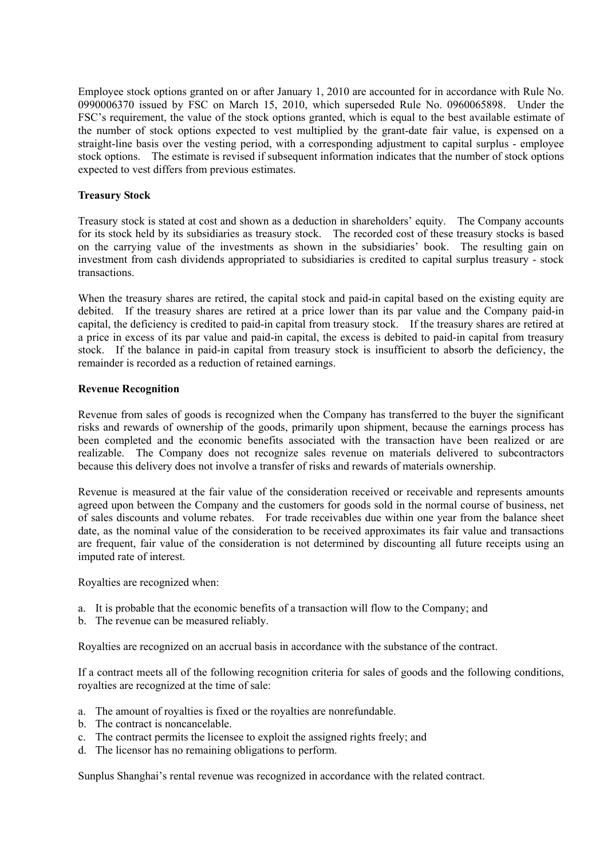Employee stock options granted on or after January 1, 2010 are accounted for in accordance with Rule No. 0990006370 issued by FSC on March 15, 2010, which superseded Rule No. 0960065898. Under the FSC's requirement, the value of the stock options granted, which is equal to the best available estimate of the number of stock options expected to vest multiplied by the grant-date fair value, is expensed on a straight-line basis over the vesting period, with a corresponding adjustment to capital surplus - employee stock options. The estimate is revised if subsequent information indicates that the number of stock options expected to vest differs from previous estimates.

## **Treasury Stock**

Treasury stock is stated at cost and shown as a deduction in shareholders' equity. The Company accounts for its stock held by its subsidiaries as treasury stock. The recorded cost of these treasury stocks is based on the carrying value of the investments as shown in the subsidiaries' book. The resulting gain on investment from cash dividends appropriated to subsidiaries is credited to capital surplus treasury - stock transactions.

When the treasury shares are retired, the capital stock and paid-in capital based on the existing equity are debited. If the treasury shares are retired at a price lower than its par value and the Company paid-in capital, the deficiency is credited to paid-in capital from treasury stock. If the treasury shares are retired at a price in excess of its par value and paid-in capital, the excess is debited to paid-in capital from treasury stock. If the balance in paid-in capital from treasury stock is insufficient to absorb the deficiency, the remainder is recorded as a reduction of retained earnings.

#### **Revenue Recognition**

Revenue from sales of goods is recognized when the Company has transferred to the buyer the significant risks and rewards of ownership of the goods, primarily upon shipment, because the earnings process has been completed and the economic benefits associated with the transaction have been realized or are realizable. The Company does not recognize sales revenue on materials delivered to subcontractors because this delivery does not involve a transfer of risks and rewards of materials ownership.

Revenue is measured at the fair value of the consideration received or receivable and represents amounts agreed upon between the Company and the customers for goods sold in the normal course of business, net of sales discounts and volume rebates. For trade receivables due within one year from the balance sheet date, as the nominal value of the consideration to be received approximates its fair value and transactions are frequent, fair value of the consideration is not determined by discounting all future receipts using an imputed rate of interest.

Royalties are recognized when:

- a. It is probable that the economic benefits of a transaction will flow to the Company; and
- b. The revenue can be measured reliably.

Royalties are recognized on an accrual basis in accordance with the substance of the contract.

If a contract meets all of the following recognition criteria for sales of goods and the following conditions, royalties are recognized at the time of sale:

- a. The amount of royalties is fixed or the royalties are nonrefundable.
- b. The contract is noncancelable.
- c. The contract permits the licensee to exploit the assigned rights freely; and
- d. The licensor has no remaining obligations to perform.

Sunplus Shanghai's rental revenue was recognized in accordance with the related contract.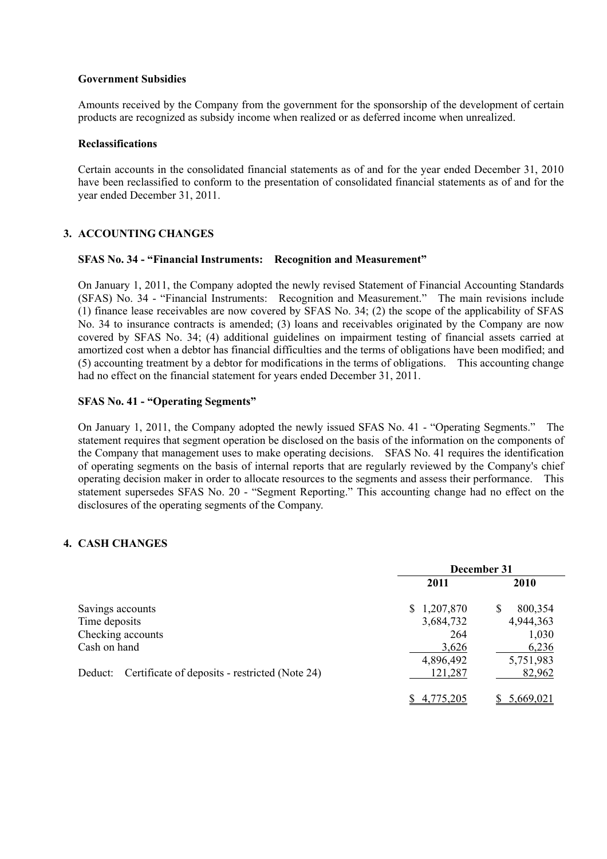#### **Government Subsidies**

Amounts received by the Company from the government for the sponsorship of the development of certain products are recognized as subsidy income when realized or as deferred income when unrealized.

#### **Reclassifications**

Certain accounts in the consolidated financial statements as of and for the year ended December 31, 2010 have been reclassified to conform to the presentation of consolidated financial statements as of and for the year ended December 31, 2011.

## **3. ACCOUNTING CHANGES**

#### **SFAS No. 34 - "Financial Instruments: Recognition and Measurement"**

On January 1, 2011, the Company adopted the newly revised Statement of Financial Accounting Standards (SFAS) No. 34 - "Financial Instruments: Recognition and Measurement." The main revisions include (1) finance lease receivables are now covered by SFAS No. 34; (2) the scope of the applicability of SFAS No. 34 to insurance contracts is amended; (3) loans and receivables originated by the Company are now covered by SFAS No. 34; (4) additional guidelines on impairment testing of financial assets carried at amortized cost when a debtor has financial difficulties and the terms of obligations have been modified; and (5) accounting treatment by a debtor for modifications in the terms of obligations. This accounting change had no effect on the financial statement for years ended December 31, 2011.

#### **SFAS No. 41 - "Operating Segments"**

On January 1, 2011, the Company adopted the newly issued SFAS No. 41 - "Operating Segments." The statement requires that segment operation be disclosed on the basis of the information on the components of the Company that management uses to make operating decisions. SFAS No. 41 requires the identification of operating segments on the basis of internal reports that are regularly reviewed by the Company's chief operating decision maker in order to allocate resources to the segments and assess their performance. This statement supersedes SFAS No. 20 - "Segment Reporting." This accounting change had no effect on the disclosures of the operating segments of the Company.

## **4. CASH CHANGES**

|                                                           | December 31     |              |  |  |
|-----------------------------------------------------------|-----------------|--------------|--|--|
|                                                           | 2011            | <b>2010</b>  |  |  |
| Savings accounts                                          | 1,207,870<br>S. | 800,354<br>S |  |  |
| Time deposits                                             | 3,684,732       | 4,944,363    |  |  |
| Checking accounts                                         | 264             | 1,030        |  |  |
| Cash on hand                                              | 3,626           | 6,236        |  |  |
|                                                           | 4,896,492       | 5,751,983    |  |  |
| Certificate of deposits - restricted (Note 24)<br>Deduct: | 121,287         | 82,962       |  |  |
|                                                           | 4,775,205       | 5,669,021    |  |  |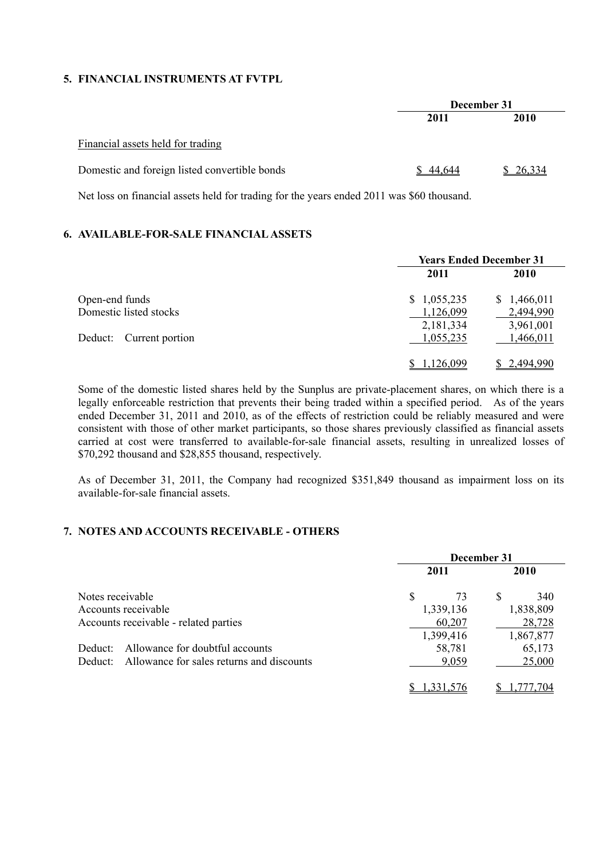### **5. FINANCIAL INSTRUMENTS AT FVTPL**

|                                               | December 31 |          |  |
|-----------------------------------------------|-------------|----------|--|
|                                               | 2011        | 2010     |  |
| Financial assets held for trading             |             |          |  |
| Domestic and foreign listed convertible bonds | \$44,644    | \$26,334 |  |

Net loss on financial assets held for trading for the years ended 2011 was \$60 thousand.

# **6. AVAILABLE-FOR-SALE FINANCIAL ASSETS**

|                            | <b>Years Ended December 31</b> |             |  |
|----------------------------|--------------------------------|-------------|--|
|                            | 2011                           | <b>2010</b> |  |
| Open-end funds             | \$1,055,235                    | \$1,466,011 |  |
| Domestic listed stocks     | 1,126,099                      | 2,494,990   |  |
|                            | 2,181,334                      | 3,961,001   |  |
| Deduct:<br>Current portion | 1,055,235                      | 1,466,011   |  |
|                            |                                |             |  |
|                            | 1.126.099                      | 2.494.990   |  |

Some of the domestic listed shares held by the Sunplus are private-placement shares, on which there is a legally enforceable restriction that prevents their being traded within a specified period. As of the years ended December 31, 2011 and 2010, as of the effects of restriction could be reliably measured and were consistent with those of other market participants, so those shares previously classified as financial assets carried at cost were transferred to available-for-sale financial assets, resulting in unrealized losses of \$70,292 thousand and \$28,855 thousand, respectively.

As of December 31, 2011, the Company had recognized \$351,849 thousand as impairment loss on its available-for-sale financial assets.

# **7. NOTES AND ACCOUNTS RECEIVABLE - OTHERS**

|                                                      | December 31 |             |  |
|------------------------------------------------------|-------------|-------------|--|
|                                                      | 2011        | <b>2010</b> |  |
| Notes receivable                                     | \$<br>73    | S<br>340    |  |
| Accounts receivable                                  | 1,339,136   | 1,838,809   |  |
| Accounts receivable - related parties                | 60,207      | 28,728      |  |
|                                                      | 1,399,416   | 1,867,877   |  |
| Allowance for doubtful accounts<br>Deduct:           | 58,781      | 65,173      |  |
| Allowance for sales returns and discounts<br>Deduct: | 9,059       | 25,000      |  |
|                                                      |             |             |  |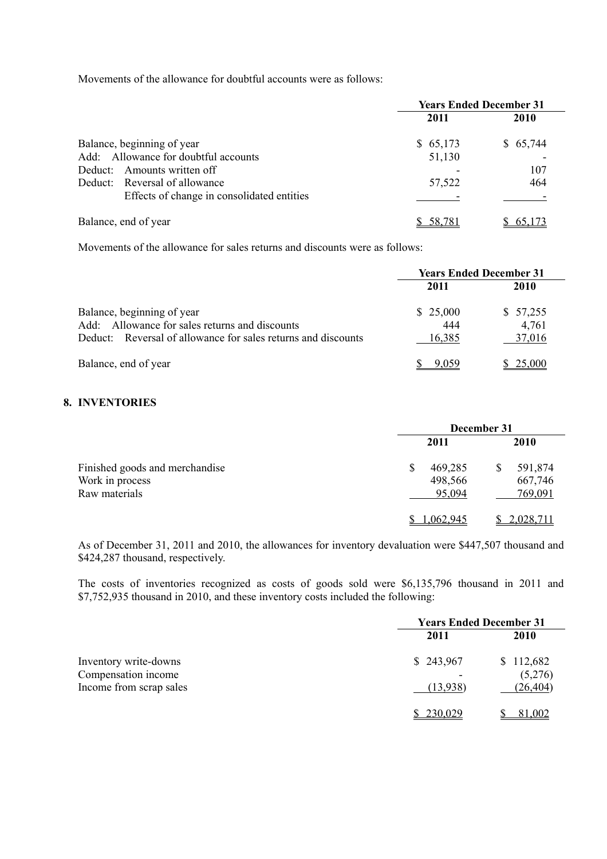Movements of the allowance for doubtful accounts were as follows:

|                                                                        | <b>Years Ended December 31</b> |          |  |
|------------------------------------------------------------------------|--------------------------------|----------|--|
|                                                                        | 2011                           | 2010     |  |
| Balance, beginning of year                                             | \$65,173                       | \$65,744 |  |
| Add: Allowance for doubtful accounts<br>Amounts written off<br>Deduct: | 51,130                         | 107      |  |
| Deduct: Reversal of allowance                                          | 57,522                         | 464      |  |
| Effects of change in consolidated entities                             |                                |          |  |
| Balance, end of year                                                   | 58.78                          |          |  |

Movements of the allowance for sales returns and discounts were as follows:

|                                                               | <b>Years Ended December 31</b> |          |  |
|---------------------------------------------------------------|--------------------------------|----------|--|
|                                                               | 2011                           | 2010     |  |
| Balance, beginning of year                                    | \$25,000                       | \$57,255 |  |
| Add: Allowance for sales returns and discounts                | 444                            | 4,761    |  |
| Deduct: Reversal of allowance for sales returns and discounts | 16,385                         | 37,016   |  |
| Balance, end of year                                          | 9.059                          | 25,000   |  |

## **8. INVENTORIES**

|                                                                    | December 31                        |                               |  |
|--------------------------------------------------------------------|------------------------------------|-------------------------------|--|
| Finished goods and merchandise<br>Work in process<br>Raw materials | 2011                               | <b>2010</b>                   |  |
|                                                                    | 469,285<br>\$<br>498,566<br>95,094 | 591,874<br>667,746<br>769,091 |  |
|                                                                    | 1.062.945                          | 2,028,711                     |  |

As of December 31, 2011 and 2010, the allowances for inventory devaluation were \$447,507 thousand and \$424,287 thousand, respectively.

The costs of inventories recognized as costs of goods sold were \$6,135,796 thousand in 2011 and \$7,752,935 thousand in 2010, and these inventory costs included the following:

|                                                                         | <b>Years Ended December 31</b> |                                   |  |
|-------------------------------------------------------------------------|--------------------------------|-----------------------------------|--|
|                                                                         | 2011                           | 2010                              |  |
| Inventory write-downs<br>Compensation income<br>Income from scrap sales | \$243,967<br>(13,938)          | \$112,682<br>(5,276)<br>(26, 404) |  |
|                                                                         | 230,029                        | 81,002                            |  |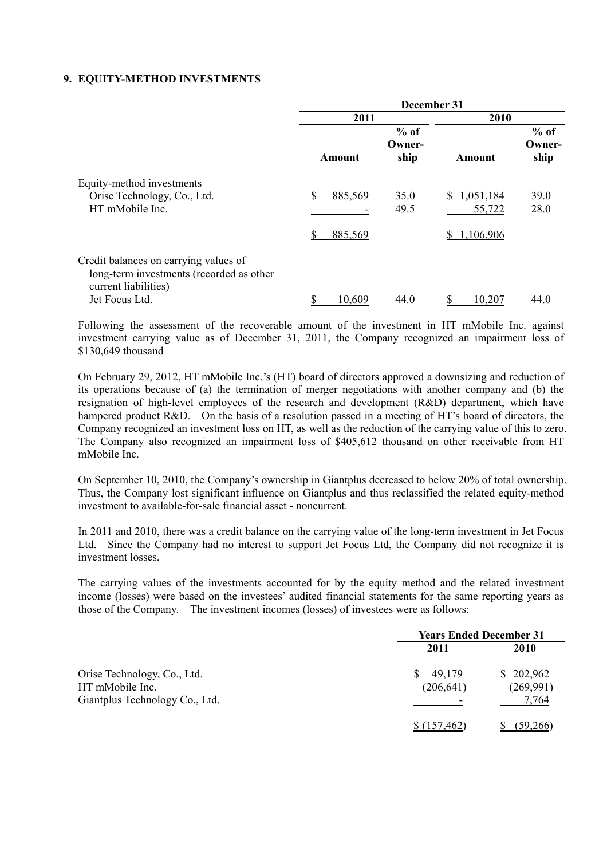#### **9. EQUITY-METHOD INVESTMENTS**

|                                                                                                                             | December 31              |                          |                                  |                          |
|-----------------------------------------------------------------------------------------------------------------------------|--------------------------|--------------------------|----------------------------------|--------------------------|
|                                                                                                                             | 2011                     |                          | 2010                             |                          |
|                                                                                                                             | Amount                   | $%$ of<br>Owner-<br>ship | Amount                           | $%$ of<br>Owner-<br>ship |
| Equity-method investments<br>Orise Technology, Co., Ltd.<br>HT mMobile Inc.                                                 | \$<br>885,569<br>885,569 | 35.0<br>49.5             | \$1,051,184<br>55,722<br>106,906 | 39.0<br>28.0             |
| Credit balances on carrying values of<br>long-term investments (recorded as other<br>current liabilities)<br>Jet Focus Ltd. | 10,609                   | 44.0                     | 10,207                           | 44.0                     |

Following the assessment of the recoverable amount of the investment in HT mMobile Inc. against investment carrying value as of December 31, 2011, the Company recognized an impairment loss of \$130,649 thousand

On February 29, 2012, HT mMobile Inc.'s (HT) board of directors approved a downsizing and reduction of its operations because of (a) the termination of merger negotiations with another company and (b) the resignation of high-level employees of the research and development (R&D) department, which have hampered product R&D. On the basis of a resolution passed in a meeting of HT's board of directors, the Company recognized an investment loss on HT, as well as the reduction of the carrying value of this to zero. The Company also recognized an impairment loss of \$405,612 thousand on other receivable from HT mMobile Inc.

On September 10, 2010, the Company's ownership in Giantplus decreased to below 20% of total ownership. Thus, the Company lost significant influence on Giantplus and thus reclassified the related equity-method investment to available-for-sale financial asset - noncurrent.

In 2011 and 2010, there was a credit balance on the carrying value of the long-term investment in Jet Focus Ltd. Since the Company had no interest to support Jet Focus Ltd, the Company did not recognize it is investment losses.

The carrying values of the investments accounted for by the equity method and the related investment income (losses) were based on the investees' audited financial statements for the same reporting years as those of the Company. The investment incomes (losses) of investees were as follows:

|                                | <b>Years Ended December 31</b> |           |  |
|--------------------------------|--------------------------------|-----------|--|
|                                | 2011                           | 2010      |  |
| Orise Technology, Co., Ltd.    | 49,179<br>S.                   | \$202,962 |  |
| HT mMobile Inc.                | (206, 641)                     | (269,991) |  |
| Giantplus Technology Co., Ltd. |                                | 7,764     |  |
|                                | \$(157,462)                    | (59,266)  |  |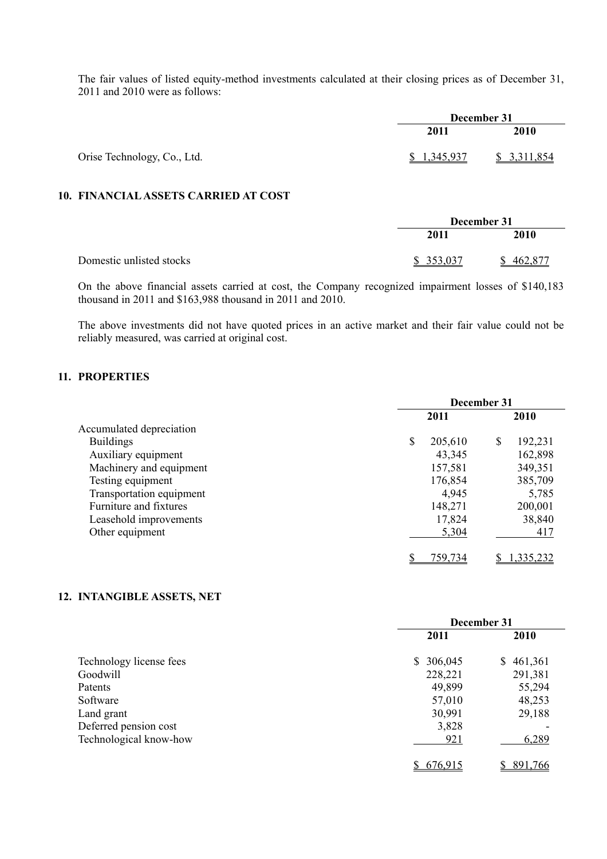The fair values of listed equity-method investments calculated at their closing prices as of December 31, 2011 and 2010 were as follows:

|                             |             | December 31 |  |  |
|-----------------------------|-------------|-------------|--|--|
|                             | 2011        | 2010        |  |  |
| Orise Technology, Co., Ltd. | \$1,345,937 | \$3,311,854 |  |  |

## **10. FINANCIAL ASSETS CARRIED AT COST**

|                          | December 31 |         |  |
|--------------------------|-------------|---------|--|
|                          | 2011        | 2010    |  |
| Domestic unlisted stocks | \$353,037   | 462,877 |  |

On the above financial assets carried at cost, the Company recognized impairment losses of \$140,183 thousand in 2011 and \$163,988 thousand in 2011 and 2010.

The above investments did not have quoted prices in an active market and their fair value could not be reliably measured, was carried at original cost.

## **11. PROPERTIES**

| December 31 |         |    |         |
|-------------|---------|----|---------|
|             | 2011    |    | 2010    |
|             |         |    |         |
| \$          | 205,610 | \$ | 192,231 |
|             | 43,345  |    | 162,898 |
|             | 157,581 |    | 349,351 |
|             | 176,854 |    | 385,709 |
|             | 4,945   |    | 5,785   |
|             | 148,271 |    | 200,001 |
|             | 17,824  |    | 38,840  |
|             | 5,304   |    | 417     |
|             | 759 734 |    | 335.232 |
|             |         |    |         |

# **12. INTANGIBLE ASSETS, NET**

|                         | December 31   |               |  |
|-------------------------|---------------|---------------|--|
|                         | 2011          | <b>2010</b>   |  |
| Technology license fees | 306,045<br>S. | 461,361<br>S. |  |
| Goodwill                | 228,221       | 291,381       |  |
| Patents                 | 49,899        | 55,294        |  |
| Software                | 57,010        | 48,253        |  |
| Land grant              | 30,991        | 29,188        |  |
| Deferred pension cost   | 3,828         |               |  |
| Technological know-how  | 921           | 6,289         |  |
|                         | 676.915       | 891,766       |  |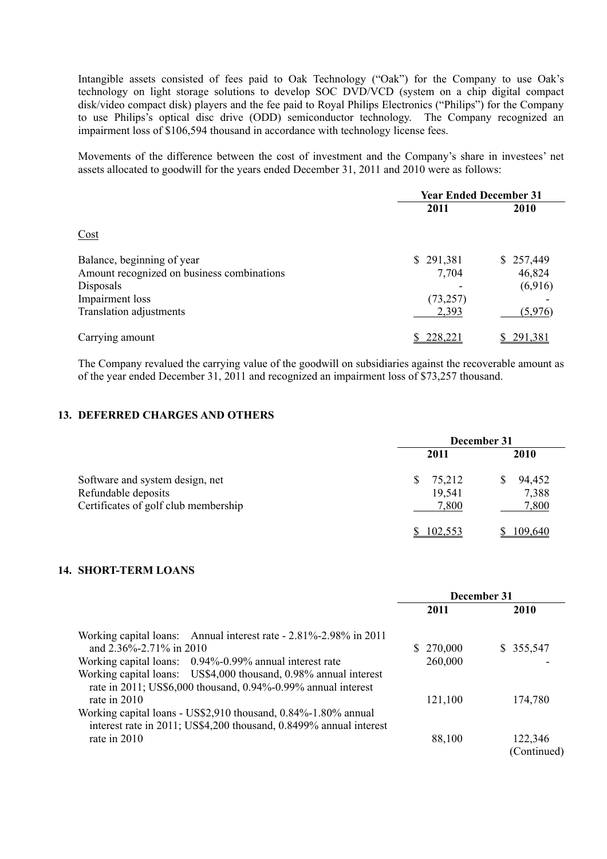Intangible assets consisted of fees paid to Oak Technology ("Oak") for the Company to use Oak's technology on light storage solutions to develop SOC DVD/VCD (system on a chip digital compact disk/video compact disk) players and the fee paid to Royal Philips Electronics ("Philips") for the Company to use Philips's optical disc drive (ODD) semiconductor technology. The Company recognized an impairment loss of \$106,594 thousand in accordance with technology license fees.

Movements of the difference between the cost of investment and the Company's share in investees' net assets allocated to goodwill for the years ended December 31, 2011 and 2010 were as follows:

|                                            | <b>Year Ended December 31</b> |           |  |
|--------------------------------------------|-------------------------------|-----------|--|
|                                            | 2011                          | 2010      |  |
| Cost                                       |                               |           |  |
| Balance, beginning of year                 | \$291,381                     | \$257,449 |  |
| Amount recognized on business combinations | 7,704                         | 46,824    |  |
| Disposals                                  |                               | (6,916)   |  |
| Impairment loss                            | (73, 257)                     |           |  |
| Translation adjustments                    | 2,393                         | (5,976)   |  |
| Carrying amount                            | 228,221                       | 291,381   |  |

The Company revalued the carrying value of the goodwill on subsidiaries against the recoverable amount as of the year ended December 31, 2011 and recognized an impairment loss of \$73,257 thousand.

#### **13. DEFERRED CHARGES AND OTHERS**

|                                                                                                | December 31                    |                          |  |
|------------------------------------------------------------------------------------------------|--------------------------------|--------------------------|--|
|                                                                                                | 2011                           | 2010                     |  |
| Software and system design, net<br>Refundable deposits<br>Certificates of golf club membership | 75,212<br>S<br>19,541<br>7,800 | 94,452<br>7,388<br>7,800 |  |
|                                                                                                | 102.553                        | 109,640                  |  |

## **14. SHORT-TERM LOANS**

|                                                                    |           | December 31 |
|--------------------------------------------------------------------|-----------|-------------|
|                                                                    | 2011      | 2010        |
| Working capital loans: Annual interest rate - 2.81%-2.98% in 2011  |           |             |
| and 2.36%-2.71% in 2010                                            | \$270,000 | \$355,547   |
| Working capital loans: 0.94%-0.99% annual interest rate            | 260,000   |             |
| Working capital loans: US\$4,000 thousand, 0.98% annual interest   |           |             |
| rate in 2011; US\$6,000 thousand, 0.94%-0.99% annual interest      |           |             |
| rate in $2010$                                                     | 121,100   | 174,780     |
| Working capital loans - US\$2,910 thousand, 0.84%-1.80% annual     |           |             |
| interest rate in 2011; US\$4,200 thousand, 0.8499% annual interest |           |             |
| rate in 2010                                                       | 88,100    | 122,346     |
|                                                                    |           | (Continued) |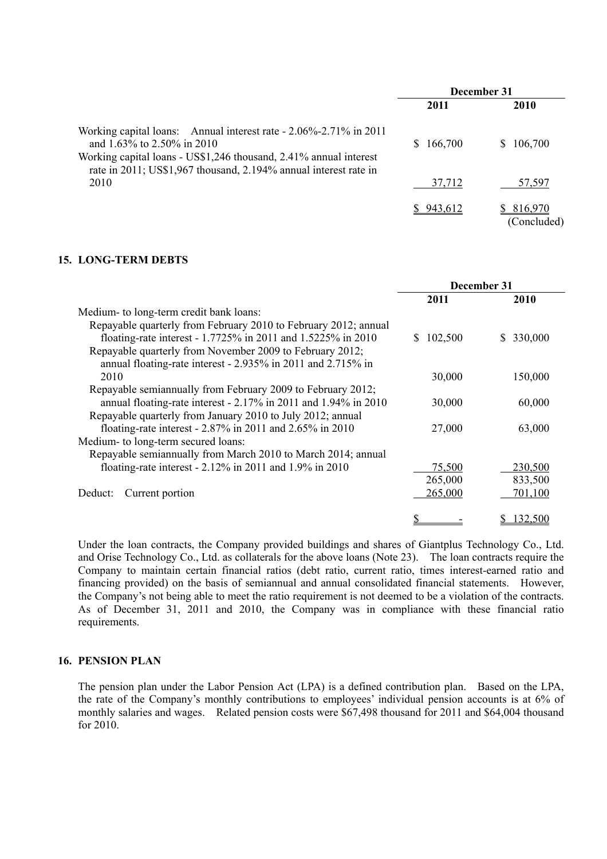|                                                                                                                                                                                                                                          |           | December 31            |
|------------------------------------------------------------------------------------------------------------------------------------------------------------------------------------------------------------------------------------------|-----------|------------------------|
|                                                                                                                                                                                                                                          | 2011      | 2010                   |
| Working capital loans: Annual interest rate - 2.06%-2.71% in 2011<br>and 1.63% to 2.50% in 2010<br>Working capital loans - US\$1,246 thousand, 2.41% annual interest<br>rate in 2011; US\$1,967 thousand, 2.194% annual interest rate in | \$166,700 | 106,700<br>S.          |
| 2010                                                                                                                                                                                                                                     | 37,712    | 57,597                 |
|                                                                                                                                                                                                                                          | \$943612  | 816,970<br>(Concluded) |

#### **15. LONG-TERM DEBTS**

|                                                                 | December 31 |               |
|-----------------------------------------------------------------|-------------|---------------|
|                                                                 | 2011        | 2010          |
| Medium- to long-term credit bank loans:                         |             |               |
| Repayable quarterly from February 2010 to February 2012; annual |             |               |
| floating-rate interest - 1.7725% in 2011 and 1.5225% in 2010    | 102,500     | 330,000<br>S. |
| Repayable quarterly from November 2009 to February 2012;        |             |               |
| annual floating-rate interest - 2.935% in 2011 and 2.715% in    |             |               |
| 2010                                                            | 30,000      | 150,000       |
| Repayable semiannually from February 2009 to February 2012;     |             |               |
| annual floating-rate interest - 2.17% in 2011 and 1.94% in 2010 | 30,000      | 60,000        |
| Repayable quarterly from January 2010 to July 2012; annual      |             |               |
| floating-rate interest - $2.87\%$ in 2011 and $2.65\%$ in 2010  | 27,000      | 63,000        |
| Medium- to long-term secured loans:                             |             |               |
| Repayable semiannually from March 2010 to March 2014; annual    |             |               |
| floating-rate interest - $2.12\%$ in 2011 and 1.9% in 2010      | 75,500      | 230,500       |
|                                                                 | 265,000     | 833,500       |
| Current portion<br>Deduct:                                      | 265,000     | 701,100       |
|                                                                 |             | 132,500       |

Under the loan contracts, the Company provided buildings and shares of Giantplus Technology Co., Ltd. and Orise Technology Co., Ltd. as collaterals for the above loans (Note 23). The loan contracts require the Company to maintain certain financial ratios (debt ratio, current ratio, times interest-earned ratio and financing provided) on the basis of semiannual and annual consolidated financial statements. However, the Company's not being able to meet the ratio requirement is not deemed to be a violation of the contracts. As of December 31, 2011 and 2010, the Company was in compliance with these financial ratio requirements.

# **16. PENSION PLAN**

The pension plan under the Labor Pension Act (LPA) is a defined contribution plan. Based on the LPA, the rate of the Company's monthly contributions to employees' individual pension accounts is at 6% of monthly salaries and wages. Related pension costs were \$67,498 thousand for 2011 and \$64,004 thousand for 2010.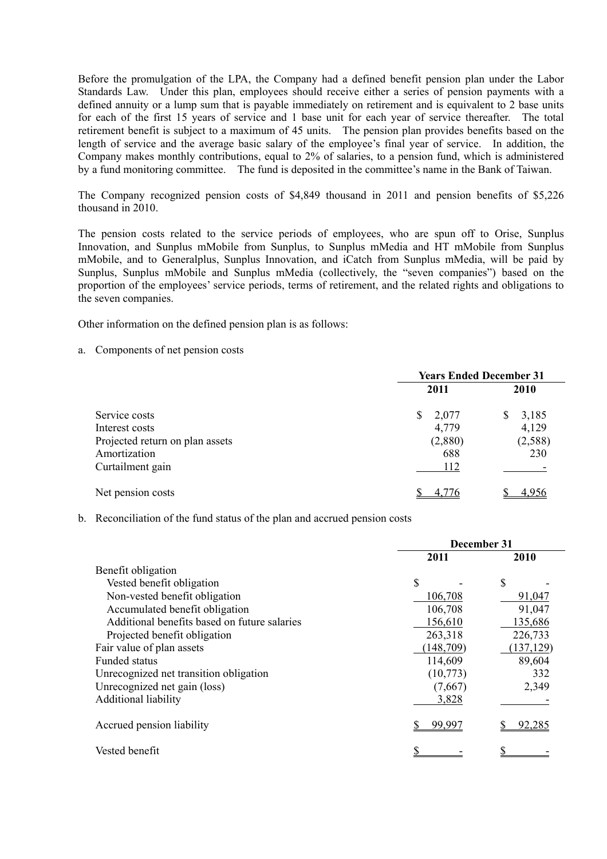Before the promulgation of the LPA, the Company had a defined benefit pension plan under the Labor Standards Law. Under this plan, employees should receive either a series of pension payments with a defined annuity or a lump sum that is payable immediately on retirement and is equivalent to 2 base units for each of the first 15 years of service and 1 base unit for each year of service thereafter. The total retirement benefit is subject to a maximum of 45 units. The pension plan provides benefits based on the length of service and the average basic salary of the employee's final year of service. In addition, the Company makes monthly contributions, equal to 2% of salaries, to a pension fund, which is administered by a fund monitoring committee. The fund is deposited in the committee's name in the Bank of Taiwan.

The Company recognized pension costs of \$4,849 thousand in 2011 and pension benefits of \$5,226 thousand in 2010.

The pension costs related to the service periods of employees, who are spun off to Orise, Sunplus Innovation, and Sunplus mMobile from Sunplus, to Sunplus mMedia and HT mMobile from Sunplus mMobile, and to Generalplus, Sunplus Innovation, and iCatch from Sunplus mMedia, will be paid by Sunplus, Sunplus mMobile and Sunplus mMedia (collectively, the "seven companies") based on the proportion of the employees' service periods, terms of retirement, and the related rights and obligations to the seven companies.

Other information on the defined pension plan is as follows:

a. Components of net pension costs

|                                 | <b>Years Ended December 31</b> |                       |  |
|---------------------------------|--------------------------------|-----------------------|--|
|                                 | 2011                           | 2010                  |  |
| Service costs                   | \$<br>2,077                    | 3,185<br><sup>S</sup> |  |
| Interest costs                  | 4,779                          | 4,129                 |  |
| Projected return on plan assets | (2,880)                        | (2,588)               |  |
| Amortization                    | 688                            | 230                   |  |
| Curtailment gain                | 112                            |                       |  |
| Net pension costs               | 4 7 7 6                        |                       |  |

b. Reconciliation of the fund status of the plan and accrued pension costs

|                                              | December 31 |            |  |
|----------------------------------------------|-------------|------------|--|
|                                              | 2011        | 2010       |  |
| Benefit obligation                           |             |            |  |
| Vested benefit obligation                    | \$          | \$         |  |
| Non-vested benefit obligation                | 106,708     | 91,047     |  |
| Accumulated benefit obligation               | 106,708     | 91,047     |  |
| Additional benefits based on future salaries | 156,610     | 135,686    |  |
| Projected benefit obligation                 | 263,318     | 226,733    |  |
| Fair value of plan assets                    | (148, 709)  | (137, 129) |  |
| <b>Funded status</b>                         | 114,609     | 89,604     |  |
| Unrecognized net transition obligation       | (10,773)    | 332        |  |
| Unrecognized net gain (loss)                 | (7,667)     | 2,349      |  |
| Additional liability                         | 3,828       |            |  |
| Accrued pension liability                    | 99.997      | 92.285     |  |
| Vested benefit                               |             |            |  |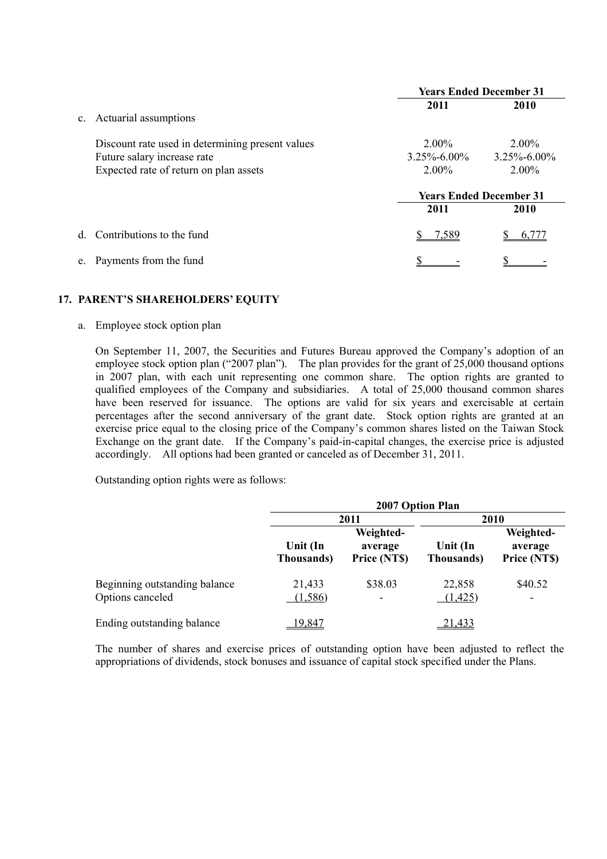|                |                                                  | <b>Years Ended December 31</b> |                   |  |
|----------------|--------------------------------------------------|--------------------------------|-------------------|--|
|                |                                                  | 2011                           | 2010              |  |
| $\mathbf{c}$ . | Actuarial assumptions                            |                                |                   |  |
|                | Discount rate used in determining present values | $2.00\%$                       | $2.00\%$          |  |
|                | Future salary increase rate                      | $3.25\% - 6.00\%$              | $3.25\% - 6.00\%$ |  |
|                | Expected rate of return on plan assets           | $2.00\%$                       | $2.00\%$          |  |
|                |                                                  | <b>Years Ended December 31</b> |                   |  |
|                |                                                  | 2011                           | 2010              |  |
| <sub>d</sub>   | Contributions to the fund                        | 7.589                          |                   |  |
|                | Payments from the fund                           |                                |                   |  |

## **17. PARENT'S SHAREHOLDERS' EQUITY**

a. Employee stock option plan

On September 11, 2007, the Securities and Futures Bureau approved the Company's adoption of an employee stock option plan ("2007 plan"). The plan provides for the grant of 25,000 thousand options in 2007 plan, with each unit representing one common share. The option rights are granted to qualified employees of the Company and subsidiaries. A total of 25,000 thousand common shares have been reserved for issuance. The options are valid for six years and exercisable at certain percentages after the second anniversary of the grant date. Stock option rights are granted at an exercise price equal to the closing price of the Company's common shares listed on the Taiwan Stock Exchange on the grant date. If the Company's paid-in-capital changes, the exercise price is adjusted accordingly. All options had been granted or canceled as of December 31, 2011.

Outstanding option rights were as follows:

|                                                   | 2007 Option Plan       |                                      |                        |                                      |  |
|---------------------------------------------------|------------------------|--------------------------------------|------------------------|--------------------------------------|--|
|                                                   |                        | 2011                                 | 2010                   |                                      |  |
|                                                   | Unit (In<br>Thousands) | Weighted-<br>average<br>Price (NT\$) | Unit (In<br>Thousands) | Weighted-<br>average<br>Price (NT\$) |  |
| Beginning outstanding balance<br>Options canceled | 21,433<br>(1,586)      | \$38.03<br>$\overline{\phantom{a}}$  | 22,858<br>(1,425)      | \$40.52<br>$\overline{\phantom{a}}$  |  |
| Ending outstanding balance                        | 19.847                 |                                      | 21,433                 |                                      |  |

The number of shares and exercise prices of outstanding option have been adjusted to reflect the appropriations of dividends, stock bonuses and issuance of capital stock specified under the Plans.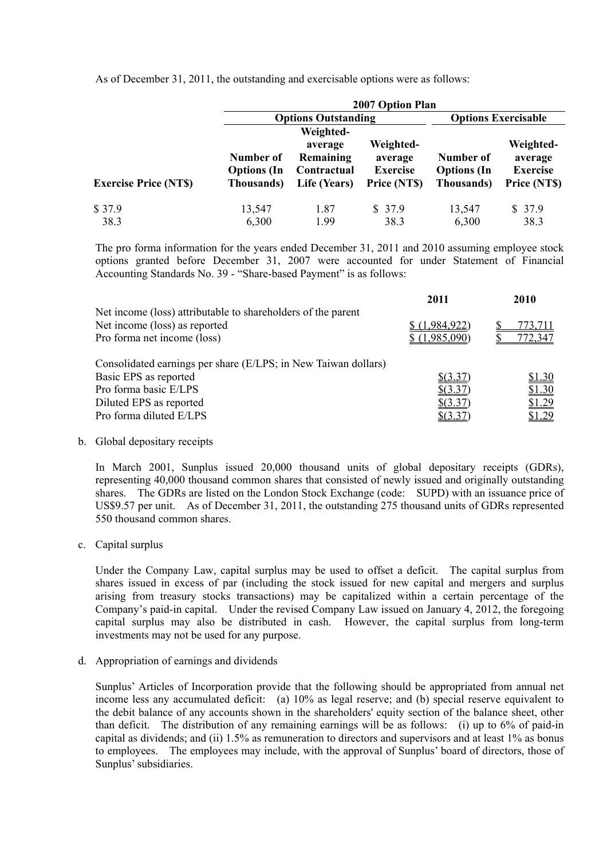|                             |                                               | 2007 Option Plan                                                 |                                                         |                                                       |                                                         |  |
|-----------------------------|-----------------------------------------------|------------------------------------------------------------------|---------------------------------------------------------|-------------------------------------------------------|---------------------------------------------------------|--|
|                             |                                               | <b>Options Outstanding</b>                                       |                                                         |                                                       | <b>Options Exercisable</b>                              |  |
| <b>Exercise Price (NTS)</b> | Number of<br><b>Options</b> (In<br>Thousands) | Weighted-<br>average<br>Remaining<br>Contractual<br>Life (Years) | Weighted-<br>average<br><b>Exercise</b><br>Price (NT\$) | Number of<br><b>Options</b> (In<br><b>Thousands</b> ) | Weighted-<br>average<br><b>Exercise</b><br>Price (NT\$) |  |
| \$37.9                      | 13,547                                        | 1.87                                                             | \$37.9                                                  | 13,547                                                | \$37.9                                                  |  |
| 38.3                        | 6,300                                         | 1.99                                                             | 38.3                                                    | 6,300                                                 | 38.3                                                    |  |

As of December 31, 2011, the outstanding and exercisable options were as follows:

The pro forma information for the years ended December 31, 2011 and 2010 assuming employee stock options granted before December 31, 2007 were accounted for under Statement of Financial Accounting Standards No. 39 - "Share-based Payment" is as follows:

|                                                                                                                              | 2011                       | 2010    |
|------------------------------------------------------------------------------------------------------------------------------|----------------------------|---------|
| Net income (loss) attributable to shareholders of the parent<br>Net income (loss) as reported<br>Pro forma net income (loss) | .984,922)<br>\$(1,985,090) | 772,347 |
| Consolidated earnings per share (E/LPS; in New Taiwan dollars)                                                               |                            |         |
| Basic EPS as reported                                                                                                        | $$$ (3.37)                 | \$1.30  |
| Pro forma basic E/LPS                                                                                                        | \$ (3.37)                  | \$1.30  |
| Diluted EPS as reported                                                                                                      | $$$ (3.37)                 | \$1.29  |
| Pro forma diluted E/LPS                                                                                                      | $$$ (3.37)                 | \$1.29  |

b. Global depositary receipts

In March 2001, Sunplus issued 20,000 thousand units of global depositary receipts (GDRs), representing 40,000 thousand common shares that consisted of newly issued and originally outstanding shares. The GDRs are listed on the London Stock Exchange (code: SUPD) with an issuance price of US\$9.57 per unit. As of December 31, 2011, the outstanding 275 thousand units of GDRs represented 550 thousand common shares.

c. Capital surplus

Under the Company Law, capital surplus may be used to offset a deficit. The capital surplus from shares issued in excess of par (including the stock issued for new capital and mergers and surplus arising from treasury stocks transactions) may be capitalized within a certain percentage of the Company's paid-in capital. Under the revised Company Law issued on January 4, 2012, the foregoing capital surplus may also be distributed in cash. However, the capital surplus from long-term investments may not be used for any purpose.

d. Appropriation of earnings and dividends

Sunplus' Articles of Incorporation provide that the following should be appropriated from annual net income less any accumulated deficit: (a) 10% as legal reserve; and (b) special reserve equivalent to the debit balance of any accounts shown in the shareholders' equity section of the balance sheet, other than deficit. The distribution of any remaining earnings will be as follows: (i) up to 6% of paid-in capital as dividends; and (ii) 1.5% as remuneration to directors and supervisors and at least 1% as bonus to employees. The employees may include, with the approval of Sunplus' board of directors, those of Sunplus' subsidiaries.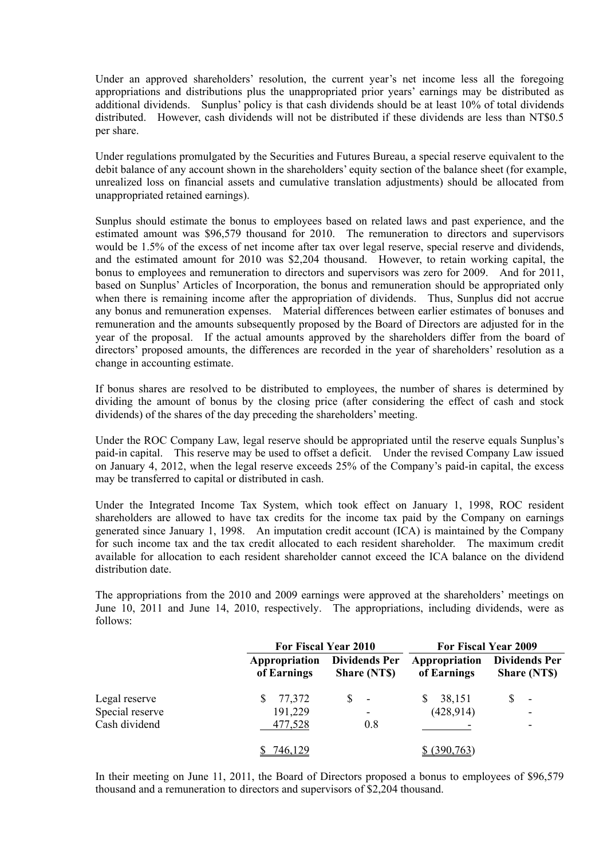Under an approved shareholders' resolution, the current year's net income less all the foregoing appropriations and distributions plus the unappropriated prior years' earnings may be distributed as additional dividends. Sunplus' policy is that cash dividends should be at least 10% of total dividends distributed. However, cash dividends will not be distributed if these dividends are less than NT\$0.5 per share.

Under regulations promulgated by the Securities and Futures Bureau, a special reserve equivalent to the debit balance of any account shown in the shareholders' equity section of the balance sheet (for example, unrealized loss on financial assets and cumulative translation adjustments) should be allocated from unappropriated retained earnings).

Sunplus should estimate the bonus to employees based on related laws and past experience, and the estimated amount was \$96,579 thousand for 2010. The remuneration to directors and supervisors would be 1.5% of the excess of net income after tax over legal reserve, special reserve and dividends, and the estimated amount for 2010 was \$2,204 thousand. However, to retain working capital, the bonus to employees and remuneration to directors and supervisors was zero for 2009. And for 2011, based on Sunplus' Articles of Incorporation, the bonus and remuneration should be appropriated only when there is remaining income after the appropriation of dividends. Thus, Sunplus did not accrue any bonus and remuneration expenses. Material differences between earlier estimates of bonuses and remuneration and the amounts subsequently proposed by the Board of Directors are adjusted for in the year of the proposal. If the actual amounts approved by the shareholders differ from the board of directors' proposed amounts, the differences are recorded in the year of shareholders' resolution as a change in accounting estimate.

If bonus shares are resolved to be distributed to employees, the number of shares is determined by dividing the amount of bonus by the closing price (after considering the effect of cash and stock dividends) of the shares of the day preceding the shareholders' meeting.

Under the ROC Company Law, legal reserve should be appropriated until the reserve equals Sunplus's paid-in capital. This reserve may be used to offset a deficit. Under the revised Company Law issued on January 4, 2012, when the legal reserve exceeds 25% of the Company's paid-in capital, the excess may be transferred to capital or distributed in cash.

Under the Integrated Income Tax System, which took effect on January 1, 1998, ROC resident shareholders are allowed to have tax credits for the income tax paid by the Company on earnings generated since January 1, 1998. An imputation credit account (ICA) is maintained by the Company for such income tax and the tax credit allocated to each resident shareholder. The maximum credit available for allocation to each resident shareholder cannot exceed the ICA balance on the dividend distribution date.

The appropriations from the 2010 and 2009 earnings were approved at the shareholders' meetings on June 10, 2011 and June 14, 2010, respectively. The appropriations, including dividends, were as follows:

|                 |                              | For Fiscal Year 2010                       |                              | For Fiscal Year 2009                       |  |  |
|-----------------|------------------------------|--------------------------------------------|------------------------------|--------------------------------------------|--|--|
|                 | Appropriation<br>of Earnings | <b>Dividends Per</b><br><b>Share (NTS)</b> | Appropriation<br>of Earnings | <b>Dividends Per</b><br><b>Share (NTS)</b> |  |  |
| Legal reserve   | 77,372<br>S                  | S<br>$\overline{\phantom{a}}$              | 38,151<br>S                  | $\overline{\phantom{a}}$                   |  |  |
| Special reserve | 191,229                      | $\qquad \qquad \blacksquare$               | (428, 914)                   |                                            |  |  |
| Cash dividend   | 477,528                      | 0.8                                        |                              |                                            |  |  |
|                 | 746,129                      |                                            | (390, 763)                   |                                            |  |  |

In their meeting on June 11, 2011, the Board of Directors proposed a bonus to employees of \$96,579 thousand and a remuneration to directors and supervisors of \$2,204 thousand.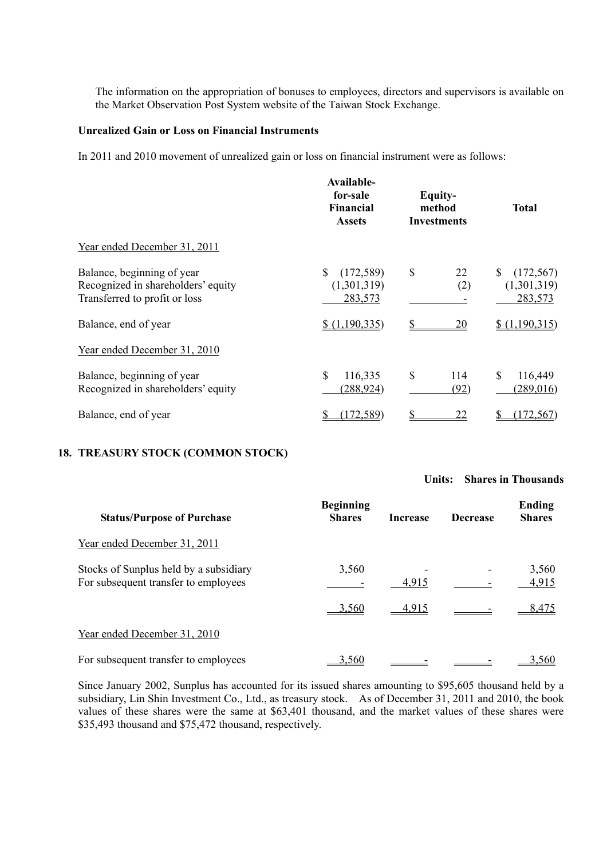The information on the appropriation of bonuses to employees, directors and supervisors is available on the Market Observation Post System website of the Taiwan Stock Exchange.

#### **Unrealized Gain or Loss on Financial Instruments**

In 2011 and 2010 movement of unrealized gain or loss on financial instrument were as follows:

|                                                                                                   | Available-<br>for-sale<br>Financial<br><b>Assets</b> | Equity-<br>method<br><b>Investments</b> | <b>Total</b>                              |
|---------------------------------------------------------------------------------------------------|------------------------------------------------------|-----------------------------------------|-------------------------------------------|
| Year ended December 31, 2011                                                                      |                                                      |                                         |                                           |
| Balance, beginning of year<br>Recognized in shareholders' equity<br>Transferred to profit or loss | $\mathbb{S}$<br>(172, 589)<br>(1,301,319)<br>283,573 | \$<br>22<br>(2)                         | S<br>(172, 567)<br>(1,301,319)<br>283,573 |
| Balance, end of year                                                                              | \$(1,190,335)                                        | 20                                      | \$(1,190,315)                             |
| Year ended December 31, 2010                                                                      |                                                      |                                         |                                           |
| Balance, beginning of year<br>Recognized in shareholders' equity                                  | \$<br>116,335<br>(288, 924)                          | $\mathbb{S}$<br>114<br>(92)             | \$<br>116,449<br>(289,016)                |
| Balance, end of year                                                                              | (172, 589)                                           | <u>22</u>                               | 172,567                                   |

# **18. TREASURY STOCK (COMMON STOCK)**

#### **Units: Shares in Thousands**

| <b>Status/Purpose of Purchase</b>                                              | <b>Beginning</b><br><b>Shares</b> | <b>Increase</b> | <b>Decrease</b> | Ending<br><b>Shares</b> |
|--------------------------------------------------------------------------------|-----------------------------------|-----------------|-----------------|-------------------------|
| Year ended December 31, 2011                                                   |                                   |                 |                 |                         |
| Stocks of Sunplus held by a subsidiary<br>For subsequent transfer to employees | 3,560                             | 4,915           |                 | 3,560<br>4,915          |
|                                                                                | 3.560                             | 4,915           |                 | 8.475                   |
| Year ended December 31, 2010                                                   |                                   |                 |                 |                         |
| For subsequent transfer to employees                                           | 3.560                             |                 |                 | 3,560                   |

Since January 2002, Sunplus has accounted for its issued shares amounting to \$95,605 thousand held by a subsidiary, Lin Shin Investment Co., Ltd., as treasury stock. As of December 31, 2011 and 2010, the book values of these shares were the same at \$63,401 thousand, and the market values of these shares were \$35,493 thousand and \$75,472 thousand, respectively.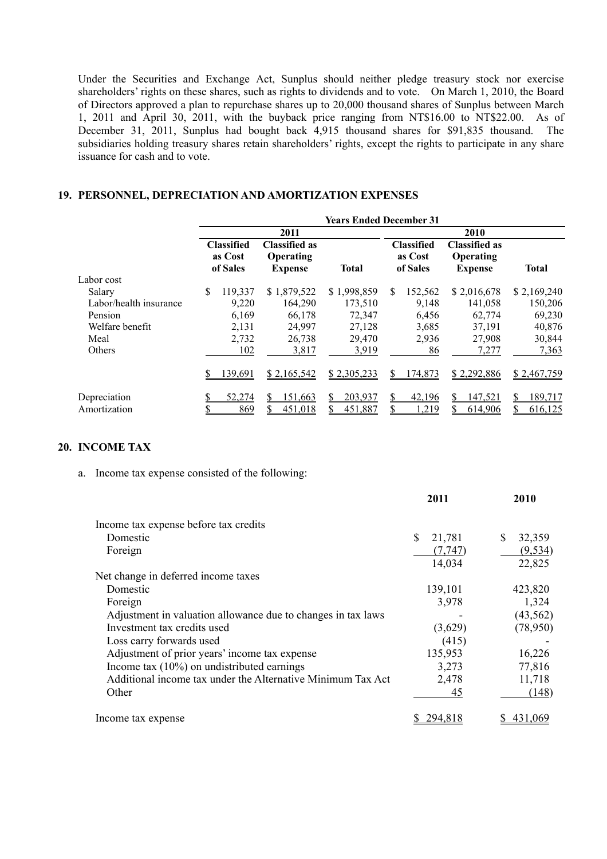Under the Securities and Exchange Act, Sunplus should neither pledge treasury stock nor exercise shareholders' rights on these shares, such as rights to dividends and to vote. On March 1, 2010, the Board of Directors approved a plan to repurchase shares up to 20,000 thousand shares of Sunplus between March 1, 2011 and April 30, 2011, with the buyback price ranging from NT\$16.00 to NT\$22.00. As of December 31, 2011, Sunplus had bought back 4,915 thousand shares for \$91,835 thousand. The subsidiaries holding treasury shares retain shareholders' rights, except the rights to participate in any share issuance for cash and to vote.

## **19. PERSONNEL, DEPRECIATION AND AMORTIZATION EXPENSES**

|                        | <b>Years Ended December 31</b> |                                          |                                                     |              |         |                                          |                                                     |              |
|------------------------|--------------------------------|------------------------------------------|-----------------------------------------------------|--------------|---------|------------------------------------------|-----------------------------------------------------|--------------|
|                        |                                |                                          | 2011                                                |              |         |                                          | 2010                                                |              |
|                        |                                | <b>Classified</b><br>as Cost<br>of Sales | <b>Classified as</b><br>Operating<br><b>Expense</b> | <b>Total</b> |         | <b>Classified</b><br>as Cost<br>of Sales | <b>Classified as</b><br>Operating<br><b>Expense</b> | <b>Total</b> |
| Labor cost             |                                |                                          |                                                     |              |         |                                          |                                                     |              |
| Salary                 | \$                             | 119,337                                  | \$1,879,522                                         | \$1,998,859  | S       | 152,562                                  | \$2,016,678                                         | \$2,169,240  |
| Labor/health insurance |                                | 9,220                                    | 164,290                                             | 173,510      |         | 9,148                                    | 141,058                                             | 150,206      |
| Pension                |                                | 6.169                                    | 66,178                                              | 72,347       |         | 6,456                                    | 62,774                                              | 69,230       |
| Welfare benefit        |                                | 2,131                                    | 24,997                                              | 27,128       |         | 3,685                                    | 37,191                                              | 40,876       |
| Meal                   |                                | 2,732                                    | 26,738                                              | 29,470       |         | 2,936                                    | 27,908                                              | 30,844       |
| <b>Others</b>          |                                | 102                                      | 3,817                                               | 3,919        |         | 86                                       | 7,277                                               | 7,363        |
|                        |                                | 139,691                                  | \$2,165,542                                         | \$2,305,233  | S       | 174,873                                  | \$2,292,886                                         | \$2,467,759  |
| Depreciation           |                                | 52,274                                   | 151,663                                             | 203,937      | S<br>\$ | 42,196                                   | 147,521                                             | 189,717      |
| Amortization           |                                | 869                                      | 451.018                                             | 451,887      |         | 1,219                                    | 614.906                                             | 616,125      |

#### **20. INCOME TAX**

a. Income tax expense consisted of the following:

|                                                              | 2011         | 2010         |
|--------------------------------------------------------------|--------------|--------------|
| Income tax expense before tax credits                        |              |              |
| Domestic                                                     | \$<br>21,781 | \$<br>32,359 |
| Foreign                                                      | (7, 747)     | (9, 534)     |
|                                                              | 14,034       | 22,825       |
| Net change in deferred income taxes                          |              |              |
| Domestic                                                     | 139,101      | 423,820      |
| Foreign                                                      | 3,978        | 1,324        |
| Adjustment in valuation allowance due to changes in tax laws |              | (43, 562)    |
| Investment tax credits used                                  | (3,629)      | (78,950)     |
| Loss carry forwards used                                     | (415)        |              |
| Adjustment of prior years' income tax expense                | 135,953      | 16,226       |
| Income tax $(10\%)$ on undistributed earnings                | 3,273        | 77,816       |
| Additional income tax under the Alternative Minimum Tax Act  | 2,478        | 11,718       |
| Other                                                        | 45           | (148)        |
| Income tax expense                                           | 294.818      |              |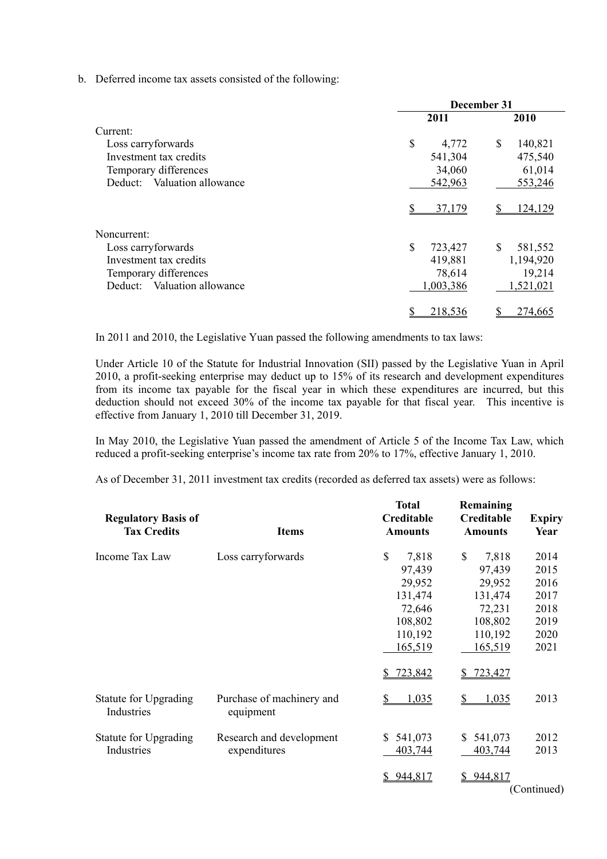b. Deferred income tax assets consisted of the following:

|                             | December 31   |               |  |  |
|-----------------------------|---------------|---------------|--|--|
|                             | 2011          | 2010          |  |  |
| Current:                    |               |               |  |  |
| Loss carryforwards          | \$<br>4,772   | \$<br>140,821 |  |  |
| Investment tax credits      | 541,304       | 475,540       |  |  |
| Temporary differences       | 34,060        | 61,014        |  |  |
| Deduct: Valuation allowance | 542,963       | 553,246       |  |  |
|                             | 37,179        | 124,129       |  |  |
| Noncurrent:                 |               |               |  |  |
| Loss carryforwards          | \$<br>723,427 | \$<br>581,552 |  |  |
| Investment tax credits      | 419,881       | 1,194,920     |  |  |
| Temporary differences       | 78,614        | 19,214        |  |  |
| Deduct: Valuation allowance | 1,003,386     | 1,521,021     |  |  |
|                             | 218,536       | 274,665       |  |  |

In 2011 and 2010, the Legislative Yuan passed the following amendments to tax laws:

Under Article 10 of the Statute for Industrial Innovation (SII) passed by the Legislative Yuan in April 2010, a profit-seeking enterprise may deduct up to 15% of its research and development expenditures from its income tax payable for the fiscal year in which these expenditures are incurred, but this deduction should not exceed 30% of the income tax payable for that fiscal year. This incentive is effective from January 1, 2010 till December 31, 2019.

In May 2010, the Legislative Yuan passed the amendment of Article 5 of the Income Tax Law, which reduced a profit-seeking enterprise's income tax rate from 20% to 17%, effective January 1, 2010.

As of December 31, 2011 investment tax credits (recorded as deferred tax assets) were as follows:

| <b>Regulatory Basis of</b><br><b>Tax Credits</b> | <b>Items</b>                             | <b>Total</b><br>Creditable<br><b>Amounts</b> | Remaining<br>Creditable<br><b>Amounts</b> | <b>Expiry</b><br>Year |
|--------------------------------------------------|------------------------------------------|----------------------------------------------|-------------------------------------------|-----------------------|
| Income Tax Law                                   | Loss carryforwards                       | \$<br>7,818<br>97,439                        | \$<br>7,818<br>97,439                     | 2014<br>2015          |
|                                                  |                                          | 29,952<br>131,474                            | 29,952<br>131,474                         | 2016<br>2017          |
|                                                  |                                          | 72,646<br>108,802                            | 72,231<br>108,802                         | 2018<br>2019          |
|                                                  |                                          | 110,192<br>165,519                           | 110,192<br>165,519                        | 2020<br>2021          |
|                                                  |                                          | \$723,842                                    | 723,427                                   |                       |
| Statute for Upgrading<br>Industries              | Purchase of machinery and<br>equipment   | 1,035<br>S                                   | 1,035<br>S                                | 2013                  |
| Statute for Upgrading<br>Industries              | Research and development<br>expenditures | \$541,073<br>403,744                         | 541,073<br>S.<br>403,744                  | 2012<br>2013          |
|                                                  |                                          | 944,817<br>S                                 | 944,817<br>S.                             | (Continued)           |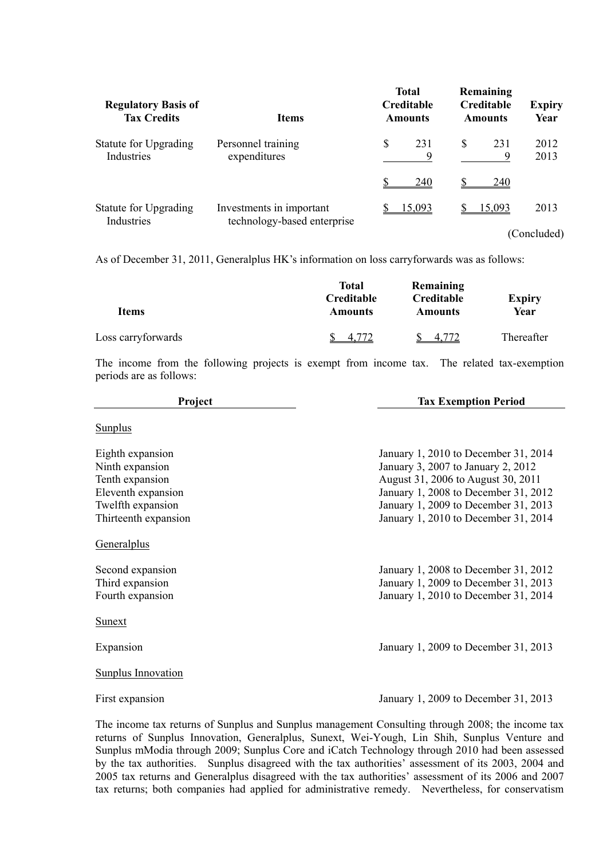| <b>Regulatory Basis of</b><br><b>Tax Credits</b> | <b>Items</b>                                            | <b>Total</b><br><b>Creditable</b><br><b>Amounts</b> | Remaining<br><b>Creditable</b><br><b>Amounts</b> | <b>Expiry</b><br>Year |
|--------------------------------------------------|---------------------------------------------------------|-----------------------------------------------------|--------------------------------------------------|-----------------------|
| Statute for Upgrading<br>Industries              | Personnel training<br>expenditures                      | \$<br>231<br>9                                      | \$<br>231<br>9                                   | 2012<br>2013          |
|                                                  |                                                         | 240                                                 | 240                                              |                       |
| Statute for Upgrading<br>Industries              | Investments in important<br>technology-based enterprise | 15.093                                              | 15,093                                           | 2013                  |
|                                                  |                                                         |                                                     |                                                  | (Concluded)           |

As of December 31, 2011, Generalplus HK's information on loss carryforwards was as follows:

|                    | Total<br>Creditable | Remaining<br>Creditable | <b>Expiry</b> |
|--------------------|---------------------|-------------------------|---------------|
| <b>Items</b>       | <b>Amounts</b>      | <b>Amounts</b>          | Year          |
| Loss carryforwards | 4.7                 | 4.7                     | Thereafter    |

The income from the following projects is exempt from income tax. The related tax-exemption periods are as follows:

| Project                                                                                                                   | <b>Tax Exemption Period</b>                                                                                                                                                                                                              |
|---------------------------------------------------------------------------------------------------------------------------|------------------------------------------------------------------------------------------------------------------------------------------------------------------------------------------------------------------------------------------|
| <b>Sunplus</b>                                                                                                            |                                                                                                                                                                                                                                          |
| Eighth expansion<br>Ninth expansion<br>Tenth expansion<br>Eleventh expansion<br>Twelfth expansion<br>Thirteenth expansion | January 1, 2010 to December 31, 2014<br>January 3, 2007 to January 2, 2012<br>August 31, 2006 to August 30, 2011<br>January 1, 2008 to December 31, 2012<br>January 1, 2009 to December 31, 2013<br>January 1, 2010 to December 31, 2014 |
| <u>Generalplus</u>                                                                                                        |                                                                                                                                                                                                                                          |
| Second expansion<br>Third expansion<br>Fourth expansion                                                                   | January 1, 2008 to December 31, 2012<br>January 1, 2009 to December 31, 2013<br>January 1, 2010 to December 31, 2014                                                                                                                     |
| <b>Sunext</b>                                                                                                             |                                                                                                                                                                                                                                          |
| Expansion                                                                                                                 | January 1, 2009 to December 31, 2013                                                                                                                                                                                                     |
| <b>Sunplus Innovation</b>                                                                                                 |                                                                                                                                                                                                                                          |
| First expansion                                                                                                           | January 1, 2009 to December 31, 2013                                                                                                                                                                                                     |

The income tax returns of Sunplus and Sunplus management Consulting through 2008; the income tax returns of Sunplus Innovation, Generalplus, Sunext, Wei-Yough, Lin Shih, Sunplus Venture and Sunplus mModia through 2009; Sunplus Core and iCatch Technology through 2010 had been assessed by the tax authorities. Sunplus disagreed with the tax authorities' assessment of its 2003, 2004 and 2005 tax returns and Generalplus disagreed with the tax authorities' assessment of its 2006 and 2007 tax returns; both companies had applied for administrative remedy. Nevertheless, for conservatism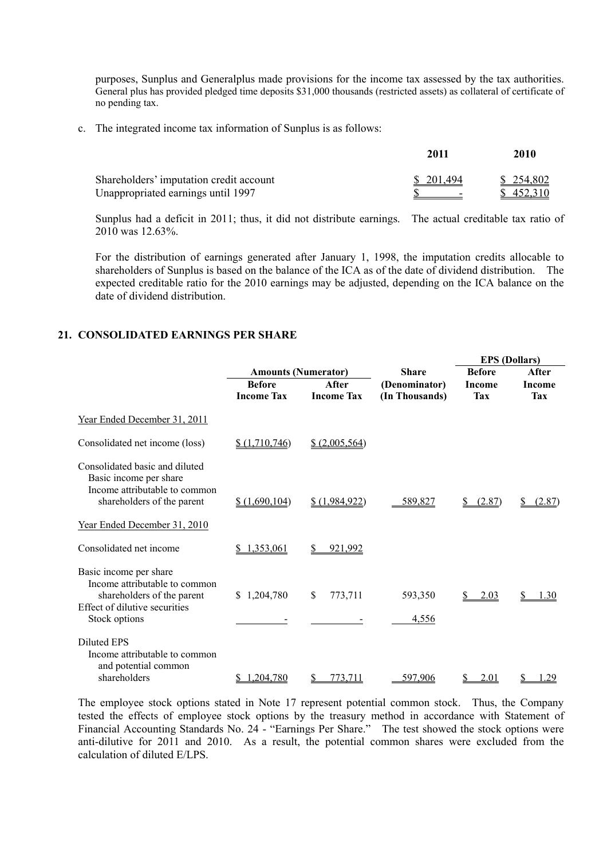purposes, Sunplus and Generalplus made provisions for the income tax assessed by the tax authorities. General plus has provided pledged time deposits \$31,000 thousands (restricted assets) as collateral of certificate of no pending tax.

c. The integrated income tax information of Sunplus is as follows:

|                                         | 2011       | 2010      |
|-----------------------------------------|------------|-----------|
| Shareholders' imputation credit account | \$ 201.494 | \$254,802 |
| Unappropriated earnings until 1997      |            | \$452,310 |

Sunplus had a deficit in 2011; thus, it did not distribute earnings. The actual creditable tax ratio of 2010 was 12.63%.

For the distribution of earnings generated after January 1, 1998, the imputation credits allocable to shareholders of Sunplus is based on the balance of the ICA as of the date of dividend distribution. The expected creditable ratio for the 2010 earnings may be adjusted, depending on the ICA balance on the date of dividend distribution.

## **21. CONSOLIDATED EARNINGS PER SHARE**

|                                                                                                                                         |                                    |                            |                                 | <b>EPS</b> (Dollars)        |                      |
|-----------------------------------------------------------------------------------------------------------------------------------------|------------------------------------|----------------------------|---------------------------------|-----------------------------|----------------------|
|                                                                                                                                         | <b>Amounts (Numerator)</b>         |                            | <b>Share</b>                    | <b>Before</b>               | After                |
|                                                                                                                                         | <b>Before</b><br><b>Income Tax</b> | After<br><b>Income Tax</b> | (Denominator)<br>(In Thousands) | <b>Income</b><br><b>Tax</b> | <b>Income</b><br>Tax |
| Year Ended December 31, 2011                                                                                                            |                                    |                            |                                 |                             |                      |
| Consolidated net income (loss)                                                                                                          | \$(1,710,746)                      | \$ (2,005,564)             |                                 |                             |                      |
| Consolidated basic and diluted<br>Basic income per share<br>Income attributable to common<br>shareholders of the parent                 | \$(1,690,104)                      | \$(1,984,922)              | 589,827                         | (2.87)                      | (2.87)               |
| Year Ended December 31, 2010                                                                                                            |                                    |                            |                                 |                             |                      |
| Consolidated net income                                                                                                                 | 1.353.061                          | 921.992                    |                                 |                             |                      |
| Basic income per share<br>Income attributable to common<br>shareholders of the parent<br>Effect of dilutive securities<br>Stock options | \$1,204,780                        | S.<br>773,711              | 593,350<br>4,556                | <u>2.03</u>                 | 1.30                 |
| <b>Diluted EPS</b><br>Income attributable to common<br>and potential common<br>shareholders                                             | .204,780                           | 773.711<br>S               | 597,906                         | <u>2.01</u>                 | 29                   |

The employee stock options stated in Note 17 represent potential common stock. Thus, the Company tested the effects of employee stock options by the treasury method in accordance with Statement of Financial Accounting Standards No. 24 - "Earnings Per Share." The test showed the stock options were anti-dilutive for 2011 and 2010. As a result, the potential common shares were excluded from the calculation of diluted E/LPS.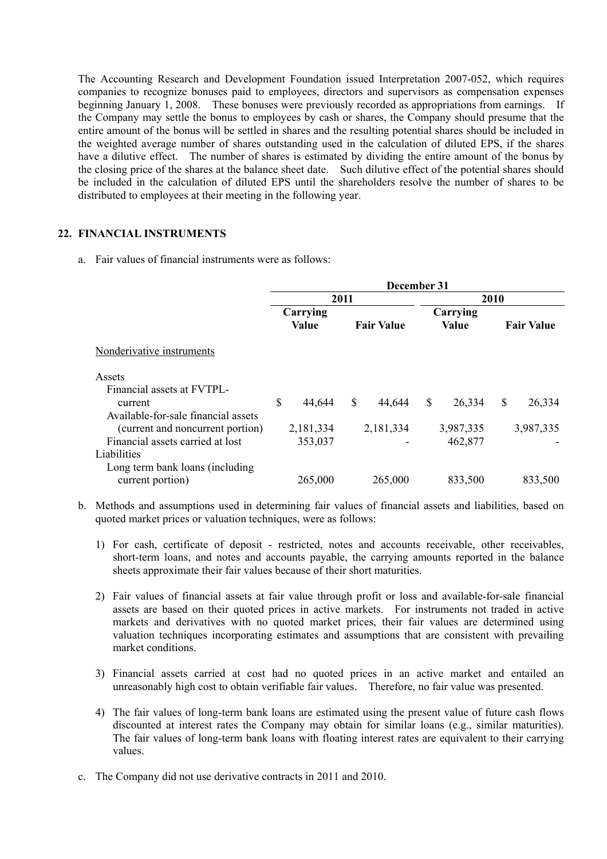The Accounting Research and Development Foundation issued Interpretation 2007-052, which requires companies to recognize bonuses paid to employees, directors and supervisors as compensation expenses beginning January 1, 2008. These bonuses were previously recorded as appropriations from earnings. If the Company may settle the bonus to employees by cash or shares, the Company should presume that the entire amount of the bonus will be settled in shares and the resulting potential shares should be included in the weighted average number of shares outstanding used in the calculation of diluted EPS, if the shares have a dilutive effect. The number of shares is estimated by dividing the entire amount of the bonus by the closing price of the shares at the balance sheet date. Such dilutive effect of the potential shares should be included in the calculation of diluted EPS until the shareholders resolve the number of shares to be distributed to employees at their meeting in the following year.

## **22. FINANCIAL INSTRUMENTS**

a. Fair values of financial instruments were as follows:

|                                     | December 31 |                   |      |                   |      |                          |   |                   |
|-------------------------------------|-------------|-------------------|------|-------------------|------|--------------------------|---|-------------------|
|                                     |             |                   | 2011 |                   | 2010 |                          |   |                   |
|                                     |             | Carrying<br>Value |      | <b>Fair Value</b> |      | Carrying<br><b>Value</b> |   | <b>Fair Value</b> |
| Nonderivative instruments           |             |                   |      |                   |      |                          |   |                   |
| Assets                              |             |                   |      |                   |      |                          |   |                   |
| Financial assets at FVTPL-          |             |                   |      |                   |      |                          |   |                   |
| current                             | \$          | 44,644            | \$   | 44,644            | \$   | 26,334                   | S | 26,334            |
| Available-for-sale financial assets |             |                   |      |                   |      |                          |   |                   |
| (current and noncurrent portion)    |             | 2,181,334         |      | 2,181,334         |      | 3,987,335                |   | 3,987,335         |
| Financial assets carried at lost    |             | 353,037           |      |                   |      | 462,877                  |   |                   |
| Liabilities                         |             |                   |      |                   |      |                          |   |                   |
| Long term bank loans (including     |             |                   |      |                   |      |                          |   |                   |
| current portion)                    |             | 265,000           |      | 265,000           |      | 833,500                  |   | 833,500           |

- b. Methods and assumptions used in determining fair values of financial assets and liabilities, based on quoted market prices or valuation techniques, were as follows:
	- 1) For cash, certificate of deposit restricted, notes and accounts receivable, other receivables, short-term loans, and notes and accounts payable, the carrying amounts reported in the balance sheets approximate their fair values because of their short maturities.
	- 2) Fair values of financial assets at fair value through profit or loss and available-for-sale financial assets are based on their quoted prices in active markets. For instruments not traded in active markets and derivatives with no quoted market prices, their fair values are determined using valuation techniques incorporating estimates and assumptions that are consistent with prevailing market conditions.
	- 3) Financial assets carried at cost had no quoted prices in an active market and entailed an unreasonably high cost to obtain verifiable fair values. Therefore, no fair value was presented.
	- 4) The fair values of long-term bank loans are estimated using the present value of future cash flows discounted at interest rates the Company may obtain for similar loans (e.g., similar maturities). The fair values of long-term bank loans with floating interest rates are equivalent to their carrying values.
- c. The Company did not use derivative contracts in 2011 and 2010.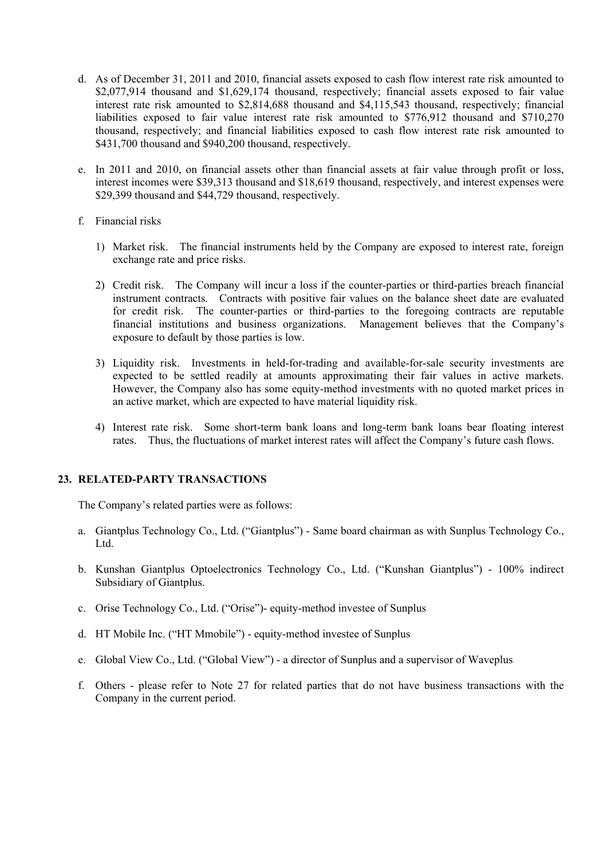- d. As of December 31, 2011 and 2010, financial assets exposed to cash flow interest rate risk amounted to \$2,077,914 thousand and \$1,629,174 thousand, respectively; financial assets exposed to fair value interest rate risk amounted to \$2,814,688 thousand and \$4,115,543 thousand, respectively; financial liabilities exposed to fair value interest rate risk amounted to \$776,912 thousand and \$710,270 thousand, respectively; and financial liabilities exposed to cash flow interest rate risk amounted to \$431,700 thousand and \$940,200 thousand, respectively.
- e. In 2011 and 2010, on financial assets other than financial assets at fair value through profit or loss, interest incomes were \$39,313 thousand and \$18,619 thousand, respectively, and interest expenses were \$29,399 thousand and \$44,729 thousand, respectively.
- f. Financial risks
	- 1) Market risk. The financial instruments held by the Company are exposed to interest rate, foreign exchange rate and price risks.
	- 2) Credit risk. The Company will incur a loss if the counter-parties or third-parties breach financial instrument contracts. Contracts with positive fair values on the balance sheet date are evaluated for credit risk. The counter-parties or third-parties to the foregoing contracts are reputable financial institutions and business organizations. Management believes that the Company's exposure to default by those parties is low.
	- 3) Liquidity risk. Investments in held-for-trading and available-for-sale security investments are expected to be settled readily at amounts approximating their fair values in active markets. However, the Company also has some equity-method investments with no quoted market prices in an active market, which are expected to have material liquidity risk.
	- 4) Interest rate risk. Some short-term bank loans and long-term bank loans bear floating interest rates. Thus, the fluctuations of market interest rates will affect the Company's future cash flows.

# **23. RELATED-PARTY TRANSACTIONS**

The Company's related parties were as follows:

- a. Giantplus Technology Co., Ltd. ("Giantplus") Same board chairman as with Sunplus Technology Co., Ltd.
- b. Kunshan Giantplus Optoelectronics Technology Co., Ltd. ("Kunshan Giantplus") 100% indirect Subsidiary of Giantplus.
- c. Orise Technology Co., Ltd. ("Orise")- equity-method investee of Sunplus
- d. HT Mobile Inc. ("HT Mmobile") equity-method investee of Sunplus
- e. Global View Co., Ltd. ("Global View") a director of Sunplus and a supervisor of Waveplus
- f. Others please refer to Note 27 for related parties that do not have business transactions with the Company in the current period.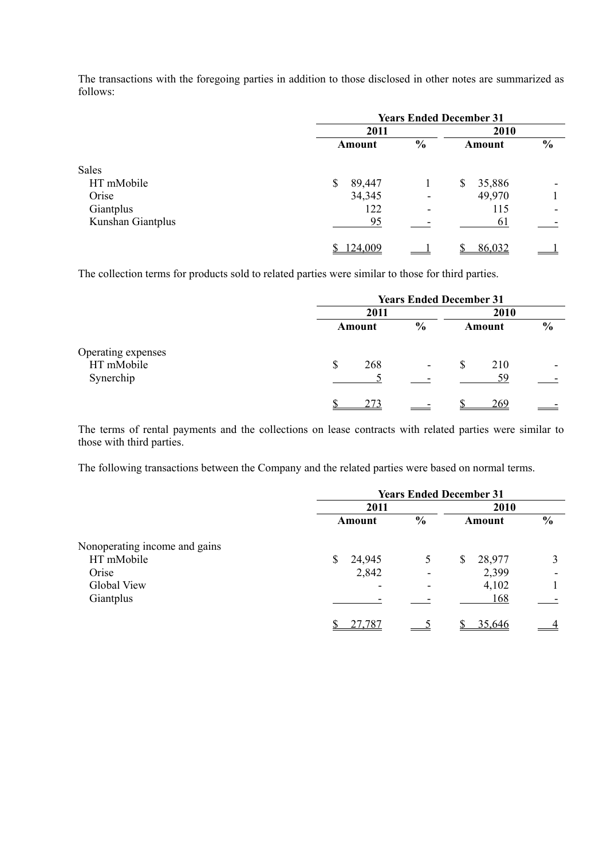The transactions with the foregoing parties in addition to those disclosed in other notes are summarized as follows:

|                   | <b>Years Ended December 31</b> |               |              |               |
|-------------------|--------------------------------|---------------|--------------|---------------|
|                   | 2011                           | 2010          |              |               |
|                   | Amount                         | $\frac{6}{6}$ | Amount       | $\frac{0}{0}$ |
| Sales             |                                |               |              |               |
| HT mMobile        | \$<br>89,447                   |               | 35,886<br>\$ |               |
| Orise             | 34,345                         | ٠             | 49,970       |               |
| Giantplus         | 122                            | -             | 115          |               |
| Kunshan Giantplus | 95                             |               | 61           |               |
|                   | 124,009                        |               | 86,032       |               |

The collection terms for products sold to related parties were similar to those for third parties.

|                                               | <b>Years Ended December 31</b> |               |                       |                          |
|-----------------------------------------------|--------------------------------|---------------|-----------------------|--------------------------|
|                                               | 2011                           |               |                       |                          |
|                                               | Amount                         | $\frac{6}{9}$ | Amount                | $\frac{6}{9}$            |
| Operating expenses<br>HT mMobile<br>Synerchip | \$<br>268                      | ٠             | <b>S</b><br>210<br>59 | $\overline{\phantom{0}}$ |
|                                               | 273                            |               | 269                   |                          |

The terms of rental payments and the collections on lease contracts with related parties were similar to those with third parties.

The following transactions between the Company and the related parties were based on normal terms.

|                               | <b>Years Ended December 31</b> |        |               |              |                          |
|-------------------------------|--------------------------------|--------|---------------|--------------|--------------------------|
|                               | 2011                           |        | 2010          |              |                          |
|                               |                                | Amount | $\frac{0}{0}$ | Amount       | $\frac{6}{6}$            |
| Nonoperating income and gains |                                |        |               |              |                          |
| HT mMobile                    | \$                             | 24,945 | 5             | 28,977<br>\$ |                          |
| Orise                         |                                | 2,842  |               | 2,399        | $\overline{\phantom{0}}$ |
| Global View                   |                                | ۰      |               | 4,102        |                          |
| Giantplus                     |                                |        |               | 168          |                          |
|                               |                                | 27,787 |               | 35,646       |                          |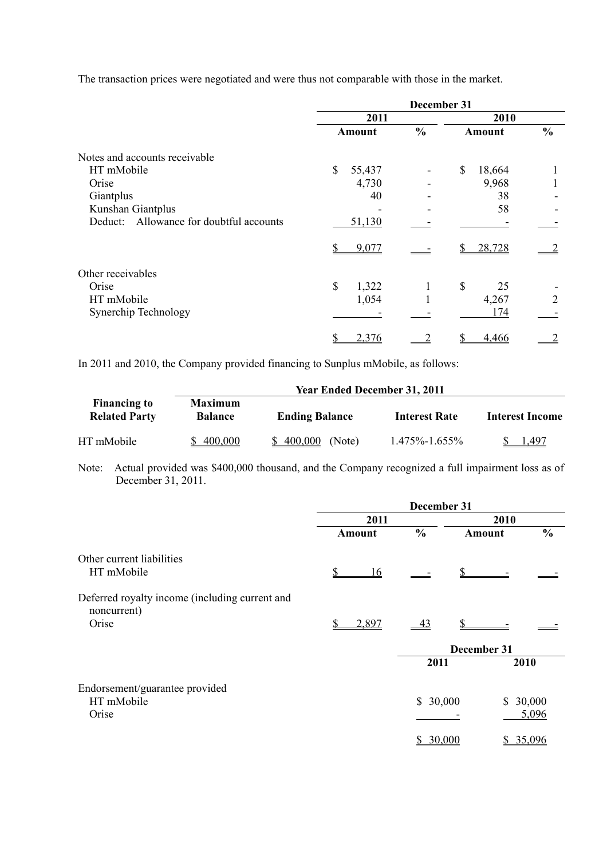The transaction prices were negotiated and were thus not comparable with those in the market.

|                                            |               | December 31   |               |               |  |
|--------------------------------------------|---------------|---------------|---------------|---------------|--|
|                                            | 2011          |               | 2010          |               |  |
|                                            | <b>Amount</b> | $\frac{0}{0}$ | <b>Amount</b> | $\frac{0}{0}$ |  |
| Notes and accounts receivable              |               |               |               |               |  |
| HT mMobile                                 | \$<br>55,437  |               | \$<br>18,664  |               |  |
| Orise                                      | 4,730         |               | 9,968         |               |  |
| Giantplus                                  | 40            |               | 38            |               |  |
| Kunshan Giantplus                          |               |               | 58            |               |  |
| Allowance for doubtful accounts<br>Deduct: | 51,130        |               |               |               |  |
|                                            | 9,077         |               | 28,728        |               |  |
| Other receivables                          |               |               |               |               |  |
| Orise                                      | \$<br>1,322   | 1             | \$<br>25      |               |  |
| HT mMobile                                 | 1,054         |               | 4,267         | 2             |  |
| Synerchip Technology                       |               |               | 174           |               |  |
|                                            | 2,376         |               | 4.466         |               |  |

In 2011 and 2010, the Company provided financing to Sunplus mMobile, as follows:

|                                             |                                  | <b>Year Ended December 31, 2011</b> |                      |                        |
|---------------------------------------------|----------------------------------|-------------------------------------|----------------------|------------------------|
| <b>Financing to</b><br><b>Related Party</b> | <b>Maximum</b><br><b>Balance</b> | <b>Ending Balance</b>               | <b>Interest Rate</b> | <b>Interest Income</b> |
| HT mMobile                                  | \$400,000                        | 400.000<br>(Note)                   | $1.475\% - 1.655\%$  | 1.497                  |

Note: Actual provided was \$400,000 thousand, and the Company recognized a full impairment loss as of December 31, 2011.

|                                                               | December 31 |                |             |          |               |
|---------------------------------------------------------------|-------------|----------------|-------------|----------|---------------|
|                                                               | 2011        |                | 2010        |          |               |
|                                                               | Amount      | $\frac{0}{0}$  | Amount      |          | $\frac{0}{0}$ |
| Other current liabilities                                     |             |                |             |          |               |
| HT mMobile                                                    | 16          |                |             |          |               |
| Deferred royalty income (including current and<br>noncurrent) |             |                |             |          |               |
| Orise                                                         | 2,897       | $\frac{43}{2}$ |             |          |               |
|                                                               |             |                | December 31 |          |               |
|                                                               |             | 2011           |             | 2010     |               |
| Endorsement/guarantee provided                                |             |                |             |          |               |
| HT mMobile<br>Orise                                           |             | \$30,000       |             | \$30,000 | 5,096         |
|                                                               |             |                |             |          |               |
|                                                               |             | 30,000<br>\$   |             | \$       | 35,096        |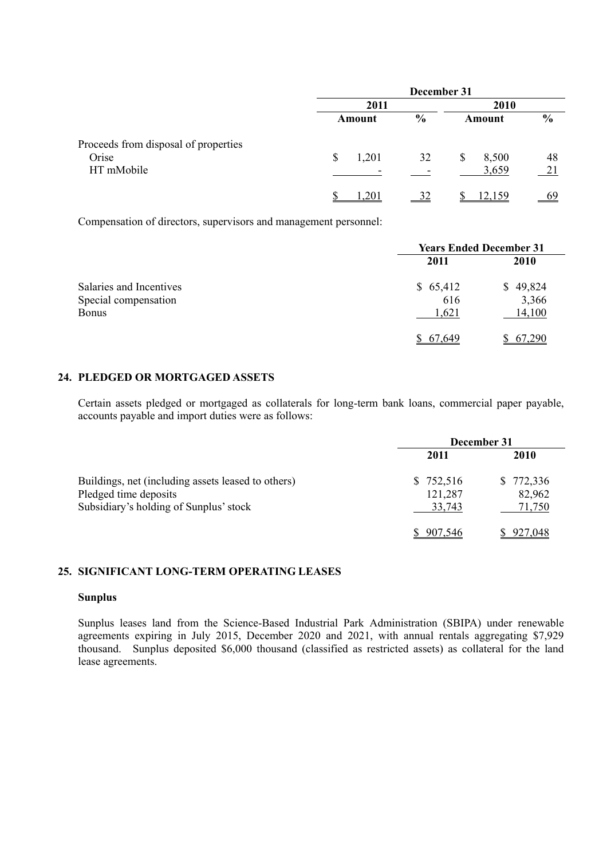|                                               |                                    | December 31   |             |               |
|-----------------------------------------------|------------------------------------|---------------|-------------|---------------|
|                                               | 2011                               |               |             |               |
|                                               | Amount                             | $\frac{6}{9}$ | Amount      | $\frac{6}{6}$ |
| Proceeds from disposal of properties<br>Orise | $\boldsymbol{\mathsf{S}}$<br>1,201 | 32            | 8,500<br>\$ | 48            |
| HT mMobile                                    |                                    |               | 3,659       | 21            |
|                                               | .201                               |               | 159         |               |

Compensation of directors, supervisors and management personnel:

|                                                                 | <b>Years Ended December 31</b> |                             |  |
|-----------------------------------------------------------------|--------------------------------|-----------------------------|--|
|                                                                 | 2011                           | 2010                        |  |
| Salaries and Incentives<br>Special compensation<br><b>Bonus</b> | \$65,412<br>616<br>1,621       | \$49,824<br>3,366<br>14,100 |  |
|                                                                 | 67.649                         | 67,290                      |  |

# **24. PLEDGED OR MORTGAGED ASSETS**

Certain assets pledged or mortgaged as collaterals for long-term bank loans, commercial paper payable, accounts payable and import duties were as follows:

|                                                                 | December 31       |                  |  |
|-----------------------------------------------------------------|-------------------|------------------|--|
|                                                                 | 2011              | 2010             |  |
| Buildings, net (including assets leased to others)              | \$752,516         | \$772,336        |  |
| Pledged time deposits<br>Subsidiary's holding of Sunplus' stock | 121,287<br>33,743 | 82,962<br>71,750 |  |
|                                                                 |                   |                  |  |
|                                                                 | 907.546           | 927,048          |  |

# **25. SIGNIFICANT LONG-TERM OPERATING LEASES**

### **Sunplus**

Sunplus leases land from the Science-Based Industrial Park Administration (SBIPA) under renewable agreements expiring in July 2015, December 2020 and 2021, with annual rentals aggregating \$7,929 thousand. Sunplus deposited \$6,000 thousand (classified as restricted assets) as collateral for the land lease agreements.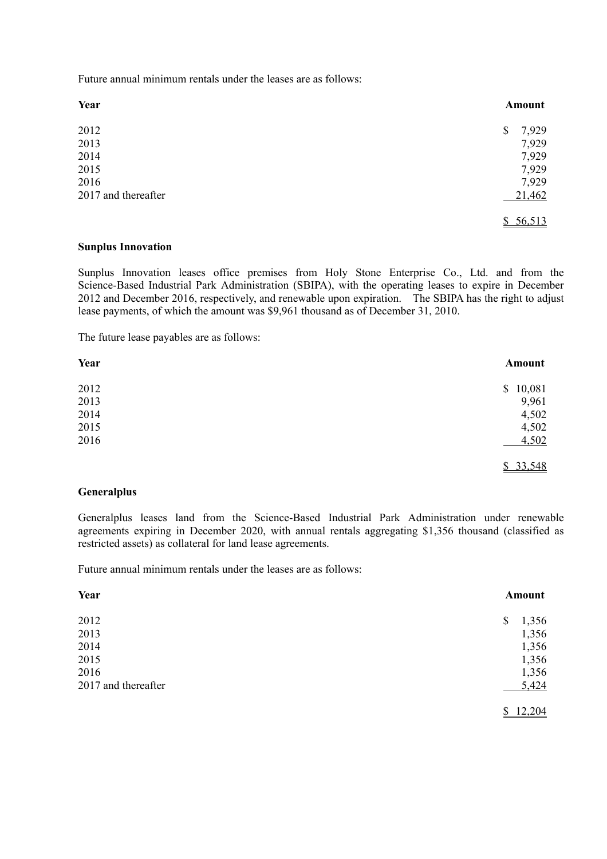Future annual minimum rentals under the leases are as follows:

| Year                | Amount      |
|---------------------|-------------|
| 2012                | 7,929<br>\$ |
| 2013                | 7,929       |
| 2014                | 7,929       |
| 2015                | 7,929       |
| 2016                | 7,929       |
| 2017 and thereafter | 21,462      |
|                     | \$56,513    |

#### **Sunplus Innovation**

Sunplus Innovation leases office premises from Holy Stone Enterprise Co., Ltd. and from the Science-Based Industrial Park Administration (SBIPA), with the operating leases to expire in December 2012 and December 2016, respectively, and renewable upon expiration. The SBIPA has the right to adjust lease payments, of which the amount was \$9,961 thousand as of December 31, 2010.

The future lease payables are as follows:

| Year | Amount   |
|------|----------|
| 2012 | \$10,081 |
| 2013 | 9,961    |
| 2014 | 4,502    |
| 2015 | 4,502    |
| 2016 | 4,502    |
|      | \$33,548 |

#### **Generalplus**

Generalplus leases land from the Science-Based Industrial Park Administration under renewable agreements expiring in December 2020, with annual rentals aggregating \$1,356 thousand (classified as restricted assets) as collateral for land lease agreements.

Future annual minimum rentals under the leases are as follows:

| Year                | Amount      |
|---------------------|-------------|
| 2012                | 1,356<br>\$ |
| 2013                | 1,356       |
| 2014                | 1,356       |
| 2015                | 1,356       |
| 2016                | 1,356       |
| 2017 and thereafter | 5,424       |
|                     | 12,204      |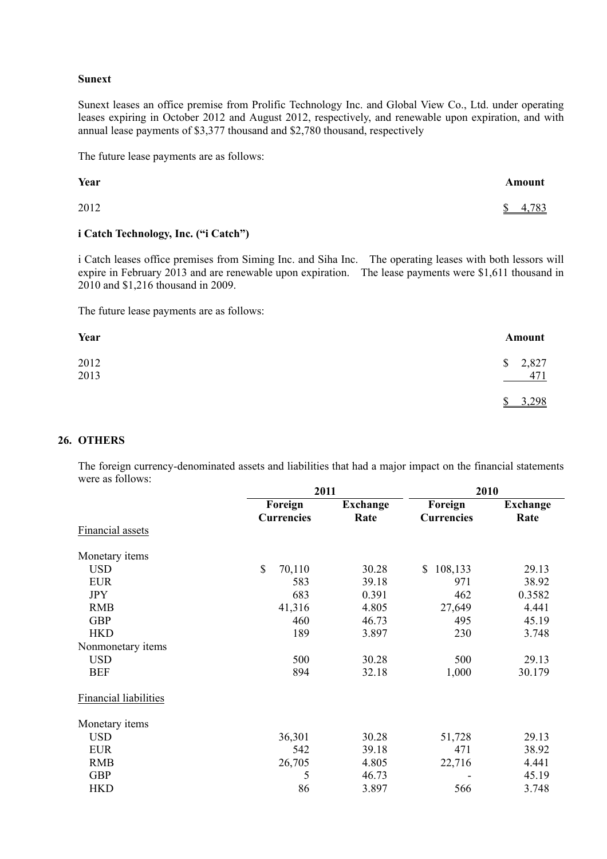#### **Sunext**

Sunext leases an office premise from Prolific Technology Inc. and Global View Co., Ltd. under operating leases expiring in October 2012 and August 2012, respectively, and renewable upon expiration, and with annual lease payments of \$3,377 thousand and \$2,780 thousand, respectively

The future lease payments are as follows:

| Year | Amount  |
|------|---------|
| 2012 | \$4,783 |

## **i Catch Technology, Inc. ("i Catch")**

i Catch leases office premises from Siming Inc. and Siha Inc. The operating leases with both lessors will expire in February 2013 and are renewable upon expiration. The lease payments were \$1,611 thousand in 2010 and \$1,216 thousand in 2009.

The future lease payments are as follows:

| Year                | Amount          |
|---------------------|-----------------|
| $\frac{2012}{2013}$ | \$2,827<br>471  |
|                     | 3,298<br>९<br>Ψ |

#### **26. OTHERS**

The foreign currency-denominated assets and liabilities that had a major impact on the financial statements were as follows:

|                              | 2011              |                 | 2010              |                 |  |
|------------------------------|-------------------|-----------------|-------------------|-----------------|--|
|                              | Foreign           | <b>Exchange</b> | Foreign           | <b>Exchange</b> |  |
|                              | <b>Currencies</b> | Rate            | <b>Currencies</b> | Rate            |  |
| <b>Financial assets</b>      |                   |                 |                   |                 |  |
| Monetary items               |                   |                 |                   |                 |  |
| <b>USD</b>                   | \$<br>70,110      | 30.28           | 108,133<br>\$     | 29.13           |  |
| <b>EUR</b>                   | 583               | 39.18           | 971               | 38.92           |  |
| <b>JPY</b>                   | 683               | 0.391           | 462               | 0.3582          |  |
| <b>RMB</b>                   | 41,316            | 4.805           | 27,649            | 4.441           |  |
| <b>GBP</b>                   | 460               | 46.73           | 495               | 45.19           |  |
| <b>HKD</b>                   | 189               | 3.897           | 230               | 3.748           |  |
| Nonmonetary items            |                   |                 |                   |                 |  |
| <b>USD</b>                   | 500               | 30.28           | 500               | 29.13           |  |
| <b>BEF</b>                   | 894               | 32.18           | 1,000             | 30.179          |  |
| <b>Financial liabilities</b> |                   |                 |                   |                 |  |
| Monetary items               |                   |                 |                   |                 |  |
| <b>USD</b>                   | 36,301            | 30.28           | 51,728            | 29.13           |  |
| <b>EUR</b>                   | 542               | 39.18           | 471               | 38.92           |  |
| <b>RMB</b>                   | 26,705            | 4.805           | 22,716            | 4.441           |  |
| <b>GBP</b>                   | 5                 | 46.73           |                   | 45.19           |  |
| <b>HKD</b>                   | 86                | 3.897           | 566               | 3.748           |  |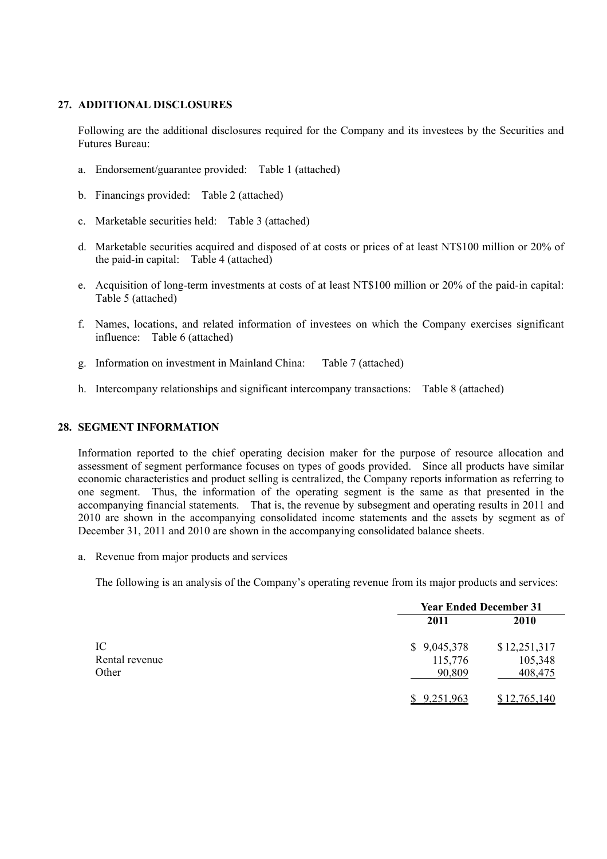## **27. ADDITIONAL DISCLOSURES**

Following are the additional disclosures required for the Company and its investees by the Securities and Futures Bureau:

- a. Endorsement/guarantee provided: Table 1 (attached)
- b. Financings provided: Table 2 (attached)
- c. Marketable securities held: Table 3 (attached)
- d. Marketable securities acquired and disposed of at costs or prices of at least NT\$100 million or 20% of the paid-in capital: Table 4 (attached)
- e. Acquisition of long-term investments at costs of at least NT\$100 million or 20% of the paid-in capital: Table 5 (attached)
- f. Names, locations, and related information of investees on which the Company exercises significant influence: Table 6 (attached)
- g. Information on investment in Mainland China: Table 7 (attached)
- h. Intercompany relationships and significant intercompany transactions: Table 8 (attached)

#### **28. SEGMENT INFORMATION**

Information reported to the chief operating decision maker for the purpose of resource allocation and assessment of segment performance focuses on types of goods provided. Since all products have similar economic characteristics and product selling is centralized, the Company reports information as referring to one segment. Thus, the information of the operating segment is the same as that presented in the accompanying financial statements. That is, the revenue by subsegment and operating results in 2011 and 2010 are shown in the accompanying consolidated income statements and the assets by segment as of December 31, 2011 and 2010 are shown in the accompanying consolidated balance sheets.

a. Revenue from major products and services

The following is an analysis of the Company's operating revenue from its major products and services:

|                               | <b>Year Ended December 31</b>    |                                    |  |
|-------------------------------|----------------------------------|------------------------------------|--|
|                               | 2011                             | 2010                               |  |
| IC<br>Rental revenue<br>Other | \$9,045,378<br>115,776<br>90,809 | \$12,251,317<br>105,348<br>408,475 |  |
|                               | \$9,251,963                      | \$12,765,140                       |  |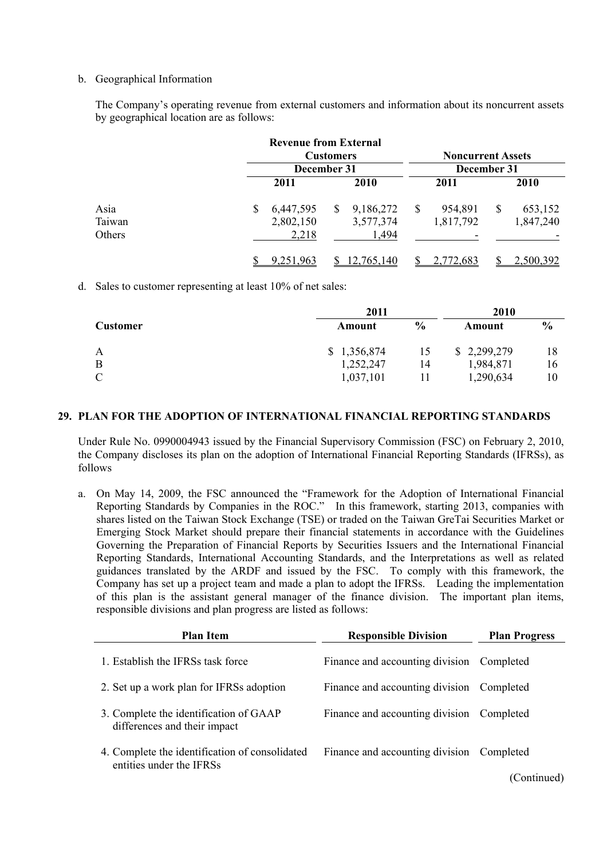### b. Geographical Information

The Company's operating revenue from external customers and information about its noncurrent assets by geographical location are as follows:

|        |   | <b>Revenue from External</b> |                  |             |    |                          |   |             |
|--------|---|------------------------------|------------------|-------------|----|--------------------------|---|-------------|
|        |   |                              | <b>Customers</b> |             |    | <b>Noncurrent Assets</b> |   |             |
|        |   | December 31                  |                  | December 31 |    |                          |   |             |
|        |   | 2011                         |                  | 2010        |    | 2011                     |   | <b>2010</b> |
| Asia   | S | 6,447,595                    | <sup>S</sup>     | 9,186,272   | -S | 954,891                  | S | 653,152     |
| Taiwan |   | 2,802,150                    |                  | 3,577,374   |    | 1,817,792                |   | 1,847,240   |
| Others |   | 2,218                        |                  | 1,494       |    |                          |   |             |
|        |   | 9,251,963                    |                  | 12,765,140  |    | 2,772,683                |   | 2,500,392   |

d. Sales to customer representing at least 10% of net sales:

|                 | 2011        |               | 2010        |               |
|-----------------|-------------|---------------|-------------|---------------|
| <b>Customer</b> | Amount      | $\frac{6}{9}$ | Amount      | $\frac{6}{6}$ |
| A               | \$1,356,874 | 15            | \$2,299,279 | 18            |
| B               | 1,252,247   | 14            | 1,984,871   | 16            |
| $\mathcal{C}$   | 1,037,101   |               | 1,290,634   | 10            |

#### **29. PLAN FOR THE ADOPTION OF INTERNATIONAL FINANCIAL REPORTING STANDARDS**

Under Rule No. 0990004943 issued by the Financial Supervisory Commission (FSC) on February 2, 2010, the Company discloses its plan on the adoption of International Financial Reporting Standards (IFRSs), as follows

a. On May 14, 2009, the FSC announced the "Framework for the Adoption of International Financial Reporting Standards by Companies in the ROC." In this framework, starting 2013, companies with shares listed on the Taiwan Stock Exchange (TSE) or traded on the Taiwan GreTai Securities Market or Emerging Stock Market should prepare their financial statements in accordance with the Guidelines Governing the Preparation of Financial Reports by Securities Issuers and the International Financial Reporting Standards, International Accounting Standards, and the Interpretations as well as related guidances translated by the ARDF and issued by the FSC. To comply with this framework, the Company has set up a project team and made a plan to adopt the IFRSs. Leading the implementation of this plan is the assistant general manager of the finance division. The important plan items, responsible divisions and plan progress are listed as follows:

| <b>Plan Item</b>                                                           | <b>Responsible Division</b>               | <b>Plan Progress</b> |
|----------------------------------------------------------------------------|-------------------------------------------|----------------------|
| 1. Establish the IFRSs task force                                          | Finance and accounting division Completed |                      |
| 2. Set up a work plan for IFRSs adoption                                   | Finance and accounting division Completed |                      |
| 3. Complete the identification of GAAP<br>differences and their impact     | Finance and accounting division           | Completed            |
| 4. Complete the identification of consolidated<br>entities under the IFRSs | Finance and accounting division           | Completed            |
|                                                                            |                                           | (Continued)          |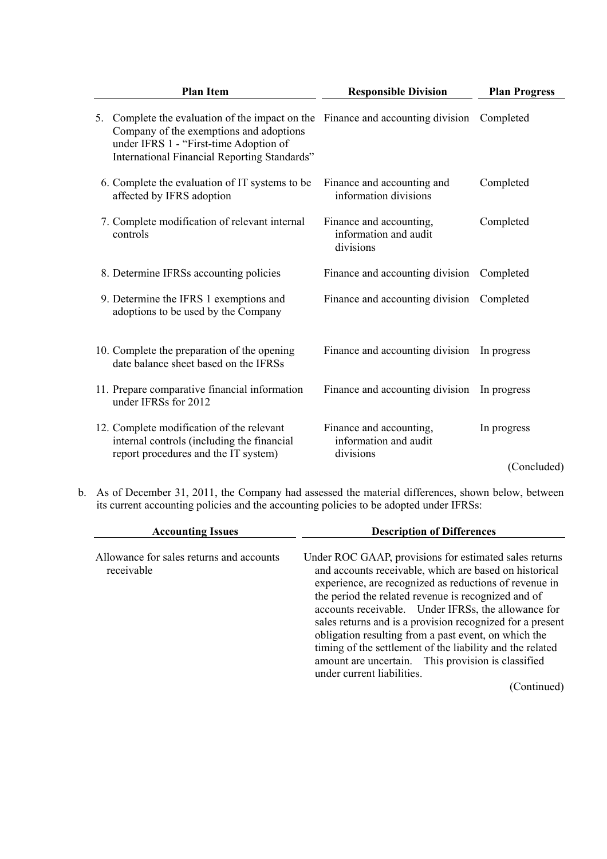| <b>Plan Item</b>                                                                                                                                                                                                        | <b>Responsible Division</b>                                   | <b>Plan Progress</b> |  |
|-------------------------------------------------------------------------------------------------------------------------------------------------------------------------------------------------------------------------|---------------------------------------------------------------|----------------------|--|
| Complete the evaluation of the impact on the Finance and accounting division<br>5.<br>Company of the exemptions and adoptions<br>under IFRS 1 - "First-time Adoption of<br>International Financial Reporting Standards" |                                                               | Completed            |  |
| 6. Complete the evaluation of IT systems to be<br>affected by IFRS adoption                                                                                                                                             | Finance and accounting and<br>information divisions           | Completed            |  |
| 7. Complete modification of relevant internal<br>controls                                                                                                                                                               | Finance and accounting,<br>information and audit<br>divisions | Completed            |  |
| 8. Determine IFRSs accounting policies                                                                                                                                                                                  | Finance and accounting division                               | Completed            |  |
| 9. Determine the IFRS 1 exemptions and<br>adoptions to be used by the Company                                                                                                                                           | Finance and accounting division                               | Completed            |  |
| 10. Complete the preparation of the opening<br>date balance sheet based on the IFRSs                                                                                                                                    | Finance and accounting division                               | In progress          |  |
| 11. Prepare comparative financial information<br>under IFRSs for 2012                                                                                                                                                   | Finance and accounting division                               | In progress          |  |
| 12. Complete modification of the relevant<br>internal controls (including the financial                                                                                                                                 | Finance and accounting,<br>information and audit              | In progress          |  |
| report procedures and the IT system)                                                                                                                                                                                    | divisions                                                     | (Concluded)          |  |

b. As of December 31, 2011, the Company had assessed the material differences, shown below, between its current accounting policies and the accounting policies to be adopted under IFRSs:

| <b>Accounting Issues</b>                               | <b>Description of Differences</b>                                                                                                                                                                                                                                                                                                                                                                                                                                                                                                                              |
|--------------------------------------------------------|----------------------------------------------------------------------------------------------------------------------------------------------------------------------------------------------------------------------------------------------------------------------------------------------------------------------------------------------------------------------------------------------------------------------------------------------------------------------------------------------------------------------------------------------------------------|
| Allowance for sales returns and accounts<br>receivable | Under ROC GAAP, provisions for estimated sales returns<br>and accounts receivable, which are based on historical<br>experience, are recognized as reductions of revenue in<br>the period the related revenue is recognized and of<br>accounts receivable. Under IFRSs, the allowance for<br>sales returns and is a provision recognized for a present<br>obligation resulting from a past event, on which the<br>timing of the settlement of the liability and the related<br>amount are uncertain. This provision is classified<br>under current liabilities. |
|                                                        | (Continued)                                                                                                                                                                                                                                                                                                                                                                                                                                                                                                                                                    |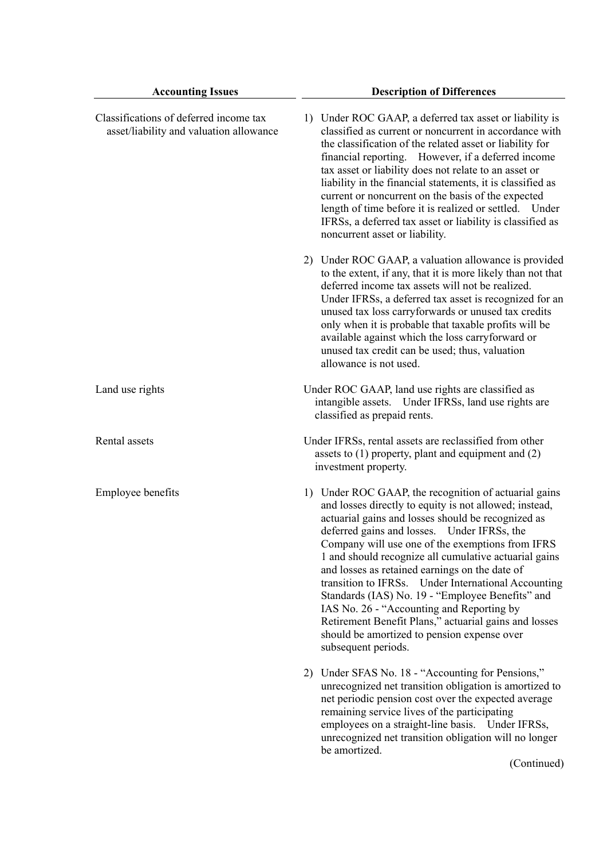| <b>Accounting Issues</b>                                                          | <b>Description of Differences</b>                                                                                                                                                                                                                                                                                                                                                                                                                                                                                                                                                                                                                                          |
|-----------------------------------------------------------------------------------|----------------------------------------------------------------------------------------------------------------------------------------------------------------------------------------------------------------------------------------------------------------------------------------------------------------------------------------------------------------------------------------------------------------------------------------------------------------------------------------------------------------------------------------------------------------------------------------------------------------------------------------------------------------------------|
| Classifications of deferred income tax<br>asset/liability and valuation allowance | 1) Under ROC GAAP, a deferred tax asset or liability is<br>classified as current or noncurrent in accordance with<br>the classification of the related asset or liability for<br>financial reporting. However, if a deferred income<br>tax asset or liability does not relate to an asset or<br>liability in the financial statements, it is classified as<br>current or noncurrent on the basis of the expected<br>length of time before it is realized or settled. Under<br>IFRSs, a deferred tax asset or liability is classified as<br>noncurrent asset or liability.                                                                                                  |
|                                                                                   | 2) Under ROC GAAP, a valuation allowance is provided<br>to the extent, if any, that it is more likely than not that<br>deferred income tax assets will not be realized.<br>Under IFRSs, a deferred tax asset is recognized for an<br>unused tax loss carryforwards or unused tax credits<br>only when it is probable that taxable profits will be<br>available against which the loss carryforward or<br>unused tax credit can be used; thus, valuation<br>allowance is not used.                                                                                                                                                                                          |
| Land use rights                                                                   | Under ROC GAAP, land use rights are classified as<br>intangible assets. Under IFRSs, land use rights are<br>classified as prepaid rents.                                                                                                                                                                                                                                                                                                                                                                                                                                                                                                                                   |
| Rental assets                                                                     | Under IFRSs, rental assets are reclassified from other<br>assets to $(1)$ property, plant and equipment and $(2)$<br>investment property.                                                                                                                                                                                                                                                                                                                                                                                                                                                                                                                                  |
| Employee benefits                                                                 | 1) Under ROC GAAP, the recognition of actuarial gains<br>and losses directly to equity is not allowed; instead,<br>actuarial gains and losses should be recognized as<br>deferred gains and losses. Under IFRSs, the<br>Company will use one of the exemptions from IFRS<br>1 and should recognize all cumulative actuarial gains<br>and losses as retained earnings on the date of<br>transition to IFRSs. Under International Accounting<br>Standards (IAS) No. 19 - "Employee Benefits" and<br>IAS No. 26 - "Accounting and Reporting by<br>Retirement Benefit Plans," actuarial gains and losses<br>should be amortized to pension expense over<br>subsequent periods. |
|                                                                                   | 2) Under SFAS No. 18 - "Accounting for Pensions,"<br>unrecognized net transition obligation is amortized to<br>net periodic pension cost over the expected average<br>remaining service lives of the participating<br>employees on a straight-line basis. Under IFRSs,<br>unrecognized net transition obligation will no longer<br>be amortized.<br>(Continued)                                                                                                                                                                                                                                                                                                            |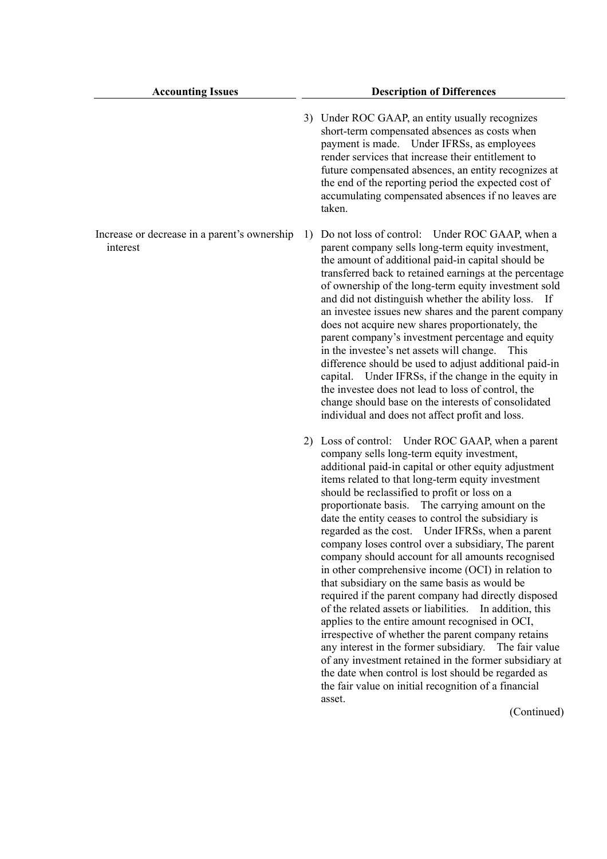- 3) Under ROC GAAP, an entity usually recognizes short-term compensated absences as costs when payment is made. Under IFRSs, as employees render services that increase their entitlement to future compensated absences, an entity recognizes at the end of the reporting period the expected cost of accumulating compensated absences if no leaves are taken.
- Increase or decrease in a parent's ownership 1) Do not loss of control: Under ROC GAAP, when a parent company sells long-term equity investment, the amount of additional paid-in capital should be transferred back to retained earnings at the percentage of ownership of the long-term equity investment sold and did not distinguish whether the ability loss. If an investee issues new shares and the parent company does not acquire new shares proportionately, the parent company's investment percentage and equity in the investee's net assets will change. This difference should be used to adjust additional paid-in capital. Under IFRSs, if the change in the equity in the investee does not lead to loss of control, the change should base on the interests of consolidated individual and does not affect profit and loss.
	- 2) Loss of control: Under ROC GAAP, when a parent company sells long-term equity investment, additional paid-in capital or other equity adjustment items related to that long-term equity investment should be reclassified to profit or loss on a proportionate basis. The carrying amount on the date the entity ceases to control the subsidiary is regarded as the cost. Under IFRSs, when a parent company loses control over a subsidiary, The parent company should account for all amounts recognised in other comprehensive income (OCI) in relation to that subsidiary on the same basis as would be required if the parent company had directly disposed of the related assets or liabilities. In addition, this applies to the entire amount recognised in OCI, irrespective of whether the parent company retains any interest in the former subsidiary. The fair value of any investment retained in the former subsidiary at the date when control is lost should be regarded as the fair value on initial recognition of a financial asset.

(Continued)

interest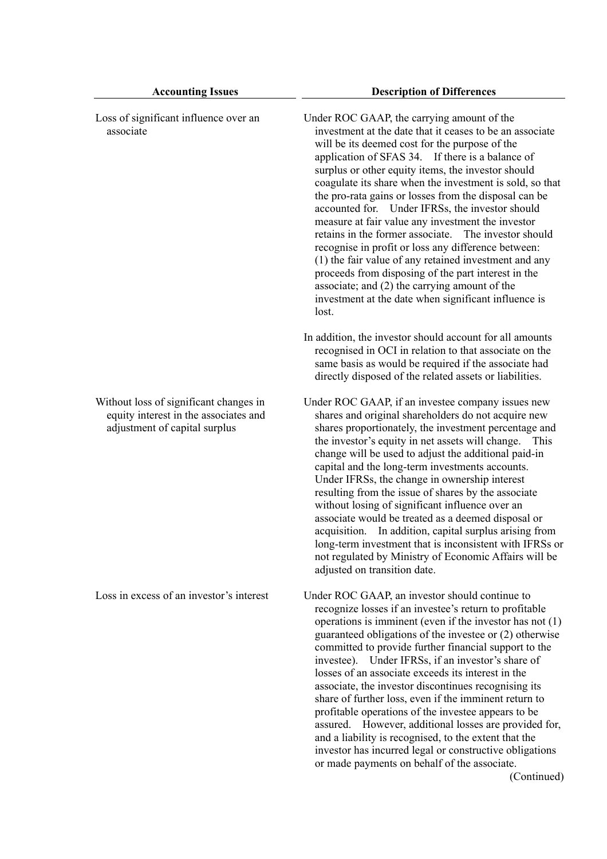| Loss of significant influence over an<br>associate                                                               | Under ROC GAAP, the carrying amount of the<br>investment at the date that it ceases to be an associate<br>will be its deemed cost for the purpose of the<br>application of SFAS 34. If there is a balance of<br>surplus or other equity items, the investor should<br>coagulate its share when the investment is sold, so that<br>the pro-rata gains or losses from the disposal can be<br>accounted for. Under IFRSs, the investor should<br>measure at fair value any investment the investor<br>retains in the former associate. The investor should<br>recognise in profit or loss any difference between:<br>(1) the fair value of any retained investment and any<br>proceeds from disposing of the part interest in the<br>associate; and (2) the carrying amount of the<br>investment at the date when significant influence is<br>lost.<br>In addition, the investor should account for all amounts |
|------------------------------------------------------------------------------------------------------------------|--------------------------------------------------------------------------------------------------------------------------------------------------------------------------------------------------------------------------------------------------------------------------------------------------------------------------------------------------------------------------------------------------------------------------------------------------------------------------------------------------------------------------------------------------------------------------------------------------------------------------------------------------------------------------------------------------------------------------------------------------------------------------------------------------------------------------------------------------------------------------------------------------------------|
|                                                                                                                  | recognised in OCI in relation to that associate on the<br>same basis as would be required if the associate had<br>directly disposed of the related assets or liabilities.                                                                                                                                                                                                                                                                                                                                                                                                                                                                                                                                                                                                                                                                                                                                    |
| Without loss of significant changes in<br>equity interest in the associates and<br>adjustment of capital surplus | Under ROC GAAP, if an investee company issues new<br>shares and original shareholders do not acquire new<br>shares proportionately, the investment percentage and<br>the investor's equity in net assets will change.<br>This<br>change will be used to adjust the additional paid-in<br>capital and the long-term investments accounts.<br>Under IFRSs, the change in ownership interest<br>resulting from the issue of shares by the associate<br>without losing of significant influence over an<br>associate would be treated as a deemed disposal or<br>acquisition. In addition, capital surplus arising from<br>long-term investment that is inconsistent with IFRSs or<br>not regulated by Ministry of Economic Affairs will be<br>adjusted on transition date.                                                                                                                                      |
| Loss in excess of an investor's interest                                                                         | Under ROC GAAP, an investor should continue to<br>recognize losses if an investee's return to profitable<br>operations is imminent (even if the investor has not $(1)$ )<br>guaranteed obligations of the investee or (2) otherwise<br>committed to provide further financial support to the<br>investee). Under IFRSs, if an investor's share of<br>losses of an associate exceeds its interest in the<br>associate, the investor discontinues recognising its<br>share of further loss, even if the imminent return to<br>profitable operations of the investee appears to be<br>assured. However, additional losses are provided for,<br>and a liability is recognised, to the extent that the<br>investor has incurred legal or constructive obligations<br>or made payments on behalf of the associate.                                                                                                 |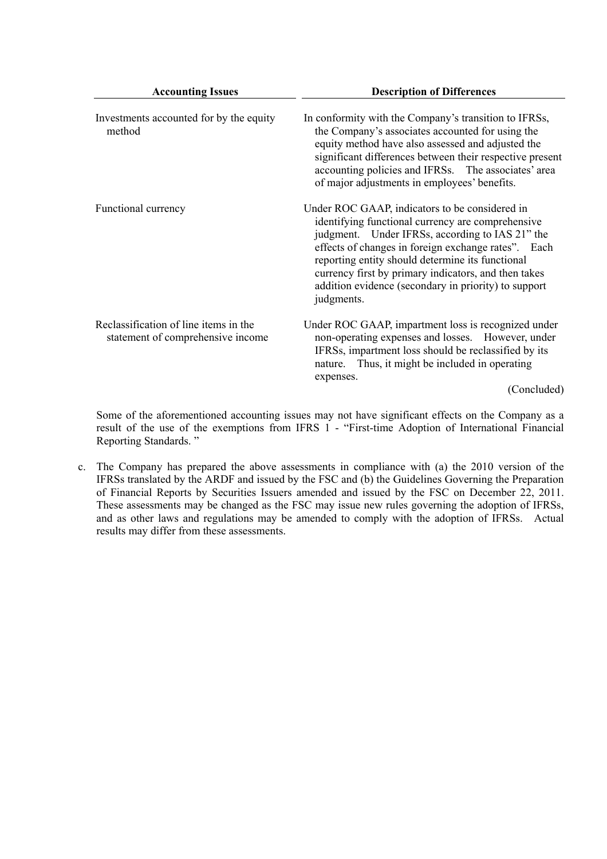| <b>Accounting Issues</b>                                                   | <b>Description of Differences</b>                                                                                                                                                                                                                                                                                                                                                               |
|----------------------------------------------------------------------------|-------------------------------------------------------------------------------------------------------------------------------------------------------------------------------------------------------------------------------------------------------------------------------------------------------------------------------------------------------------------------------------------------|
| Investments accounted for by the equity<br>method                          | In conformity with the Company's transition to IFRSs,<br>the Company's associates accounted for using the<br>equity method have also assessed and adjusted the<br>significant differences between their respective present<br>accounting policies and IFRSs. The associates' area<br>of major adjustments in employees' benefits.                                                               |
| Functional currency                                                        | Under ROC GAAP, indicators to be considered in<br>identifying functional currency are comprehensive<br>judgment. Under IFRSs, according to IAS 21" the<br>effects of changes in foreign exchange rates". Each<br>reporting entity should determine its functional<br>currency first by primary indicators, and then takes<br>addition evidence (secondary in priority) to support<br>judgments. |
| Reclassification of line items in the<br>statement of comprehensive income | Under ROC GAAP, impartment loss is recognized under<br>non-operating expenses and losses. However, under<br>IFRSs, impartment loss should be reclassified by its<br>nature. Thus, it might be included in operating<br>expenses.<br>(Concluded)                                                                                                                                                 |

Some of the aforementioned accounting issues may not have significant effects on the Company as a result of the use of the exemptions from IFRS 1 - "First-time Adoption of International Financial Reporting Standards. "

c. The Company has prepared the above assessments in compliance with (a) the 2010 version of the IFRSs translated by the ARDF and issued by the FSC and (b) the Guidelines Governing the Preparation of Financial Reports by Securities Issuers amended and issued by the FSC on December 22, 2011. These assessments may be changed as the FSC may issue new rules governing the adoption of IFRSs, and as other laws and regulations may be amended to comply with the adoption of IFRSs. Actual results may differ from these assessments.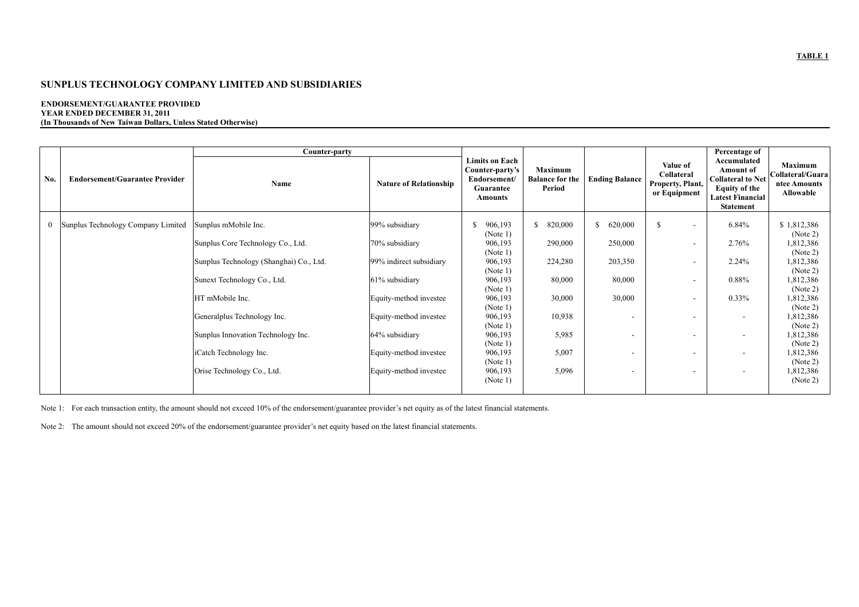#### **ENDORSEMENT/GUARANTEE PROVIDED YEAR ENDED DECEMBER 31, 2011 (In Thousands of New Taiwan Dollars, Unless Stated Otherwise)**

|              |                                       | Counter-party                           |                               |                                                                                         |                                                    |                       |                                                            | Percentage of                                                                                                               |                                                                 |
|--------------|---------------------------------------|-----------------------------------------|-------------------------------|-----------------------------------------------------------------------------------------|----------------------------------------------------|-----------------------|------------------------------------------------------------|-----------------------------------------------------------------------------------------------------------------------------|-----------------------------------------------------------------|
| No.          | <b>Endorsement/Guarantee Provider</b> | Name                                    | <b>Nature of Relationship</b> | <b>Limits on Each</b><br>Counter-party's<br>Endorsement/<br>Guarantee<br><b>Amounts</b> | <b>Maximum</b><br><b>Balance for the</b><br>Period | <b>Ending Balance</b> | Value of<br>Collateral<br>Property, Plant,<br>or Equipment | Accumulated<br>Amount of<br><b>Collateral to Net</b><br><b>Equity of the</b><br><b>Latest Financial</b><br><b>Statement</b> | <b>Maximum</b><br>Collateral/Guara<br>ntee Amounts<br>Allowable |
| $\mathbf{0}$ | Sunplus Technology Company Limited    | Sunplus mMobile Inc.                    | 99% subsidiary                | 906,193<br>S.<br>(Note 1)                                                               | \$820,000                                          | \$620,000             | <sup>\$</sup><br>$\overline{\phantom{a}}$                  | 6.84%                                                                                                                       | \$1,812,386<br>(Note 2)                                         |
|              |                                       | Sunplus Core Technology Co., Ltd.       | 70% subsidiary                | 906,193<br>(Note 1)                                                                     | 290,000                                            | 250,000               |                                                            | 2.76%                                                                                                                       | 1,812,386<br>(Note 2)                                           |
|              |                                       | Sunplus Technology (Shanghai) Co., Ltd. | 99% indirect subsidiary       | 906,193<br>(Note 1)                                                                     | 224,280                                            | 203,350               |                                                            | 2.24%                                                                                                                       | 1,812,386<br>(Note 2)                                           |
|              |                                       | Sunext Technology Co., Ltd.             | 61% subsidiary                | 906,193<br>(Note 1)                                                                     | 80,000                                             | 80,000                |                                                            | 0.88%                                                                                                                       | 1,812,386<br>(Note 2)                                           |
|              |                                       | HT mMobile Inc.                         | Equity-method investee        | 906,193<br>(Note 1)                                                                     | 30,000                                             | 30,000                |                                                            | 0.33%                                                                                                                       | 1,812,386<br>(Note 2)                                           |
|              |                                       | Generalplus Technology Inc.             | Equity-method investee        | 906,193<br>(Note 1)                                                                     | 10,938                                             |                       |                                                            | $\overline{\phantom{a}}$                                                                                                    | 1,812,386<br>(Note 2)                                           |
|              |                                       | Sunplus Innovation Technology Inc.      | 64% subsidiary                | 906,193<br>(Note 1)                                                                     | 5,985                                              |                       |                                                            | $\overline{\phantom{a}}$                                                                                                    | 1,812,386<br>(Note 2)                                           |
|              |                                       | iCatch Technology Inc.                  | Equity-method investee        | 906,193<br>(Note 1)                                                                     | 5,007                                              |                       | $\overline{\phantom{a}}$                                   | $\overline{\phantom{0}}$                                                                                                    | 1,812,386<br>(Note 2)                                           |
|              |                                       | Orise Technology Co., Ltd.              | Equity-method investee        | 906,193<br>(Note 1)                                                                     | 5,096                                              |                       | $\overline{\phantom{a}}$                                   | $\overline{\phantom{a}}$                                                                                                    | 1,812,386<br>(Note 2)                                           |

Note 1: For each transaction entity, the amount should not exceed 10% of the endorsement/guarantee provider's net equity as of the latest financial statements.

Note 2: The amount should not exceed 20% of the endorsement/guarantee provider's net equity based on the latest financial statements.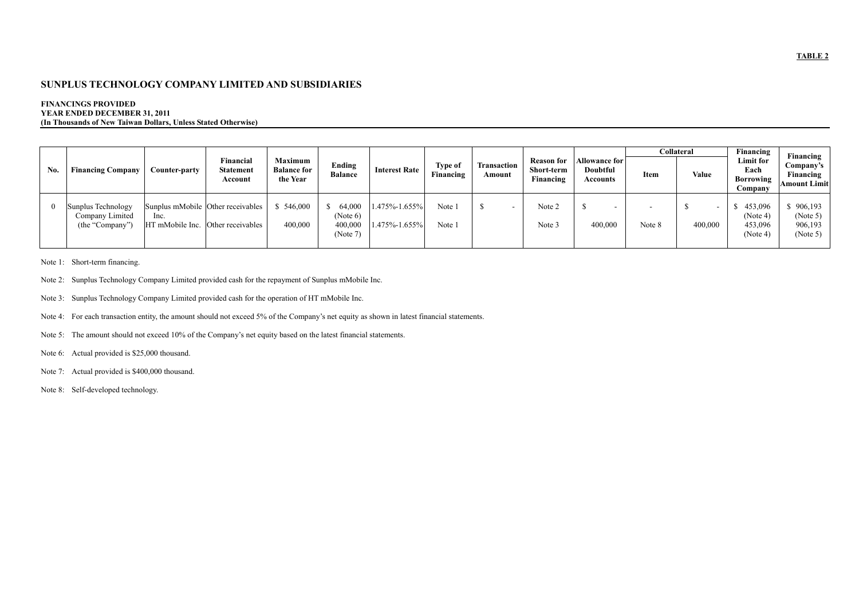#### **FINANCINGS PROVIDED YEAR ENDED DECEMBER 31, 2011 (In Thousands of New Taiwan Dollars, Unless Stated Otherwise)**

|     |                                                          |                                                                                |                                          |                                                  |                                           |                                |                      |                       |                                              |                                              |        | <b>Collateral</b>                   | Financing                                  | Financing                                  |  |                                               |
|-----|----------------------------------------------------------|--------------------------------------------------------------------------------|------------------------------------------|--------------------------------------------------|-------------------------------------------|--------------------------------|----------------------|-----------------------|----------------------------------------------|----------------------------------------------|--------|-------------------------------------|--------------------------------------------|--------------------------------------------|--|-----------------------------------------------|
| No. | <b>Financing Company</b>                                 | Counter-party                                                                  | Financial<br><b>Statement</b><br>Account | <b>Maximum</b><br><b>Balance for</b><br>the Year | Ending<br><b>Balance</b>                  | <b>Interest Rate</b>           | Type of<br>Financing | Transaction<br>Amount | <b>Reason for</b><br>Short-term<br>Financing | <b>Allowance for</b><br>Doubtful<br>Accounts | Item   | Value                               | Each<br>Borrowing<br>Company               | Limit for                                  |  | Company's<br>Financing<br><b>Amount Limit</b> |
|     | Sunplus Technology<br>Company Limited<br>(the "Company") | Sunplus mMobile Other receivables<br>Inc.<br>HT mMobile Inc. Other receivables |                                          | 546,000<br>400,000                               | 64,000<br>(Note 6)<br>400,000<br>(Note 7) | 1.475%-1.655%<br>1.475%-1.655% | Note 1<br>Note 1     |                       | Note 2<br>Note 3                             | $\overline{\phantom{0}}$<br>400,000          | Note 8 | $\overline{\phantom{0}}$<br>400,000 | 453,096<br>(Note 4)<br>453,096<br>(Note 4) | 906,193<br>(Note 5)<br>906,193<br>(Note 5) |  |                                               |

Note 1: Short-term financing.

- Note 2: Sunplus Technology Company Limited provided cash for the repayment of Sunplus mMobile Inc.
- Note 3: Sunplus Technology Company Limited provided cash for the operation of HT mMobile Inc.

Note 4: For each transaction entity, the amount should not exceed 5% of the Company's net equity as shown in latest financial statements.

Note 5: The amount should not exceed 10% of the Company's net equity based on the latest financial statements.

Note 6: Actual provided is \$25,000 thousand.

Note 7: Actual provided is \$400,000 thousand.

Note 8: Self-developed technology.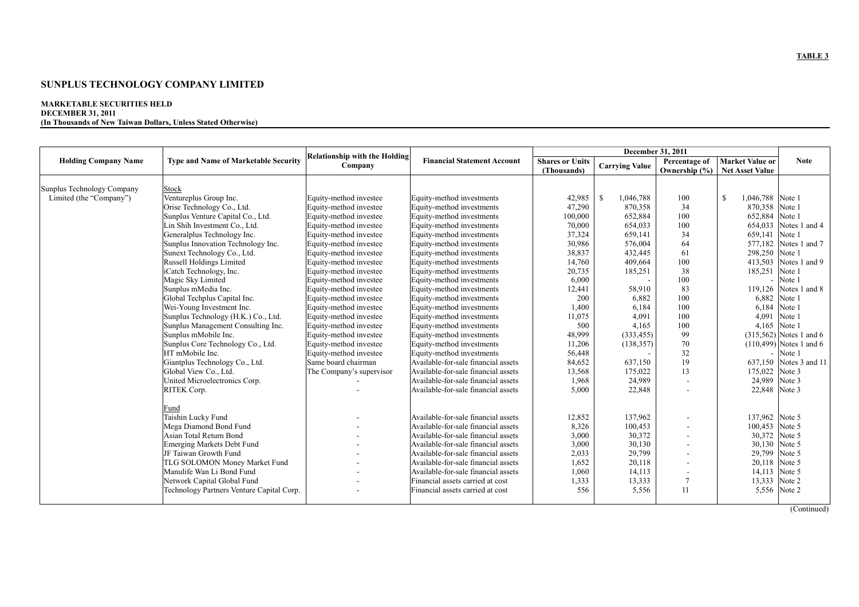#### **SUNPLUS TECHNOLOGY COMPANY LIMITED**

#### **MARKETABLE SECURITIES HELD DECEMBER 31, 2011 (In Thousands of New Taiwan Dollars, Unless Stated Otherwise)**

|                             |                                             |                                      |                                     |                        | December 31, 2011     |                |                         |                            |
|-----------------------------|---------------------------------------------|--------------------------------------|-------------------------------------|------------------------|-----------------------|----------------|-------------------------|----------------------------|
| <b>Holding Company Name</b> | <b>Type and Name of Marketable Security</b> | <b>Relationship with the Holding</b> | <b>Financial Statement Account</b>  | <b>Shares or Units</b> |                       | Percentage of  | <b>Market Value or</b>  | <b>Note</b>                |
|                             |                                             | Company                              |                                     | (Thousands)            | <b>Carrying Value</b> | Ownership (%)  | <b>Net Asset Value</b>  |                            |
|                             |                                             |                                      |                                     |                        |                       |                |                         |                            |
| Sunplus Technology Company  | Stock                                       |                                      |                                     |                        |                       |                |                         |                            |
| Limited (the "Company")     | Ventureplus Group Inc.                      | Equity-method investee               | Equity-method investments           | 42,985                 | - \$<br>1,046,788     | 100            | 1,046,788 Note 1<br>\$. |                            |
|                             | Orise Technology Co., Ltd.                  | Equity-method investee               | Equity-method investments           | 47,290                 | 870,358               | 34             | 870,358 Note 1          |                            |
|                             | Sunplus Venture Capital Co., Ltd.           | Equity-method investee               | Equity-method investments           | 100,000                | 652,884               | 100            | 652,884                 | Note 1                     |
|                             | Lin Shih Investment Co., Ltd.               | Equity-method investee               | Equity-method investments           | 70,000                 | 654,033               | 100            | 654,033                 | Notes 1 and 4              |
|                             | Generalplus Technology Inc.                 | Equity-method investee               | Equity-method investments           | 37,324                 | 659,141               | 34             | 659,141                 | Note 1                     |
|                             | Sunplus Innovation Technology Inc.          | Equity-method investee               | Equity-method investments           | 30,986                 | 576,004               | 64             | 577,182                 | Notes 1 and 7              |
|                             | Sunext Technology Co., Ltd.                 | Equity-method investee               | Equity-method investments           | 38,837                 | 432,445               | 61             | 298,250                 | Note 1                     |
|                             | Russell Holdings Limited                    | Equity-method investee               | Equity-method investments           | 14,760                 | 409,664               | 100            | 413,503                 | Notes 1 and 9              |
|                             | iCatch Technology, Inc.                     | Equity-method investee               | Equity-method investments           | 20,735                 | 185,251               | 38             | 185,251                 | Note 1                     |
|                             | Magic Sky Limited                           | Equity-method investee               | Equity-method investments           | 6,000                  |                       | 100            |                         | Note 1                     |
|                             | Sunplus mMedia Inc.                         | Equity-method investee               | Equity-method investments           | 12,441                 | 58,910                | 83             |                         | 119,126 Notes 1 and 8      |
|                             | Global Techplus Capital Inc.                | Equity-method investee               | Equity-method investments           | 200                    | 6,882                 | 100            | 6,882                   | Note 1                     |
|                             | Wei-Young Investment Inc.                   | Equity-method investee               | Equity-method investments           | 1,400                  | 6,184                 | 100            | 6,184                   | Note 1                     |
|                             | Sunplus Technology (H.K.) Co., Ltd.         | Equity-method investee               | Equity-method investments           | 11,075                 | 4,091                 | 100            | 4,091                   | Note 1                     |
|                             | Sunplus Management Consulting Inc.          | Equity-method investee               | Equity-method investments           | 500                    | 4,165                 | 100            | 4,165                   | Note 1                     |
|                             | Sunplus mMobile Inc.                        | Equity-method investee               | Equity-method investments           | 48,999                 | (333, 455)            | 99             |                         | $(315,562)$ Notes 1 and 6  |
|                             | Sunplus Core Technology Co., Ltd.           | Equity-method investee               | Equity-method investments           | 11,206                 | (138, 357)            | 70             |                         | $(110, 499)$ Notes 1 and 6 |
|                             | HT mMobile Inc.                             | Equity-method investee               | Equity-method investments           | 56,448                 |                       | 32             |                         | Note 1                     |
|                             | Giantplus Technology Co., Ltd.              | Same board chairman                  | Available-for-sale financial assets | 84,652                 | 637,150               | 19             |                         | 637.150 Notes 3 and 11     |
|                             | Global View Co., Ltd.                       | The Company's supervisor             | Available-for-sale financial assets | 13,568                 | 175,022               | 13             | 175,022                 | Note 3                     |
|                             | United Microelectronics Corp.               |                                      | Available-for-sale financial assets | 1,968                  | 24,989                |                | 24,989                  | Note 3                     |
|                             | RITEK Corp.                                 |                                      | Available-for-sale financial assets | 5,000                  | 22,848                |                | 22,848 Note 3           |                            |
|                             |                                             |                                      |                                     |                        |                       |                |                         |                            |
|                             | Fund                                        |                                      |                                     |                        |                       |                |                         |                            |
|                             | Taishin Lucky Fund                          |                                      | Available-for-sale financial assets | 12,852                 | 137,962               |                | 137,962                 | Note 5                     |
|                             | Mega Diamond Bond Fund                      |                                      | Available-for-sale financial assets | 8,326                  | 100,453               |                | 100,453                 | Note 5                     |
|                             | Asian Total Return Bond                     |                                      | Available-for-sale financial assets | 3,000                  | 30,372                |                | 30,372                  | Note 5                     |
|                             | <b>Emerging Markets Debt Fund</b>           |                                      | Available-for-sale financial assets | 3,000                  | 30,130                |                | 30,130                  | Note 5                     |
|                             | JF Taiwan Growth Fund                       |                                      | Available-for-sale financial assets | 2,033                  | 29,799                |                | 29,799                  | Note 5                     |
|                             | TLG SOLOMON Money Market Fund               |                                      | Available-for-sale financial assets | 1,652                  | 20,118                |                | 20,118                  | Note 5                     |
|                             | Manulife Wan Li Bond Fund                   |                                      | Available-for-sale financial assets | 1,060                  | 14,113                |                | 14,113 Note 5           |                            |
|                             | Network Capital Global Fund                 |                                      | Financial assets carried at cost    | 1,333                  | 13,333                | $\overline{7}$ | 13,333 Note 2           |                            |
|                             | Technology Partners Venture Capital Corp.   |                                      | Financial assets carried at cost    | 556                    | 5,556                 | 11             |                         | 5,556 Note 2               |
|                             |                                             |                                      |                                     |                        |                       |                |                         |                            |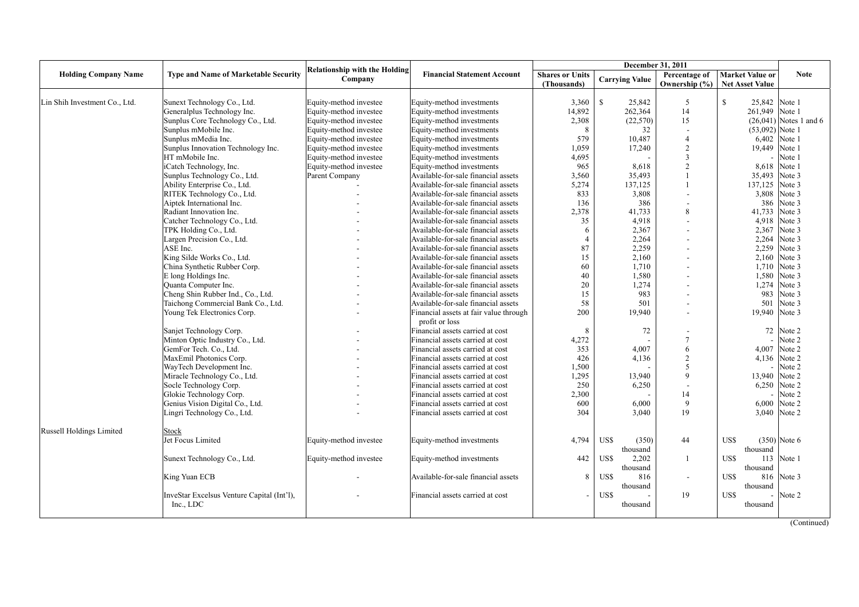|                               |                                             | <b>Relationship with the Holding</b> |                                        |                        | December 31, 2011     |                          |                              |                          |
|-------------------------------|---------------------------------------------|--------------------------------------|----------------------------------------|------------------------|-----------------------|--------------------------|------------------------------|--------------------------|
| <b>Holding Company Name</b>   | <b>Type and Name of Marketable Security</b> | Company                              | <b>Financial Statement Account</b>     | <b>Shares or Units</b> | <b>Carrying Value</b> | Percentage of            | <b>Market Value or</b>       | <b>Note</b>              |
|                               |                                             |                                      |                                        | (Thousands)            |                       | Ownership (%)            | <b>Net Asset Value</b>       |                          |
|                               |                                             |                                      |                                        |                        |                       |                          |                              |                          |
| Lin Shih Investment Co., Ltd. | Sunext Technology Co., Ltd.                 | Equity-method investee               | Equity-method investments              | 3,360                  | $\mathbf S$<br>25,842 | 5                        | $\mathbf S$<br>25,842 Note 1 |                          |
|                               | Generalplus Technology Inc.                 | Equity-method investee               | Equity-method investments              | 14,892                 | 262,364               | 14                       | 261,949 Note 1               |                          |
|                               | Sunplus Core Technology Co., Ltd.           | Equity-method investee               | Equity-method investments              | 2,308                  | (22, 570)             | 15                       |                              | $(26,041)$ Notes 1 and 6 |
|                               | Sunplus mMobile Inc.                        | Equity-method investee               | Equity-method investments              | 8                      | 32                    |                          | $(53,092)$ Note 1            |                          |
|                               | Sunplus mMedia Inc.                         | Equity-method investee               | Equity-method investments              | 579                    | 10,487                | $\overline{4}$           | 6,402                        | Note 1                   |
|                               | Sunplus Innovation Technology Inc.          | Equity-method investee               | Equity-method investments              | 1,059                  | 17,240                | $\overline{2}$           | 19,449                       | Note 1                   |
|                               | HT mMobile Inc.                             | Equity-method investee               | Equity-method investments              | 4,695                  |                       | 3                        |                              | Note 1                   |
|                               | iCatch Technology, Inc.                     | Equity-method investee               | Equity-method investments              | 965                    | 8,618                 | $\mathfrak{D}$           | 8,618                        | Note 1                   |
|                               | Sunplus Technology Co., Ltd.                | Parent Company                       | Available-for-sale financial assets    | 3,560                  | 35,493                |                          | 35,493                       | Note 3                   |
|                               | Ability Enterprise Co., Ltd.                |                                      | Available-for-sale financial assets    | 5,274                  | 137,125               |                          | 137,125                      | Note 3                   |
|                               | RITEK Technology Co., Ltd.                  |                                      | Available-for-sale financial assets    | 833                    | 3,808                 |                          | 3,808                        | Note 3                   |
|                               | Aiptek International Inc.                   |                                      | Available-for-sale financial assets    | 136                    | 386                   |                          | 386                          | Note 3                   |
|                               | Radiant Innovation Inc.                     |                                      | Available-for-sale financial assets    | 2,378                  | 41,733                | $\mathbf{8}$             | 41,733                       | Note 3                   |
|                               | Catcher Technology Co., Ltd.                |                                      | Available-for-sale financial assets    | 35                     | 4,918                 |                          | 4,918                        | Note 3                   |
|                               | TPK Holding Co., Ltd.                       |                                      | Available-for-sale financial assets    | -6                     | 2,367                 |                          | 2,367                        | Note 3                   |
|                               | Largen Precision Co., Ltd.                  |                                      | Available-for-sale financial assets    | $\overline{4}$         | 2,264                 |                          | 2,264                        | Note 3                   |
|                               | ASE Inc.                                    |                                      | Available-for-sale financial assets    | 87                     | 2,259                 |                          | 2,259                        | Note 3                   |
|                               | King Silde Works Co., Ltd.                  |                                      | Available-for-sale financial assets    | 15                     | 2,160                 |                          | 2,160                        | Note 3                   |
|                               | China Synthetic Rubber Corp.                |                                      | Available-for-sale financial assets    | 60                     | 1,710                 |                          | 1,710                        | Note 3                   |
|                               | E long Holdings Inc.                        |                                      | Available-for-sale financial assets    | 40                     | 1,580                 |                          | 1,580                        | Note 3                   |
|                               | Quanta Computer Inc.                        |                                      | Available-for-sale financial assets    | 20                     | 1,274                 |                          | 1,274                        | Note 3                   |
|                               | Cheng Shin Rubber Ind., Co., Ltd.           |                                      | Available-for-sale financial assets    | 15                     | 983                   |                          | 983                          | Note 3                   |
|                               | Taichong Commercial Bank Co., Ltd.          |                                      | Available-for-sale financial assets    | 58                     | 501                   |                          | 501                          | Note 3                   |
|                               | Young Tek Electronics Corp.                 |                                      | Financial assets at fair value through | 200                    | 19,940                |                          | 19,940                       | Note 3                   |
|                               |                                             |                                      | profit or loss                         |                        |                       |                          |                              |                          |
|                               | Sanjet Technology Corp.                     |                                      | Financial assets carried at cost       | 8                      | 72                    |                          | 72                           | Note 2                   |
|                               | Minton Optic Industry Co., Ltd.             |                                      | Financial assets carried at cost       | 4,272                  |                       | 7                        |                              | Note 2                   |
|                               | GemFor Tech. Co., Ltd.                      |                                      | Financial assets carried at cost       | 353                    | 4,007                 | 6                        | 4,007                        | Note 2                   |
|                               | MaxEmil Photonics Corp.                     |                                      | Financial assets carried at cost       | 426                    | 4,136                 | $\overline{2}$           |                              | 4,136 Note 2             |
|                               | WayTech Development Inc.                    |                                      | Financial assets carried at cost       | 1,500                  |                       | $\overline{\phantom{0}}$ |                              | Note 2                   |
|                               | Miracle Technology Co., Ltd.                |                                      | Financial assets carried at cost       | 1,295                  | 13,940                | $\mathbf Q$              | 13,940                       | Note 2                   |
|                               | Socle Technology Corp.                      |                                      | Financial assets carried at cost       | 250                    | 6,250                 |                          | 6,250                        | Note 2                   |
|                               | Glokie Technology Corp.                     |                                      | Financial assets carried at cost       | 2,300                  |                       | 14                       |                              | Note 2                   |
|                               | Genius Vision Digital Co., Ltd.             |                                      | Financial assets carried at cost       | 600                    | 6,000                 | 9                        | 6,000                        | Note 2                   |
|                               | Lingri Technology Co., Ltd.                 |                                      | Financial assets carried at cost       | 304                    | 3,040                 | 19                       |                              | 3,040 Note 2             |
|                               |                                             |                                      |                                        |                        |                       |                          |                              |                          |
| Russell Holdings Limited      | <b>Stock</b>                                |                                      |                                        |                        |                       |                          |                              |                          |
|                               | Jet Focus Limited                           | Equity-method investee               | Equity-method investments              | 4,794                  | US\$<br>(350)         | 44                       | US\$                         | $(350)$ Note 6           |
|                               |                                             |                                      |                                        |                        | thousand              |                          | thousand                     |                          |
|                               | Sunext Technology Co., Ltd.                 | Equity-method investee               | Equity-method investments              | 442                    | US\$<br>2,202         | -1                       | US\$<br>113                  | Note 1                   |
|                               |                                             |                                      |                                        |                        | thousand              |                          | thousand                     |                          |
|                               | King Yuan ECB                               |                                      | Available-for-sale financial assets    | 8                      | US\$<br>816           | $\overline{\phantom{a}}$ | US\$<br>816                  | Note 3                   |
|                               |                                             |                                      |                                        |                        | thousand              |                          | thousand                     |                          |
|                               | InveStar Excelsus Venture Capital (Int'l),  |                                      | Financial assets carried at cost       |                        | US\$                  | 19                       | US\$                         | Note 2                   |
|                               | Inc., LDC                                   |                                      |                                        |                        | thousand              |                          | thousand                     |                          |
|                               |                                             |                                      |                                        |                        |                       |                          |                              |                          |
|                               |                                             |                                      |                                        |                        |                       |                          |                              | (Continued)              |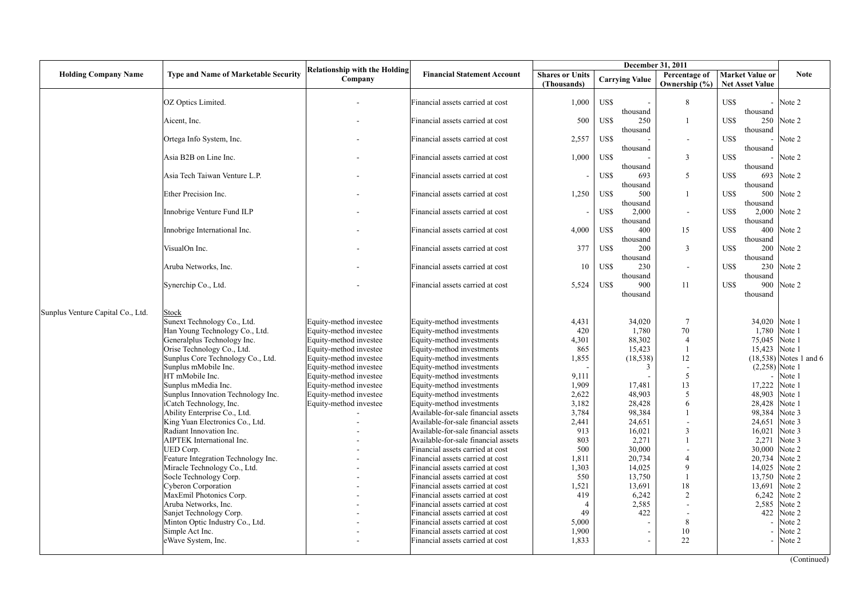|                                   |                                             |                                                 |                                                                         |                                       |                           | December 31, 2011              |                                                  |                          |
|-----------------------------------|---------------------------------------------|-------------------------------------------------|-------------------------------------------------------------------------|---------------------------------------|---------------------------|--------------------------------|--------------------------------------------------|--------------------------|
| <b>Holding Company Name</b>       | <b>Type and Name of Marketable Security</b> | <b>Relationship with the Holding</b><br>Company | <b>Financial Statement Account</b>                                      | <b>Shares or Units</b><br>(Thousands) | <b>Carrying Value</b>     | Percentage of<br>Ownership (%) | <b>Market Value or</b><br><b>Net Asset Value</b> | <b>Note</b>              |
|                                   | OZ Optics Limited.                          |                                                 | Financial assets carried at cost                                        | 1,000                                 | US\$<br>thousand          | 8                              | US\$<br>$\blacksquare$<br>thousand               | Note 2                   |
|                                   | Aicent, Inc.                                |                                                 | Financial assets carried at cost                                        | 500                                   | US\$<br>250<br>thousand   | 1                              | US\$<br>250<br>thousand                          | Note 2                   |
|                                   | Ortega Info System, Inc.                    |                                                 | Financial assets carried at cost                                        | 2,557                                 | US\$<br>thousand          | $\sim$                         | US\$<br>thousand                                 | Note 2                   |
|                                   | Asia B2B on Line Inc.                       |                                                 | Financial assets carried at cost                                        | 1,000                                 | US\$<br>thousand          | $\overline{3}$                 | US\$<br>thousand                                 | Note 2                   |
|                                   | Asia Tech Taiwan Venture L.P.               |                                                 | Financial assets carried at cost                                        |                                       | US\$<br>693<br>thousand   | 5                              | US\$<br>693<br>thousand                          | Note 2                   |
|                                   | Ether Precision Inc.                        |                                                 | Financial assets carried at cost                                        | 1,250                                 | US\$<br>500<br>thousand   |                                | US\$<br>500<br>thousand                          | Note 2                   |
|                                   | Innobrige Venture Fund ILP                  |                                                 | Financial assets carried at cost                                        |                                       | US\$<br>2,000<br>thousand | $\blacksquare$                 | US\$<br>2,000<br>thousand                        | Note 2                   |
|                                   | Innobrige International Inc.                |                                                 | Financial assets carried at cost                                        | 4,000                                 | US\$<br>400<br>thousand   | 15                             | US\$<br>400<br>thousand                          | Note 2                   |
|                                   | VisualOn Inc.                               |                                                 | Financial assets carried at cost                                        | 377                                   | US\$<br>200<br>thousand   | 3                              | US\$<br>200<br>thousand                          | Note 2                   |
|                                   | Aruba Networks, Inc.                        |                                                 | Financial assets carried at cost                                        | 10                                    | US\$<br>230<br>thousand   | $\overline{\phantom{a}}$       | US\$<br>230<br>thousand                          | Note 2                   |
|                                   | Synerchip Co., Ltd.                         |                                                 | Financial assets carried at cost                                        | 5,524                                 | US\$<br>900<br>thousand   | 11                             | US\$<br>900<br>thousand                          | Note 2                   |
| Sunplus Venture Capital Co., Ltd. | Stock                                       |                                                 |                                                                         |                                       |                           |                                |                                                  |                          |
|                                   | Sunext Technology Co., Ltd.                 | Equity-method investee                          | Equity-method investments                                               | 4,431                                 | 34,020                    | $7\phantom{.0}$                |                                                  | 34,020 Note 1            |
|                                   | Han Young Technology Co., Ltd.              | Equity-method investee                          | Equity-method investments                                               | 420                                   | 1,780                     | 70                             | 1,780                                            | Note 1                   |
|                                   | Generalplus Technology Inc.                 | Equity-method investee                          | Equity-method investments                                               | 4,301                                 | 88,302                    | $\overline{4}$                 | 75,045                                           | Note 1                   |
|                                   | Orise Technology Co., Ltd.                  | Equity-method investee                          | Equity-method investments                                               | 865                                   | 15,423                    | $\overline{1}$                 | 15,423                                           | Note 1                   |
|                                   | Sunplus Core Technology Co., Ltd.           | Equity-method investee                          | Equity-method investments                                               | 1,855                                 | (18, 538)                 | 12                             |                                                  | $(18,538)$ Notes 1 and 6 |
|                                   | Sunplus mMobile Inc.                        | Equity-method investee                          | Equity-method investments                                               |                                       | 3                         | $\blacksquare$                 |                                                  | $(2,258)$ Note 1         |
|                                   | HT mMobile Inc.                             | Equity-method investee                          | Equity-method investments                                               | 9,111                                 |                           | 5                              |                                                  | Note 1                   |
|                                   | Sunplus mMedia Inc.                         | Equity-method investee                          | Equity-method investments                                               | 1,909                                 | 17,481                    | 13                             | 17,222                                           | Note 1                   |
|                                   | Sunplus Innovation Technology Inc.          | Equity-method investee                          | Equity-method investments                                               | 2,622                                 | 48,903                    | 5                              | 48,903                                           | Note 1                   |
|                                   | iCatch Technology, Inc.                     | Equity-method investee                          | Equity-method investments                                               | 3,182                                 | 28.428                    | 6                              | 28,428                                           | Note 1                   |
|                                   | Ability Enterprise Co., Ltd.                |                                                 | Available-for-sale financial assets                                     | 3,784                                 | 98,384                    |                                | 98,384                                           | Note 3                   |
|                                   | King Yuan Electronics Co., Ltd.             |                                                 | Available-for-sale financial assets                                     | 2,441                                 | 24,651                    |                                | 24,651                                           | Note 3                   |
|                                   | Radiant Innovation Inc.                     |                                                 | Available-for-sale financial assets                                     | 913<br>803                            | 16,021                    | $\mathfrak{Z}$<br>1            | 16,021                                           | Note 3<br>Note 3         |
|                                   | AIPTEK International Inc.<br>UED Corp.      |                                                 | Available-for-sale financial assets<br>Financial assets carried at cost | 500                                   | 2,271<br>30,000           |                                | 2,271<br>30,000                                  | Note 2                   |
|                                   | Feature Integration Technology Inc.         |                                                 | Financial assets carried at cost                                        | 1,811                                 | 20,734                    | $\overline{4}$                 | 20,734                                           | Note 2                   |
|                                   | Miracle Technology Co., Ltd.                |                                                 | Financial assets carried at cost                                        | 1,303                                 | 14,025                    | 9                              | 14,025                                           | Note 2                   |
|                                   | Socle Technology Corp.                      |                                                 | Financial assets carried at cost                                        | 550                                   | 13,750                    | $\overline{1}$                 | 13,750                                           | Note 2                   |
|                                   | <b>Cyberon Corporation</b>                  |                                                 | Financial assets carried at cost                                        | 1,521                                 | 13,691                    | 18                             | 13,691                                           | Note 2                   |
|                                   | MaxEmil Photonics Corp.                     |                                                 | Financial assets carried at cost                                        | 419                                   | 6,242                     | 2                              | 6,242                                            | Note 2                   |
|                                   | Aruba Networks, Inc.                        |                                                 | Financial assets carried at cost                                        | $\overline{4}$                        | 2,585                     | $\sim$                         | 2,585                                            | Note 2                   |
|                                   | Sanjet Technology Corp.                     |                                                 | Financial assets carried at cost                                        | 49                                    | 422                       | $\overline{\phantom{a}}$       | 422                                              | Note 2                   |
|                                   | Minton Optic Industry Co., Ltd.             |                                                 | Financial assets carried at cost                                        | 5,000                                 |                           | 8                              |                                                  | Note 2                   |
|                                   | Simple Act Inc.                             |                                                 | Financial assets carried at cost                                        | 1,900                                 |                           | 10                             |                                                  | Note 2                   |
|                                   | eWave System, Inc.                          |                                                 | Financial assets carried at cost                                        | 1.833                                 |                           | 22                             | $\sim$                                           | Note 2                   |
|                                   |                                             |                                                 |                                                                         |                                       |                           |                                |                                                  |                          |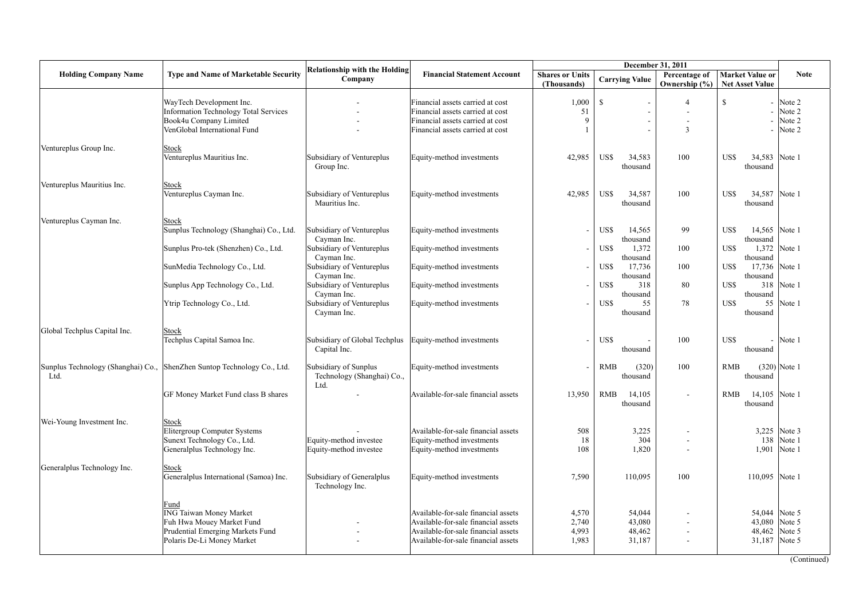|                              |                                                                                                                                       |                                                                       |                                                                                                                                                          |                                       | December 31, 2011                           |                                |                                                  |                                          |
|------------------------------|---------------------------------------------------------------------------------------------------------------------------------------|-----------------------------------------------------------------------|----------------------------------------------------------------------------------------------------------------------------------------------------------|---------------------------------------|---------------------------------------------|--------------------------------|--------------------------------------------------|------------------------------------------|
| <b>Holding Company Name</b>  | <b>Type and Name of Marketable Security</b>                                                                                           | <b>Relationship with the Holding</b><br>Company                       | <b>Financial Statement Account</b>                                                                                                                       | <b>Shares or Units</b><br>(Thousands) | <b>Carrying Value</b>                       | Percentage of<br>Ownership (%) | <b>Market Value or</b><br><b>Net Asset Value</b> | <b>Note</b>                              |
|                              | WayTech Development Inc.<br>Information Technology Total Services<br>Book4u Company Limited<br>VenGlobal International Fund           |                                                                       | Financial assets carried at cost<br>Financial assets carried at cost<br>Financial assets carried at cost<br>Financial assets carried at cost             | 1,000<br>51<br>9                      | $\mathbb{S}$                                | $\overline{4}$<br>3            | $\mathbb{S}$                                     | Note 2<br>Note 2<br>Note 2<br>Note 2     |
| Ventureplus Group Inc.       | <b>Stock</b><br>Ventureplus Mauritius Inc.                                                                                            | Subsidiary of Ventureplus<br>Group Inc.                               | Equity-method investments                                                                                                                                | 42,985                                | US\$<br>34,583<br>thousand                  | 100                            | 34,583 Note 1<br>US\$<br>thousand                |                                          |
| Ventureplus Mauritius Inc.   | Stock<br>Ventureplus Cayman Inc.                                                                                                      | Subsidiary of Ventureplus<br>Mauritius Inc.                           | Equity-method investments                                                                                                                                | 42,985                                | US\$<br>34,587<br>thousand                  | 100                            | US\$<br>34,587 Note 1<br>thousand                |                                          |
| Ventureplus Cayman Inc.      | <b>Stock</b><br>Sunplus Technology (Shanghai) Co., Ltd.                                                                               | Subsidiary of Ventureplus<br>Cayman Inc.                              | Equity-method investments                                                                                                                                |                                       | US\$<br>14,565<br>thousand                  | 99                             | US\$<br>14,565 Note 1<br>thousand                |                                          |
|                              | Sunplus Pro-tek (Shenzhen) Co., Ltd.<br>SunMedia Technology Co., Ltd.                                                                 | Subsidiary of Ventureplus<br>Cayman Inc.<br>Subsidiary of Ventureplus | Equity-method investments<br>Equity-method investments                                                                                                   |                                       | US\$<br>1,372<br>thousand<br>US\$<br>17,736 | 100<br>100                     | US\$<br>thousand<br>17,736 Note 1<br>US\$        | 1,372 Note 1                             |
|                              | Sunplus App Technology Co., Ltd.                                                                                                      | Cayman Inc.<br>Subsidiary of Ventureplus<br>Cayman Inc.               | Equity-method investments                                                                                                                                |                                       | thousand<br>US\$<br>318<br>thousand         | 80                             | thousand<br>US\$<br>thousand                     | 318 Note 1                               |
|                              | Ytrip Technology Co., Ltd.                                                                                                            | Subsidiary of Ventureplus<br>Cayman Inc.                              | Equity-method investments                                                                                                                                |                                       | US\$<br>55<br>thousand                      | 78                             | US\$<br>thousand                                 | 55 Note 1                                |
| Global Techplus Capital Inc. | Stock<br>Techplus Capital Samoa Inc.                                                                                                  | Subsidiary of Global Techplus<br>Capital Inc.                         | Equity-method investments                                                                                                                                |                                       | US\$<br>thousand                            | 100                            | US\$<br>$\blacksquare$<br>thousand               | Note 1                                   |
| Ltd.                         | Sunplus Technology (Shanghai) Co., ShenZhen Suntop Technology Co., Ltd.                                                               | Subsidiary of Sunplus<br>Technology (Shanghai) Co.,<br>Ltd.           | Equity-method investments                                                                                                                                |                                       | <b>RMB</b><br>(320)<br>thousand             | 100                            | <b>RMB</b><br>thousand                           | $(320)$ Note 1                           |
|                              | GF Money Market Fund class B shares                                                                                                   |                                                                       | Available-for-sale financial assets                                                                                                                      | 13,950                                | $\mathbf{RMB}$<br>14,105<br>thousand        | $\blacksquare$                 | <b>RMB</b><br>14,105 Note 1<br>thousand          |                                          |
| Wei-Young Investment Inc.    | <b>Stock</b><br>Elitergroup Computer Systems<br>Sunext Technology Co., Ltd.<br>Generalplus Technology Inc.                            | Equity-method investee<br>Equity-method investee                      | Available-for-sale financial assets<br>Equity-method investments<br>Equity-method investments                                                            | 508<br>18<br>108                      | 3,225<br>304<br>1,820                       |                                | 1,901                                            | 3,225 Note 3<br>138 Note 1<br>Note 1     |
| Generalplus Technology Inc.  | Stock<br>Generalplus International (Samoa) Inc.                                                                                       | Subsidiary of Generalplus<br>Technology Inc.                          | Equity-method investments                                                                                                                                | 7,590                                 | 110,095                                     | 100                            | 110,095 Note 1                                   |                                          |
|                              | Fund<br><b>ING Taiwan Money Market</b><br>Fuh Hwa Mouey Market Fund<br>Prudential Emerging Markets Fund<br>Polaris De-Li Money Market |                                                                       | Available-for-sale financial assets<br>Available-for-sale financial assets<br>Available-for-sale financial assets<br>Available-for-sale financial assets | 4,570<br>2,740<br>4,993<br>1,983      | 54,044<br>43,080<br>48,462<br>31,187        | $\blacksquare$                 | 43,080<br>31,187 Note 5                          | 54,044 Note 5<br>Note 5<br>48,462 Note 5 |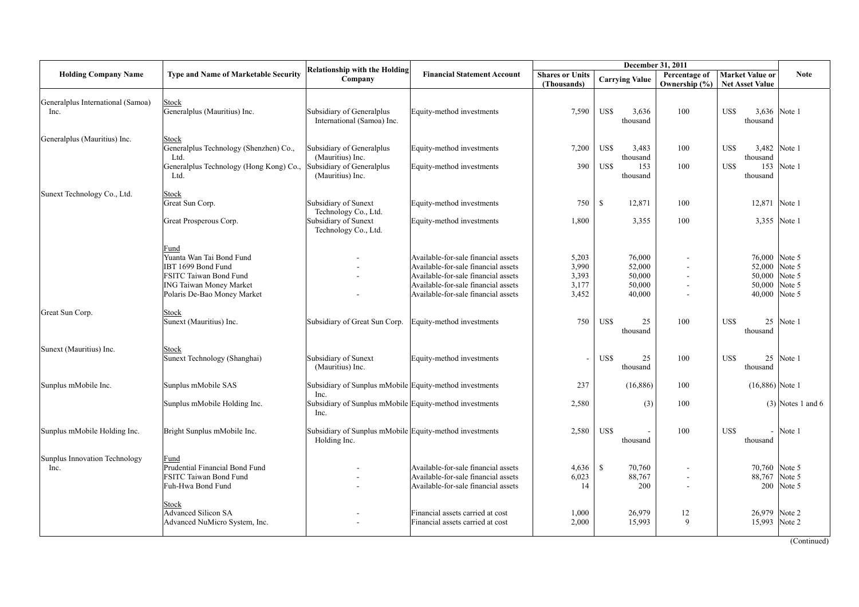|                                           |                                                                                                                                                   |                                                                         |                                                                                                                                                                                                 |                                           |                                                | December 31, 2011              |                                                                                   |                     |
|-------------------------------------------|---------------------------------------------------------------------------------------------------------------------------------------------------|-------------------------------------------------------------------------|-------------------------------------------------------------------------------------------------------------------------------------------------------------------------------------------------|-------------------------------------------|------------------------------------------------|--------------------------------|-----------------------------------------------------------------------------------|---------------------|
| <b>Holding Company Name</b>               | <b>Type and Name of Marketable Security</b>                                                                                                       | <b>Relationship with the Holding</b><br>Company                         | <b>Financial Statement Account</b>                                                                                                                                                              | <b>Shares or Units</b><br>(Thousands)     | <b>Carrying Value</b>                          | Percentage of<br>Ownership (%) | <b>Market Value or</b><br><b>Net Asset Value</b>                                  | <b>Note</b>         |
| Generalplus International (Samoa)<br>Inc. | <b>Stock</b><br>Generalplus (Mauritius) Inc.                                                                                                      | Subsidiary of Generalplus<br>International (Samoa) Inc.                 | Equity-method investments                                                                                                                                                                       | 7,590                                     | US\$<br>3,636<br>thousand                      | 100                            | US\$<br>thousand                                                                  | 3,636 Note 1        |
| Generalplus (Mauritius) Inc.              | <b>Stock</b><br>Generalplus Technology (Shenzhen) Co.,<br>Ltd.                                                                                    | Subsidiary of Generalplus<br>(Mauritius) Inc.                           | Equity-method investments                                                                                                                                                                       | 7,200                                     | US\$<br>3,483<br>thousand                      | 100                            | US\$<br>thousand                                                                  | 3,482 Note 1        |
|                                           | Generalplus Technology (Hong Kong) Co.,<br>Ltd.                                                                                                   | Subsidiary of Generalplus<br>(Mauritius) Inc.                           | Equity-method investments                                                                                                                                                                       | 390                                       | US\$<br>153<br>thousand                        | 100                            | US\$<br>thousand                                                                  | 153 Note 1          |
| Sunext Technology Co., Ltd.               | <b>Stock</b><br>Great Sun Corp.                                                                                                                   | Subsidiary of Sunext<br>Technology Co., Ltd.                            | Equity-method investments                                                                                                                                                                       | 750                                       | <sup>\$</sup><br>12,871                        | 100                            | 12,871 Note 1                                                                     |                     |
|                                           | Great Prosperous Corp.                                                                                                                            | Subsidiary of Sunext<br>Technology Co., Ltd.                            | Equity-method investments                                                                                                                                                                       | 1,800                                     | 3,355                                          | 100                            |                                                                                   | 3,355 Note 1        |
|                                           | Fund<br>Yuanta Wan Tai Bond Fund<br>IBT 1699 Bond Fund<br>FSITC Taiwan Bond Fund<br><b>ING Taiwan Money Market</b><br>Polaris De-Bao Money Market |                                                                         | Available-for-sale financial assets<br>Available-for-sale financial assets<br>Available-for-sale financial assets<br>Available-for-sale financial assets<br>Available-for-sale financial assets | 5,203<br>3,990<br>3,393<br>3,177<br>3,452 | 76,000<br>52,000<br>50,000<br>50,000<br>40,000 | ٠                              | 76,000 Note 5<br>52,000 Note 5<br>50,000 Note 5<br>50,000 Note 5<br>40,000 Note 5 |                     |
| Great Sun Corp.                           | Stock<br>Sunext (Mauritius) Inc.                                                                                                                  | Subsidiary of Great Sun Corp.                                           | Equity-method investments                                                                                                                                                                       | 750                                       | US\$<br>25<br>thousand                         | 100                            | US\$<br>thousand                                                                  | 25 Note 1           |
| Sunext (Mauritius) Inc.                   | Stock<br>Sunext Technology (Shanghai)                                                                                                             | Subsidiary of Sunext<br>(Mauritius) Inc.                                | Equity-method investments                                                                                                                                                                       |                                           | US\$<br>25<br>thousand                         | 100                            | US\$<br>thousand                                                                  | 25 Note 1           |
| Sunplus mMobile Inc.                      | Sunplus mMobile SAS                                                                                                                               | Subsidiary of Sunplus mMobile Equity-method investments<br>Inc.         |                                                                                                                                                                                                 | 237                                       | (16, 886)                                      | 100                            | $(16,886)$ Note 1                                                                 |                     |
|                                           | Sunplus mMobile Holding Inc.                                                                                                                      | Subsidiary of Sunplus mMobile Equity-method investments<br>Inc.         |                                                                                                                                                                                                 | 2,580                                     | (3)                                            | 100                            |                                                                                   | $(3)$ Notes 1 and 6 |
| Sunplus mMobile Holding Inc.              | Bright Sunplus mMobile Inc.                                                                                                                       | Subsidiary of Sunplus mMobile Equity-method investments<br>Holding Inc. |                                                                                                                                                                                                 | 2,580                                     | US\$<br>thousand                               | 100                            | US\$<br>thousand                                                                  | $-$ Note 1          |
| Sunplus Innovation Technology<br>Inc.     | Fund<br>Prudential Financial Bond Fund<br>FSITC Taiwan Bond Fund<br>Fuh-Hwa Bond Fund                                                             |                                                                         | Available-for-sale financial assets<br>Available-for-sale financial assets<br>Available-for-sale financial assets                                                                               | 4,636<br>6,023<br>14                      | $\mathbb{S}$<br>70,760<br>88,767<br>200        |                                | 70,760 Note 5<br>88,767 Note 5                                                    | 200 Note 5          |
|                                           | Stock<br><b>Advanced Silicon SA</b><br>Advanced NuMicro System, Inc.                                                                              |                                                                         | Financial assets carried at cost<br>Financial assets carried at cost                                                                                                                            | 1,000<br>2,000                            | 26,979<br>15,993                               | 12<br>9                        | 26,979 Note 2<br>15,993 Note 2                                                    |                     |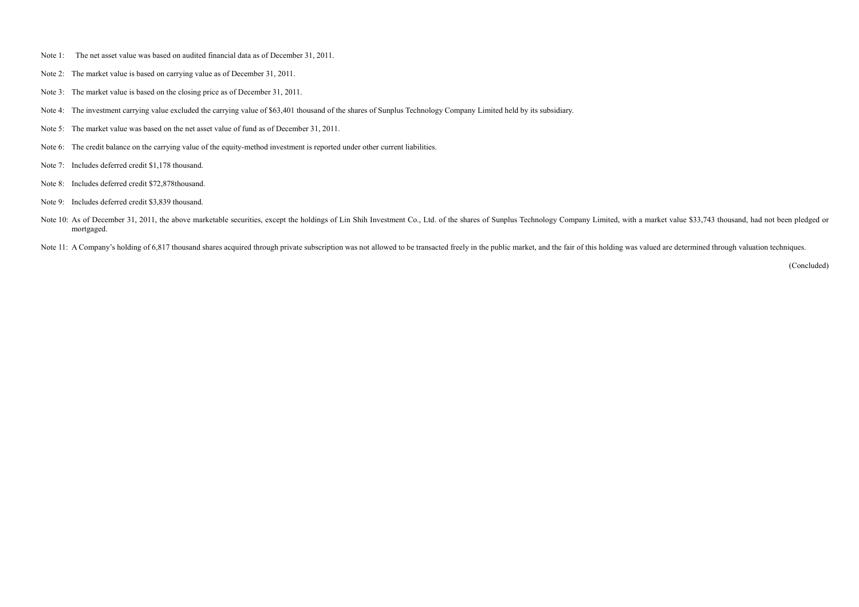- Note 1: The net asset value was based on audited financial data as of December 31, 2011.
- Note 2: The market value is based on carrying value as of December 31, 2011.
- Note 3: The market value is based on the closing price as of December 31, 2011.
- Note 4: The investment carrying value excluded the carrying value of \$63,401 thousand of the shares of Sunplus Technology Company Limited held by its subsidiary.
- Note 5: The market value was based on the net asset value of fund as of December 31, 2011.
- Note 6: The credit balance on the carrying value of the equity-method investment is reported under other current liabilities.
- Note 7: Includes deferred credit \$1,178 thousand.
- Note 8: Includes deferred credit \$72,878thousand.
- Note 9: Includes deferred credit \$3,839 thousand.
- Note 10: As of December 31, 2011, the above marketable securities, except the holdings of Lin Shih Investment Co., Ltd. of the shares of Sunplus Technology Company Limited, with a market value \$33,743 thousand, had not bee mortgaged.

Note 11: A Company's holding of 6,817 thousand shares acquired through private subscription was not allowed to be transacted freely in the public market, and the fair of this holding was valued are determined through valua

(Concluded)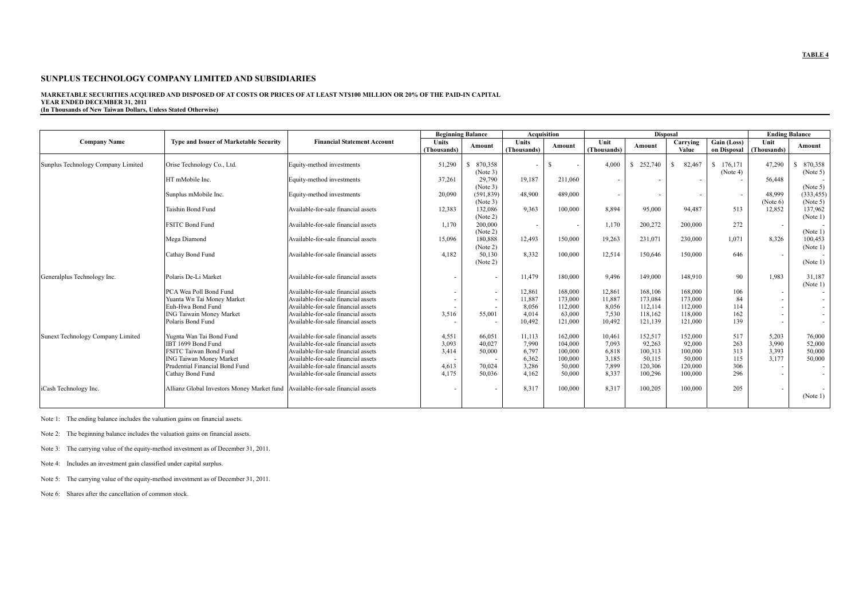#### **MARKETABLE SECURITIES ACQUIRED AND DISPOSED OF AT COSTS OR PRICES OF AT LEAST NT\$100 MILLION OR 20% OF THE PAID-IN CAPITAL YEAR ENDED DECEMBER 31, 2011**

**(In Thousands of New Taiwan Dollars, Unless Stated Otherwise)** 

|                                    |                                                                                  |                                     |              | <b>Beginning Balance</b> |                          | <b>Acquisition</b> |                          |                          | <b>Disposal</b> |             |                          | <b>Ending Balance</b> |
|------------------------------------|----------------------------------------------------------------------------------|-------------------------------------|--------------|--------------------------|--------------------------|--------------------|--------------------------|--------------------------|-----------------|-------------|--------------------------|-----------------------|
| <b>Company Name</b>                | <b>Type and Issuer of Marketable Security</b>                                    | <b>Financial Statement Account</b>  | <b>Units</b> |                          | Units                    | Amount             | Unit                     | Amount                   | Carrying        | Gain (Loss) | Unit                     | Amount                |
|                                    |                                                                                  |                                     | (Thousands)  | Amount                   | (Thousands)              |                    | (Thousands)              |                          | Value           |             | on Disposal (Thousands)  |                       |
|                                    |                                                                                  |                                     |              |                          |                          |                    |                          |                          |                 |             |                          |                       |
| Sunplus Technology Company Limited | Orise Technology Co., Ltd.                                                       | Equity-method investments           | 51,290       | 870,358<br>S.            |                          | S.                 | 4.000                    | \$252,740                | 82.467<br>S     | \$176.171   | 47,290                   | 870,358               |
|                                    |                                                                                  |                                     |              | (Note 3)                 |                          |                    |                          |                          |                 | (Note 4)    |                          | (Note 5)              |
|                                    | HT mMobile Inc.                                                                  | Equity-method investments           | 37,261       | 29,790                   | 19,187                   | 211,060            | $\overline{\phantom{a}}$ |                          |                 |             | 56,448                   |                       |
|                                    |                                                                                  |                                     |              | (Note 3)                 |                          |                    |                          |                          |                 |             |                          | (Note 5)              |
|                                    | Sunplus mMobile Inc.                                                             | Equity-method investments           | 20,090       | (591, 839)               | 48.900                   | 489,000            | $\overline{\phantom{a}}$ | $\overline{\phantom{a}}$ |                 | $\sim$      | 48.999                   | (333, 455)            |
|                                    | Taishin Bond Fund                                                                | Available-for-sale financial assets | 12,383       | (Note 3)<br>132.086      | 9.363                    | 100,000            | 8.894                    | 95,000                   | 94.487          | 513         | (Note 6)<br>12.852       | (Note 5)<br>137,962   |
|                                    |                                                                                  |                                     |              | (Note 2)                 |                          |                    |                          |                          |                 |             |                          | (Note 1)              |
|                                    | <b>FSITC Bond Fund</b>                                                           | Available-for-sale financial assets | 1,170        | 200.000                  | $\overline{\phantom{a}}$ |                    | 1,170                    | 200,272                  | 200,000         | 272         | $\overline{\phantom{a}}$ |                       |
|                                    |                                                                                  |                                     |              | (Note 2)                 |                          |                    |                          |                          |                 |             |                          | (Note 1)              |
|                                    | Mega Diamond                                                                     | Available-for-sale financial assets | 15,096       | 180.888                  | 12,493                   | 150,000            | 19,263                   | 231,071                  | 230,000         | 1,071       | 8,326                    | 100,453               |
|                                    |                                                                                  |                                     |              | (Note 2)                 |                          |                    |                          |                          |                 |             |                          | (Note 1)              |
|                                    | Cathay Bond Fund                                                                 | Available-for-sale financial assets | 4,182        | 50.130                   | 8.332                    | 100,000            | 12,514                   | 150,646                  | 150,000         | 646         | $\overline{\phantom{a}}$ |                       |
|                                    |                                                                                  |                                     |              | (Note 2)                 |                          |                    |                          |                          |                 |             |                          | (Note 1)              |
| Generalplus Technology Inc.        | Polaris De-Li Market                                                             | Available-for-sale financial assets | $\sim$       | $\overline{\phantom{a}}$ | 11,479                   | 180,000            | 9.496                    | 149,000                  | 148.910         | 90          | 1.983                    | 31,187                |
|                                    |                                                                                  |                                     |              |                          |                          |                    |                          |                          |                 |             |                          | (Note 1)              |
|                                    | PCA Wea Poll Bond Fund                                                           | Available-for-sale financial assets | $\sim$       | $\sim$                   | 12,861                   | 168,000            | 12,861                   | 168,106                  | 168,000         | 106         | $\sim$                   |                       |
|                                    | Yuanta Wn Tai Money Market                                                       | Available-for-sale financial assets | $\sim$       | $\overline{\phantom{a}}$ | 11,887                   | 173,000            | 11,887                   | 173,084                  | 173.000         | 84          | $\sim$                   |                       |
|                                    | Euh-Hwa Bond Fund                                                                | Available-for-sale financial assets |              |                          | 8.056                    | 112,000            | 8.056                    | 112,114                  | 112,000         | 114         | $\sim$                   |                       |
|                                    | <b>ING Taiwain Money Market</b>                                                  | Available-for-sale financial assets | 3,516        | 55.001                   | 4.014                    | 63.000             | 7.530                    | 118,162                  | 118,000         | 162         | $\overline{\phantom{a}}$ |                       |
|                                    | Polaris Bond Fund                                                                | Available-for-sale financial assets |              | $\overline{\phantom{a}}$ | 10,492                   | 121,000            | 10,492                   | 121,139                  | 121,000         | 139         | $\sim$                   | $\sim$                |
| Sunext Technology Company Limited  | Yugnta Wan Tai Bond Fund                                                         | Available-for-sale financial assets | 4,551        | 66,051                   | 11,113                   | 162,000            | 10,461                   | 152,517                  | 152,000         | 517         | 5,203                    | 76,000                |
|                                    | IBT 1699 Bond Fund                                                               | Available-for-sale financial assets | 3,093        | 40,027                   | 7.990                    | 104.000            | 7.093                    | 92,263                   | 92,000          | 263         | 3,990                    | 52,000                |
|                                    | FSITC Taiwan Bond Fund                                                           | Available-for-sale financial assets | 3,414        | 50,000                   | 6.797                    | 100,000            | 6,818                    | 100,313                  | 100,000         | 313         | 3,393                    | 50,000                |
|                                    | <b>ING Taiwan Money Market</b>                                                   | Available-for-sale financial assets |              |                          | 6,362                    | 100,000            | 3,185                    | 50,115                   | 50,000          | 115         | 3,177                    | 50,000                |
|                                    | Prudential Financial Bond Fund                                                   | Available-for-sale financial assets | 4,613        | 70.024                   | 3.286                    | 50.000             | 7.899                    | 120,306                  | 120,000         | 306         | $\sim$                   |                       |
|                                    | Cathay Bond Fund                                                                 | Available-for-sale financial assets | 4.175        | 50.036                   | 4.162                    | 50.000             | 8,337                    | 100,296                  | 100,000         | 296         | $\sim$                   |                       |
| iCash Technology Inc.              | Allianz Global Investors Money Market fund   Available-for-sale financial assets |                                     |              | ÷                        | 8,317                    | 100,000            | 8,317                    | 100,205                  | 100,000         | 205         | $\overline{\phantom{a}}$ |                       |
|                                    |                                                                                  |                                     |              |                          |                          |                    |                          |                          |                 |             |                          | (Note 1)              |
|                                    |                                                                                  |                                     |              |                          |                          |                    |                          |                          |                 |             |                          |                       |

Note 1: The ending balance includes the valuation gains on financial assets.

Note 2: The beginning balance includes the valuation gains on financial assets.

Note 3: The carrying value of the equity-method investment as of December 31, 2011.

Note 4: Includes an investment gain classified under capital surplus.

Note 5: The carrying value of the equity-method investment as of December 31, 2011.

Note 6: Shares after the cancellation of common stock.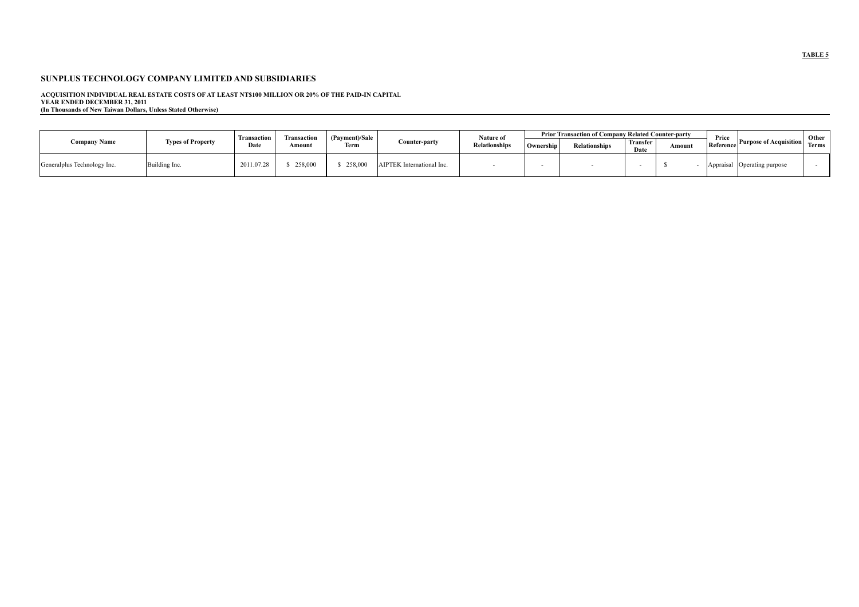ACQUISITION INDIVIDUAL REAL ESTATE COSTS OF AT LEAST NT\$100 MILLION OR 20% OF THE PAID-IN CAPITAL<br>YEAR ENDED DECEMBER 31, 2011<br>(In Thousands of New Taiwan Dollars, Unless Stated Otherwise)

|                             |                          |                     |                              | (Payment)/Sale | Counter-party             | Nature of            | <b>Prior Transaction of Company Related Counter-party</b> |                      |                  |        |                    |                               | Other        |
|-----------------------------|--------------------------|---------------------|------------------------------|----------------|---------------------------|----------------------|-----------------------------------------------------------|----------------------|------------------|--------|--------------------|-------------------------------|--------------|
| <b>Company Name</b>         | <b>Types of Property</b> | Iransaction<br>Date | <b>Transactio</b> r<br>Amoun | Term           |                           | <b>Relationships</b> | Ownership                                                 | <b>Relationships</b> | Transfer<br>Date | Amount | Price<br>Reference | <b>Purpose of Acquisition</b> | <b>Terms</b> |
| Generalplus Technology Inc. | Building Inc.            | 2011.07.28          | 258,000                      | 258,000        | AIPTEK International Inc. |                      |                                                           |                      |                  |        | Appraisal          | Operating purpose             |              |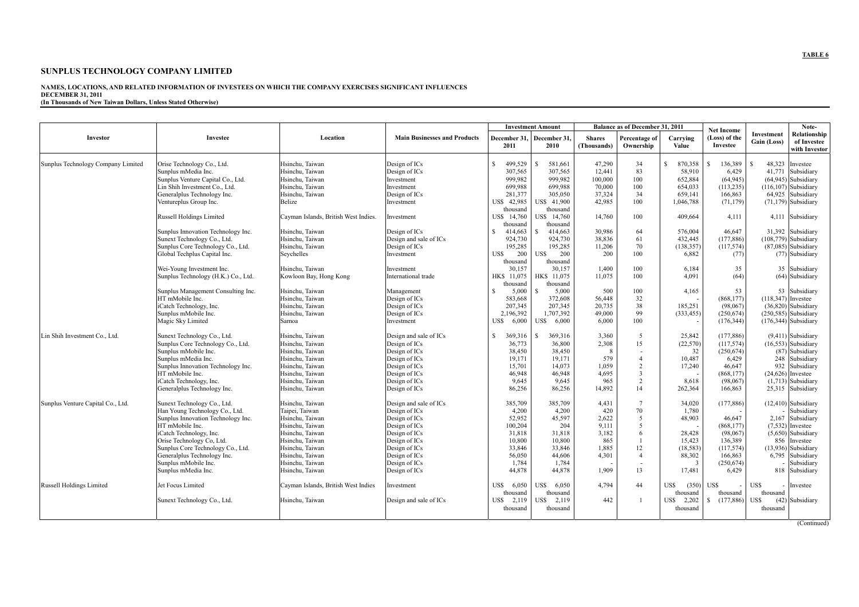#### **SUNPLUS TECHNOLOGY COMPANY LIMITED**

#### **NAMES, LOCATIONS, AND RELATED INFORMATION OF INVESTEES ON WHICH THE COMPANY EXERCISES SIGNIFICANT INFLUENCES DECEMBER 31, 2011 (In Thousands of New Taiwan Dollars, Unless Stated Otherwise)**

|                                    |                                     |                                      |                                     |                         | <b>Investment Amount</b> |                              | Balance as of December 31, 2011 |                   | <b>Net Income</b>         |                           | Note-                                        |
|------------------------------------|-------------------------------------|--------------------------------------|-------------------------------------|-------------------------|--------------------------|------------------------------|---------------------------------|-------------------|---------------------------|---------------------------|----------------------------------------------|
| Investor                           | Investee                            | Location                             | <b>Main Businesses and Products</b> | December 31,<br>2011    | December 31.<br>2010     | <b>Shares</b><br>(Thousands) | Percentage of<br>Ownership      | Carrying<br>Value | (Loss) of the<br>Investee | Investment<br>Gain (Loss) | Relationship<br>of Investee<br>with Investor |
| Sunplus Technology Company Limited | Orise Technology Co., Ltd.          | Hsinchu. Taiwan                      | Design of ICs                       | S<br>499.529            | 581.661                  | 47,290                       | 34                              | S.<br>870,358     | 136,389<br>-S.            | R                         | 48.323 Investee                              |
|                                    | Sunplus mMedia Inc.                 | Hsinchu, Taiwan                      | Design of ICs                       | 307,565                 | 307,565                  | 12,441                       | 83                              | 58,910            | 6,429                     |                           | 41,771 Subsidiary                            |
|                                    | Sunplus Venture Capital Co., Ltd.   | Hsinchu. Taiwan                      | Investment                          | 999.982                 | 999.982                  | 100,000                      | 100                             | 652.884           | (64.945)                  |                           | $(64.945)$ Subsidiary                        |
|                                    | Lin Shih Investment Co., Ltd.       | Hsinchu, Taiwan                      | Investment                          | 699,988                 | 699,988                  | 70,000                       | 100                             | 654,033           | (113, 235)                |                           | $(116, 107)$ Subsidiary                      |
|                                    | Generalplus Technology Inc.         | Hsinchu, Taiwan                      |                                     | 281,377                 | 305,050                  | 37,324                       | 34                              | 659,141           | 166,863                   |                           | 64,925 Subsidiary                            |
|                                    |                                     |                                      | Design of ICs                       | US\$ 42,985             | US\$ 41.900              | 42.985                       | 100                             |                   |                           |                           | $(71,179)$ Subsidiary                        |
|                                    | Ventureplus Group Inc.              | Belize                               | Investment                          | thousand                | thousand                 |                              |                                 | 1,046,788         | (71, 179)                 |                           |                                              |
|                                    | <b>Russell Holdings Limited</b>     | Cayman Islands, British West Indies. | Investment                          | US\$ 14,760<br>thousand | US\$ 14,760<br>thousand  | 14,760                       | 100                             | 409.664           | 4.111                     |                           | 4,111 Subsidiary                             |
|                                    | Sunplus Innovation Technology Inc.  | Hsinchu, Taiwan                      | Design of ICs                       | 414,663<br>S.           | 414,663                  | 30,986                       | 64                              | 576,004           | 46,647                    |                           | 31,392 Subsidiary                            |
|                                    | Sunext Technology Co., Ltd          | Hsinchu. Taiwan                      | Design and sale of ICs              | 924,730                 | 924,730                  | 38,836                       | 61                              | 432,445           | (177, 886)                |                           | $(108,779)$ Subsidiary                       |
|                                    | Sunplus Core Technology Co., Ltd.   | Hsinchu, Taiwan                      | Design of ICs                       | 195,285                 | 195,285                  | 11,206                       | 70                              | (138, 357)        | (117, 574)                |                           | $(87,085)$ Subsidiary                        |
|                                    | Global Techplus Capital Inc.        | Seychelles                           | Investment                          | 200<br>US\$             | 200<br>US\$              | 200                          | 100                             | 6,882             | (77)                      |                           | (77) Subsidiary                              |
|                                    |                                     |                                      |                                     | thousand                | thousand                 |                              |                                 |                   |                           |                           |                                              |
|                                    | Wei-Young Investment Inc.           | Hsinchu, Taiwan                      | Investment                          | 30,157                  | 30,157                   | 1,400                        | 100                             | 6,184             | 35                        |                           | 35 Subsidiary                                |
|                                    | Sunplus Technology (H.K.) Co., Ltd. | Kowloon Bay, Hong Kong               | International trade                 | HK\$ 11,075             | HK\$ 11,075              | 11,075                       | 100                             | 4.091             | (64)                      |                           | (64) Subsidiary                              |
|                                    |                                     |                                      |                                     | thousand                | thousand                 |                              |                                 |                   |                           |                           |                                              |
|                                    | Sunplus Management Consulting Inc.  | Hsinchu. Taiwan                      | Management                          | 5,000<br>S              | 5.000<br>-8              | 500                          | 100                             | 4,165             | 53                        |                           | 53 Subsidiary                                |
|                                    | HT mMobile Inc.                     | Hsinchu, Taiwan                      | Design of ICs                       | 583,668                 | 372,608                  | 56,448                       | 32                              |                   | (868, 177)                | $(118,347)$ Investee      |                                              |
|                                    | iCatch Technology, Inc.             | Hsinchu, Taiwan                      | Design of ICs                       | 207,345                 | 207,345                  | 20,735                       | 38                              | 185,251           | (98,067)                  |                           | $(36,820)$ Subsidiary                        |
|                                    | Sunplus mMobile Inc.                | Hsinchu, Taiwan                      | Design of ICs                       | 2,196,392               | 1,707,392                | 49,000                       | 99                              | (333, 455)        | (250, 674)                |                           | $(250, 585)$ Subsidiary                      |
|                                    | Magic Sky Limited                   | Samoa                                | Investment                          | US\$<br>6,000           | US\$ 6,000               | 6,000                        | 100                             |                   | (176, 344)                |                           | $(176,344)$ Subsidiary                       |
|                                    |                                     |                                      |                                     |                         |                          |                              |                                 |                   |                           |                           |                                              |
| Lin Shih Investment Co., Ltd       | Sunext Technology Co., Ltd.         | Hsinchu. Taiwan                      | Design and sale of ICs              | 369,316<br>S.           | 369,316<br>-8            | 3,360                        | 5                               | 25,842            | (177, 886)                |                           | $(9,411)$ Subsidiary                         |
|                                    | Sunplus Core Technology Co., Ltd.   | Hsinchu, Taiwan                      | Design of ICs                       | 36,773                  | 36,800                   | 2,308                        | 15                              | (22, 570)         | (117, 574)                |                           | $(16,553)$ Subsidiary                        |
|                                    | Sunplus mMobile Inc.                | Hsinchu. Taiwan                      | Design of ICs                       | 38,450                  | 38,450                   | -8                           |                                 | 32                | (250, 674)                |                           | (87) Subsidiary                              |
|                                    | Sunplus mMedia Inc.                 | Hsinchu, Taiwan                      | Design of ICs                       | 19,171                  | 19,171                   | 579                          | $\overline{4}$                  | 10,487            | 6,429                     |                           | 248 Subsidiary                               |
|                                    | Sunplus Innovation Technology Inc.  | Hsinchu. Taiwan                      | Design of ICs                       | 15.701                  | 14.073                   | 1.059                        | 2                               | 17,240            | 46.647                    |                           | 932 Subsidiary                               |
|                                    | HT mMobile Inc.                     | Hsinchu. Taiwan                      | Design of ICs                       | 46,948                  | 46,948                   | 4,695                        | $\overline{3}$                  |                   | (868, 177)                |                           | $(24,626)$ Investee                          |
|                                    | iCatch Technology, Inc.             | Hsinchu, Taiwan                      | Design of ICs                       | 9,645                   | 9,645                    | 965                          | $\overline{2}$                  | 8,618             | (98,067)                  |                           | $(1,713)$ Subsidiary                         |
|                                    | Generalplus Technology Inc.         | Hsinchu. Taiwan                      | Design of ICs                       | 86,256                  | 86,256                   | 14.892                       | 14                              | 262,364           | 166.863                   |                           | 25,315 Subsidiary                            |
|                                    |                                     |                                      |                                     |                         |                          |                              |                                 |                   |                           |                           |                                              |
| Sunplus Venture Capital Co., Ltd.  | Sunext Technology Co., Ltd.         | Hsinchu, Taiwan                      | Design and sale of ICs              | 385,709                 | 385.709                  | 4,431                        | $\overline{7}$                  | 34.020            | (177, 886)                |                           | $(12,410)$ Subsidiary                        |
|                                    | Han Young Technology Co., Ltd.      | Taipei, Taiwan                       | Design of ICs                       | 4,200                   | 4,200                    | 420                          | 70                              | 1,780             |                           |                           | Subsidiary                                   |
|                                    | Sunplus Innovation Technology Inc.  | Hsinchu, Taiwan                      | Design of ICs                       | 52,952                  | 45,597                   | 2,622                        | 5                               | 48,903            | 46,647                    |                           | 2,167 Subsidiary                             |
|                                    | HT mMobile Inc.                     | Hsinchu, Taiwan                      | Design of ICs                       | 100,204                 | 204                      | 9.111                        | 5                               |                   | (868, 177)                |                           | $(7,532)$ Investee                           |
|                                    | iCatch Technology, Inc.             | Hsinchu. Taiwan                      | Design of ICs                       | 31,818                  | 31,818                   | 3,182                        | 6                               | 28,428            | (98,067)                  |                           | $(5,650)$ Subsidiary                         |
|                                    | Orise Technology Co, Ltd.           | Hsinchu, Taiwan                      | Design of ICs                       | 10,800                  | 10,800                   | 865                          |                                 | 15,423            | 136,389                   |                           | 856 Investee                                 |
|                                    | Sunplus Core Technology Co., Ltd.   | Hsinchu, Taiwan                      | Design of ICs                       | 33,846                  | 33,846                   | 1,885                        | 12                              | (18, 583)         | (117, 574)                |                           | $(13.936)$ Subsidiary                        |
|                                    | Generalplus Technology Inc.         | Hsinchu, Taiwan                      | Design of ICs                       | 56,050                  | 44,606                   | 4,301                        | $\overline{4}$                  | 88,302            | 166,863                   |                           | 6,795 Subsidiary                             |
|                                    | Sunplus mMobile Inc.                | Hsinchu. Taiwan                      | Design of ICs                       | 1.784                   | 1.784                    |                              |                                 | $\overline{3}$    | (250, 674)                |                           | Subsidiary                                   |
|                                    | Sunplus mMedia Inc.                 | Hsinchu, Taiwan                      | Design of ICs                       | 44,878                  | 44,878                   | 1.909                        | 13                              | 17,481            | 6,429                     |                           | 818 Subsidiary                               |
| <b>Russell Holdings Limited</b>    | Jet Focus Limited                   | Cayman Islands, British West Indies  | Investment                          | 6,050<br>US\$           | 6.050<br>US\$.           | 4.794                        | 44                              | US\$<br>(350)     | US\$                      | US\$                      | - Investee                                   |
|                                    |                                     |                                      |                                     | thousand                | thousand                 |                              |                                 | thousand          | thousand                  | thousand                  |                                              |
|                                    | Sunext Technology Co., Ltd.         | Hsinchu, Taiwan                      | Design and sale of ICs              | US\$<br>2,119           | 2,119<br>US\$            | 442                          |                                 | US\$<br>2,202     | (177.886)<br>S.           | US\$                      | (42) Subsidiary                              |
|                                    |                                     |                                      |                                     | thousand                | thousand                 |                              |                                 | thousand          |                           | thousand                  |                                              |
|                                    |                                     |                                      |                                     |                         |                          |                              |                                 |                   |                           |                           |                                              |
|                                    |                                     |                                      |                                     |                         |                          |                              |                                 |                   |                           |                           | (Continued)                                  |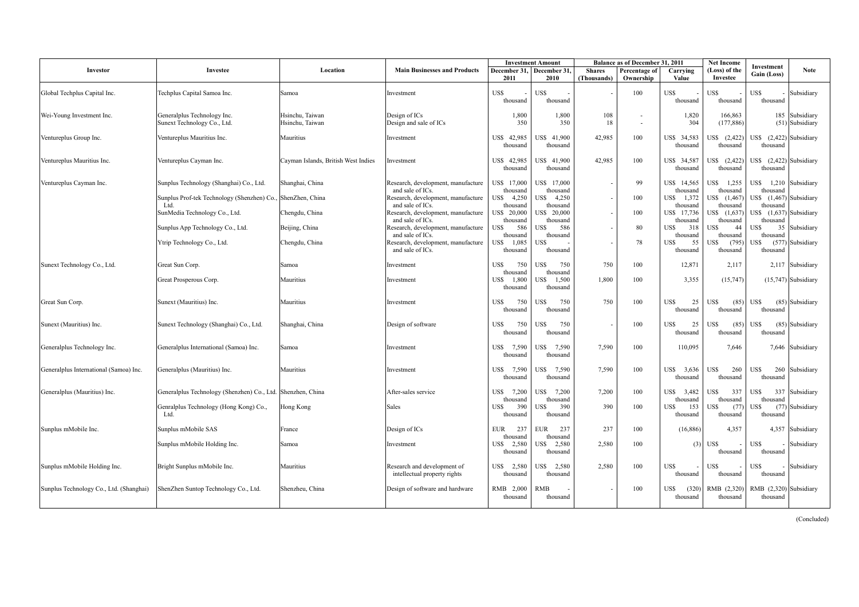|                                         |                                                             |                                     |                                                        |                           | <b>Investment Amount</b>  |               | <b>Balance as of December 31, 2011</b> |                           | <b>Net Income</b>         | Investment                            |                       |
|-----------------------------------------|-------------------------------------------------------------|-------------------------------------|--------------------------------------------------------|---------------------------|---------------------------|---------------|----------------------------------------|---------------------------|---------------------------|---------------------------------------|-----------------------|
| Investor                                | Investee                                                    | Location                            | <b>Main Businesses and Products</b>                    |                           | December 31, December 31, | <b>Shares</b> | Percentage of                          | Carrying                  | (Loss) of the             | Gain (Loss)                           | <b>Note</b>           |
|                                         |                                                             |                                     |                                                        | 2011                      | 2010                      | (Thousands)   | Ownership                              | Value                     | Investee                  |                                       |                       |
| Global Techplus Capital Inc.            | Techplus Capital Samoa Inc.                                 | Samoa                               | Investment                                             | US\$                      | US\$                      |               | 100                                    | US\$                      | US\$                      | US\$                                  | Subsidiary            |
|                                         |                                                             |                                     |                                                        | thousand                  | thousand                  |               |                                        | thousand                  | thousand                  | thousand                              |                       |
| Wei-Young Investment Inc.               | Generalplus Technology Inc.                                 | Hsinchu, Taiwan                     | Design of ICs                                          | 1,800                     | 1,800                     | 108           |                                        | 1,820                     | 166,863                   |                                       | 185 Subsidiary        |
|                                         | Sunext Technology Co., Ltd.                                 | Hsinchu, Taiwan                     | Design and sale of ICs                                 | 350                       | 350                       | 18            | $\sim$                                 | 304                       | (177, 886)                |                                       | $(51)$ Subsidiary     |
| Ventureplus Group Inc.                  | Ventureplus Mauritius Inc.                                  | Mauritius                           | Investment                                             | US\$ 42,985               | US\$ 41,900               | 42,985        | 100                                    | US\$ 34,583               | US\$ (2,422)              | US\$ $(2,422)$ Subsidiary             |                       |
|                                         |                                                             |                                     |                                                        | thousand                  | thousand                  |               |                                        | thousand                  | thousand                  | thousand                              |                       |
|                                         |                                                             |                                     |                                                        |                           | US\$ 41,900               |               |                                        |                           | US\$ (2,422)              |                                       |                       |
| Ventureplus Mauritius Inc.              | Ventureplus Cayman Inc.                                     | Cayman Islands, British West Indies | Investment                                             | US\$ 42,985<br>thousand   | thousand                  | 42,985        | 100                                    | US\$ 34,587<br>thousand   | thousand                  | US\$ $(2,422)$ Subsidiary<br>thousand |                       |
|                                         |                                                             |                                     |                                                        |                           |                           |               |                                        |                           |                           |                                       |                       |
| Ventureplus Cayman Inc.                 | Sunplus Technology (Shanghai) Co., Ltd.                     | Shanghai, China                     | Research, development, manufacture<br>and sale of ICs. | US\$ 17,000<br>thousand   | US\$ 17,000<br>thousand   |               | 99                                     | US\$ 14,565<br>thousand   | US\$ 1,255<br>thousand    | US\$ 1,210 Subsidiary<br>thousand     |                       |
|                                         | Sunplus Prof-tek Technology (Shenzhen) Co.,                 | ShenZhen, China                     | Research, development, manufacture                     | US\$ 4,250                | US\$<br>4,250             |               | 100                                    | USS<br>1,372              | US\$ (1,467)              | US\$ (1,467) Subsidiary               |                       |
|                                         | Ltd<br>SunMedia Technology Co., Ltd.                        | Chengdu, China                      | and sale of ICs.<br>Research, development, manufacture | thousand<br>US\$ 20,000   | thousand<br>US\$ 20,000   |               | 100                                    | thousand<br>US\$ 17,736   | thousand<br>US\$ (1,637)  | thousand<br>US\$ $(1,637)$ Subsidiary |                       |
|                                         |                                                             |                                     | and sale of ICs.                                       | thousand                  | thousand                  |               |                                        | thousand                  | thousand                  | thousand                              |                       |
|                                         | Sunplus App Technology Co., Ltd.                            | Beijing, China                      | Research, development, manufacture                     | US\$<br>586               | US\$<br>586               |               | 80                                     | US\$<br>318               | US\$<br>44                | US\$<br>35                            | Subsidiary            |
|                                         | Ytrip Technology Co., Ltd.                                  | Chengdu, China                      | and sale of ICs.<br>Research, development, manufacture | thousand<br>1,085<br>US\$ | thousand<br>US\$          |               | 78                                     | thousand<br>US\$<br>55    | thousand<br>US\$<br>(795) | thousand<br>US\$                      | (577) Subsidiary      |
|                                         |                                                             |                                     | and sale of ICs.                                       | thousand                  | thousand                  |               |                                        | thousand                  | thousand                  | thousand                              |                       |
| Sunext Technology Co., Ltd.             | Great Sun Corp.                                             | Samoa                               | Investment                                             | US\$<br>750               | US\$<br>750               | 750           | 100                                    | 12,871                    | 2,117                     |                                       | 2,117 Subsidiary      |
|                                         |                                                             |                                     |                                                        | thousand                  | thousand                  |               |                                        |                           |                           |                                       |                       |
|                                         | Great Prosperous Corp.                                      | Mauritius                           | Investment                                             | US\$<br>1,800             | US\$<br>1,500             | 1.800         | 100                                    | 3,355                     | (15,747)                  |                                       | $(15,747)$ Subsidiary |
|                                         |                                                             |                                     |                                                        | thousand                  | thousand                  |               |                                        |                           |                           |                                       |                       |
| Great Sun Corp.                         | Sunext (Mauritius) Inc.                                     | Mauritius                           | Investment                                             | US\$<br>750               | US\$<br>750               | 750           | 100                                    | <b>US\$</b><br>25         | <b>US\$</b><br>(85)       | US\$                                  | $(85)$ Subsidiary     |
|                                         |                                                             |                                     |                                                        | thousand                  | thousand                  |               |                                        | thousand                  | thousand                  | thousand                              |                       |
| Sunext (Mauritius) Inc.                 | Sunext Technology (Shanghai) Co., Ltd.                      | Shanghai, China                     | Design of software                                     | 750<br>US\$               | US\$<br>750               |               | 100                                    | US\$<br>25                | US\$<br>(85)              | US\$                                  | $(85)$ Subsidiary     |
|                                         |                                                             |                                     |                                                        | thousand                  | thousand                  |               |                                        | thousand                  | thousand                  | thousand                              |                       |
| Generalplus Technology Inc.             | Generalplus International (Samoa) Inc.                      | Samoa                               | Investment                                             | US\$ 7,590                | US\$ 7,590                | 7,590         | 100                                    | 110,095                   | 7,646                     |                                       | 7,646 Subsidiary      |
|                                         |                                                             |                                     |                                                        | thousand                  | thousand                  |               |                                        |                           |                           |                                       |                       |
| Generalplus International (Samoa) Inc.  | Generalplus (Mauritius) Inc.                                | Mauritius                           | Investment                                             | US\$ 7,590                | US\$<br>7,590             | 7,590         | 100                                    | US\$<br>3,636             | US\$<br>260               | US\$<br>260                           | Subsidiary            |
|                                         |                                                             |                                     |                                                        | thousand                  | thousand                  |               |                                        | thousand                  | thousand                  | thousand                              |                       |
| Generalplus (Mauritius) Inc.            | Generalplus Technology (Shenzhen) Co., Ltd. Shenzhen, China |                                     | After-sales service                                    | US\$ 7,200                | US\$ 7,200                | 7,200         | 100                                    | US\$<br>3,482             | US\$<br>337               | US\$<br>337                           | Subsidiary            |
|                                         |                                                             |                                     |                                                        | thousand                  | thousand                  |               |                                        | thousand                  | thousand                  | thousand                              |                       |
|                                         | Genralplus Technology (Hong Kong) Co.,<br>Ltd.              | Hong Kong                           | Sales                                                  | 390<br>US\$<br>thousand   | 390<br>US\$<br>thousand   | 390           | 100                                    | 153<br>USS<br>thousand    | US\$<br>(77)<br>thousand  | US\$<br>thousand                      | (77) Subsidiary       |
|                                         |                                                             |                                     |                                                        |                           |                           |               |                                        |                           |                           |                                       |                       |
| Sunplus mMobile Inc.                    | Sunplus mMobile SAS                                         | France                              | Design of ICs                                          | <b>EUR</b><br>237         | <b>EUR</b><br>237         | 237           | 100                                    | (16, 886)                 | 4,357                     |                                       | 4,357 Subsidiary      |
|                                         | Sunplus mMobile Holding Inc.                                | Samoa                               | Investment                                             | thousand<br>2,580<br>US\$ | thousand<br>US\$ 2,580    | 2,580         | 100                                    | (3)                       | US\$                      | US\$                                  | Subsidiary            |
|                                         |                                                             |                                     |                                                        | thousand                  | thousand                  |               |                                        |                           | thousand                  | thousand                              |                       |
| Sunplus mMobile Holding Inc.            | Bright Sunplus mMobile Inc.                                 | Mauritius                           | Research and development of                            | US\$ 2,580                | US\$ 2,580                | 2,580         | 100                                    | US\$                      | US\$                      | US\$                                  | Subsidiary            |
|                                         |                                                             |                                     | intellectual property rights                           | thousand                  | thousand                  |               |                                        | thousand                  | thousand                  | thousand                              |                       |
|                                         |                                                             |                                     |                                                        |                           |                           |               |                                        |                           |                           |                                       |                       |
| Sunplus Technology Co., Ltd. (Shanghai) | ShenZhen Suntop Technology Co., Ltd.                        | Shenzheu, China                     | Design of software and hardware                        | RMB 2,000<br>thousand     | RMB<br>thousand           |               | 100                                    | US\$<br>(320)<br>thousand | RMB (2,320)<br>thousand   | RMB (2,320) Subsidiary<br>thousand    |                       |
|                                         |                                                             |                                     |                                                        |                           |                           |               |                                        |                           |                           |                                       |                       |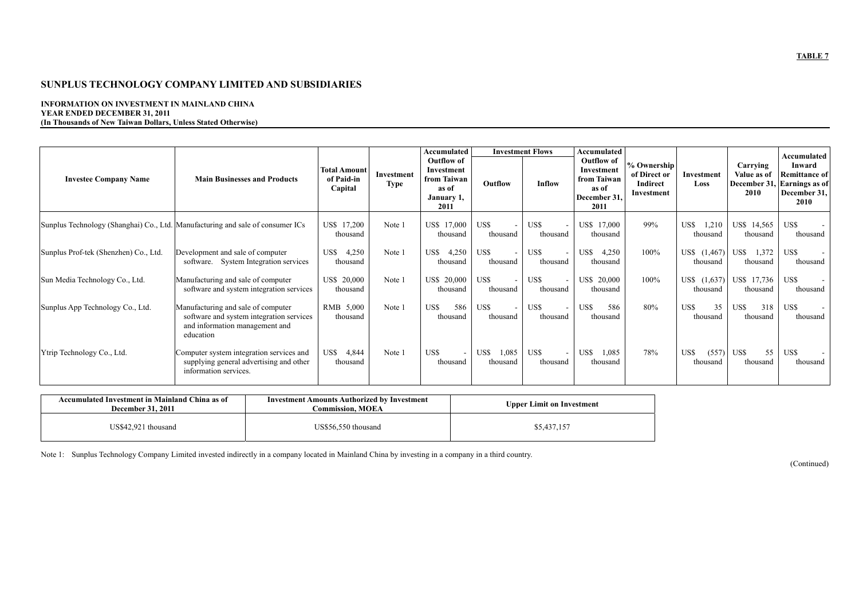#### **INFORMATION ON INVESTMENT IN MAINLAND CHINA YEAR ENDED DECEMBER 31, 2011 (In Thousands of New Taiwan Dollars, Unless Stated Otherwise)**

|                                       |                                                                                                                               |                                              |                                  | <b>Accumulated</b>                                                            |                           | <b>Investment Flows</b> | Accumulated                                                                     |                                                       |                              |                                 | Accumulated                                                                           |
|---------------------------------------|-------------------------------------------------------------------------------------------------------------------------------|----------------------------------------------|----------------------------------|-------------------------------------------------------------------------------|---------------------------|-------------------------|---------------------------------------------------------------------------------|-------------------------------------------------------|------------------------------|---------------------------------|---------------------------------------------------------------------------------------|
| <b>Investee Company Name</b>          | <b>Main Businesses and Products</b>                                                                                           | <b>Total Amount</b><br>of Paid-in<br>Capital | <b>Investment</b><br><b>Type</b> | <b>Outflow of</b><br>Investment<br>from Taiwan<br>as of<br>January 1,<br>2011 | Outflow                   | Inflow                  | <b>Outflow of</b><br>Investment<br>from Taiwan<br>as of<br>December 31,<br>2011 | % Ownership<br>of Direct or<br>Indirect<br>Investment | Investment<br>Loss           | Carrying<br>Value as of<br>2010 | Inward<br><b>Remittance of</b><br>December 31, Earnings as of<br>December 31,<br>2010 |
|                                       | Sunplus Technology (Shanghai) Co., Ltd. Manufacturing and sale of consumer ICs                                                | US\$ 17,200<br>thousand                      | Note 1                           | US\$ 17,000<br>thousand                                                       | US\$<br>thousand          | US\$<br>thousand        | US\$ 17,000<br>thousand                                                         | 99%                                                   | US\$<br>1,210<br>thousand    | US\$ 14,565<br>thousand         | US\$<br>thousand                                                                      |
| Sunplus Prof-tek (Shenzhen) Co., Ltd. | Development and sale of computer<br>software. System Integration services                                                     | US\$<br>4,250<br>thousand                    | Note 1                           | US\$<br>4,250<br>thousand                                                     | US\$<br>thousand          | US\$<br>thousand        | US\$<br>4,250<br>thousand                                                       | 100%                                                  | US\$<br>(1, 467)<br>thousand | 1,372<br>US\$<br>thousand       | US\$<br>thousand                                                                      |
| Sun Media Technology Co., Ltd.        | Manufacturing and sale of computer<br>software and system integration services                                                | US\$ 20,000<br>thousand                      | Note 1                           | US\$ 20,000<br>thousand                                                       | US\$<br>thousand          | US\$<br>thousand        | US\$ 20,000<br>thousand                                                         | 100%                                                  | US\$ (1,637)<br>thousand     | US\$ 17,736<br>thousand         | US\$<br>thousand                                                                      |
| Sunplus App Technology Co., Ltd.      | Manufacturing and sale of computer<br>software and system integration services<br>and information management and<br>education | RMB 5,000<br>thousand                        | Note 1                           | US\$<br>586<br>thousand                                                       | US\$<br>thousand          | US\$<br>thousand        | US\$<br>586<br>thousand                                                         | 80%                                                   | US\$<br>35<br>thousand       | US\$<br>318<br>thousand         | US\$<br>thousand                                                                      |
| Ytrip Technology Co., Ltd.            | Computer system integration services and<br>supplying general advertising and other<br>information services.                  | US\$<br>4,844<br>thousand                    | Note 1                           | US\$<br>thousand                                                              | 1,085<br>US\$<br>thousand | US\$<br>thousand        | US\$<br>1,085<br>thousand                                                       | 78%                                                   | US\$<br>(557)<br>thousand    | 55<br>US\$<br>thousand          | US\$<br>thousand                                                                      |

| Accumulated Investment in Mainland China as of<br><b>December 31, 2011</b> | <b>Investment Amounts Authorized by Investment</b><br>Commission. MOEA | <b>Upper Limit on Investment</b> |
|----------------------------------------------------------------------------|------------------------------------------------------------------------|----------------------------------|
| US\$42,921 thousand                                                        | US\$56,550 thousand                                                    | \$5,437,157                      |

Note 1: Sunplus Technology Company Limited invested indirectly in a company located in Mainland China by investing in a company in a third country.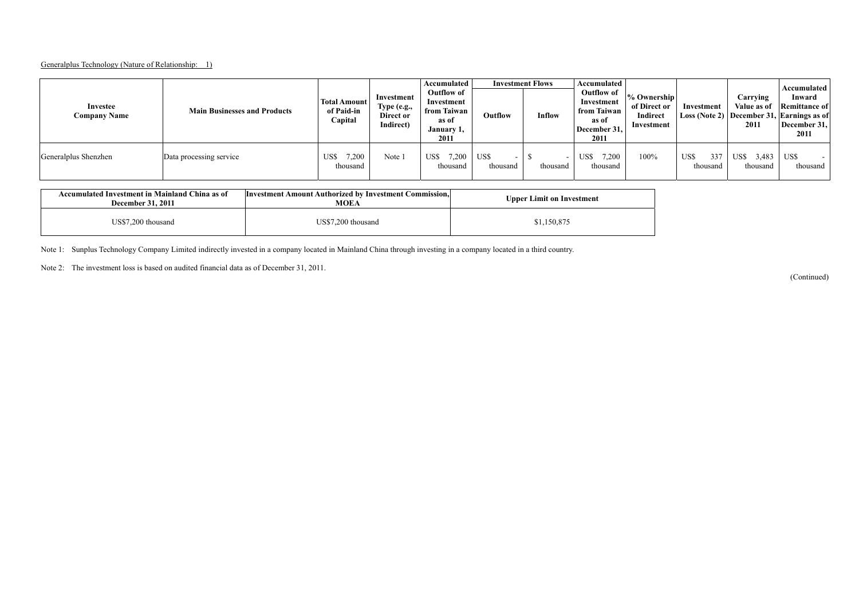#### Generalplus Technology (Nature of Relationship: 1)

| Investee<br><b>Company Name</b> | <b>Main Businesses and Products</b> | <b>Total Amount</b><br>of Paid-in<br>Capital | Investment<br>Type (e.g.,<br>Direct or<br>Indirect) | Accumulated<br><b>Outflow of</b><br>Investment<br>from Taiwan<br>as of<br>January 1,<br>2011 | Outflow          | <b>Investment Flows</b><br>Inflow | Accumulated<br>Outflow of<br>Investment<br>from Taiwan<br>as of<br>December 31,<br>2011 | % Ownership<br>of Direct or<br><b>Indirect</b><br>Investment | Investment              | Carrying<br>Value as of<br>2011 | Accumulated<br>Inward<br><b>Remittance of</b><br>Loss (Note 2) December 31, Earnings as of<br>December 31,<br>2011 |
|---------------------------------|-------------------------------------|----------------------------------------------|-----------------------------------------------------|----------------------------------------------------------------------------------------------|------------------|-----------------------------------|-----------------------------------------------------------------------------------------|--------------------------------------------------------------|-------------------------|---------------------------------|--------------------------------------------------------------------------------------------------------------------|
| Generalplus Shenzhen            | Data processing service             | 7,200<br>US\$<br>thousand                    | Note 1                                              | US\$<br>.200<br>thousand                                                                     | US\$<br>thousand | thousand                          | US\$<br>,200<br>thousand                                                                | 100%                                                         | US\$<br>337<br>thousand | 3,483<br>US\$<br>thousand       | US\$<br>thousand                                                                                                   |

| Accumulated Investment in Mainland China as of<br><b>December 31, 2011</b> | Investment Amount Authorized by Investment Commission.<br>MOEA | <b>Upper Limit on Investment</b> |
|----------------------------------------------------------------------------|----------------------------------------------------------------|----------------------------------|
| US\$7,200 thousand                                                         | US\$7.200 thousand                                             | \$1,150,875                      |

Note 1: Sunplus Technology Company Limited indirectly invested in a company located in Mainland China through investing in a company located in a third country.

Note 2: The investment loss is based on audited financial data as of December 31, 2011.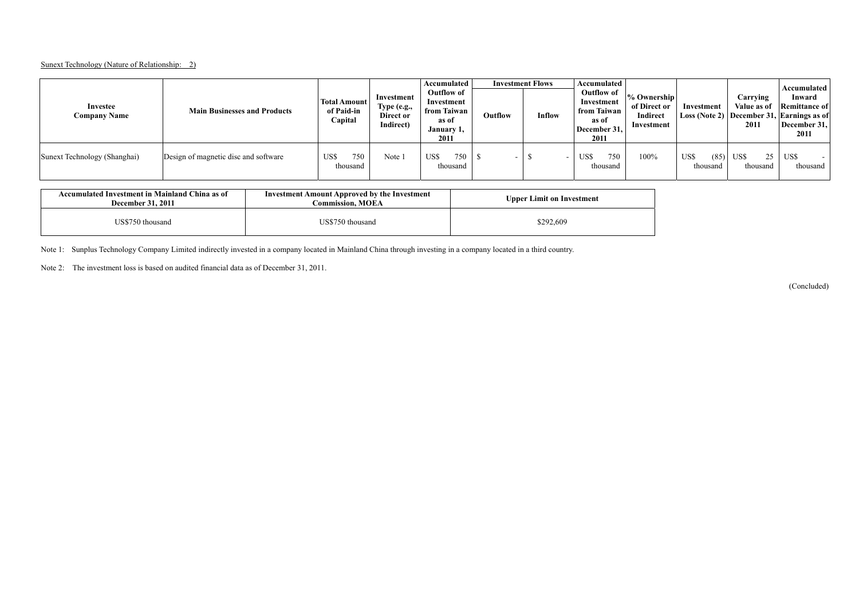#### Sunext Technology (Nature of Relationship: 2)

| Investee<br><b>Company Name</b> | <b>Main Businesses and Products</b>  | <b>Total Amount</b><br>of Paid-in<br>Capital | Investment<br>Type (e.g.,<br>Direct or<br>Indirect) | Accumulated<br>Outflow of<br>Investment<br>from Taiwan<br>as of<br>January 1,<br>2011 | Outflow | <b>Investment Flows</b><br>Inflow | Accumulated<br>Outflow of<br>Investment<br>from Taiwan<br>as of<br>December 31,<br>2011 | % Ownership<br>of Direct or<br>Indirect<br>Investment | Investment               | Carrying<br>Value as of<br>2011 | Accumulated<br>Inward<br><b>Remittance of</b><br>Loss (Note 2) December 31, Earnings as of<br>December 31,<br>2011 |
|---------------------------------|--------------------------------------|----------------------------------------------|-----------------------------------------------------|---------------------------------------------------------------------------------------|---------|-----------------------------------|-----------------------------------------------------------------------------------------|-------------------------------------------------------|--------------------------|---------------------------------|--------------------------------------------------------------------------------------------------------------------|
| Sunext Technology (Shanghai)    | Design of magnetic disc and software | 750<br>US\$<br>thousand                      | Note 1                                              | US\$<br>750<br>thousand                                                               |         |                                   | 750<br>US\$<br>thousand                                                                 | 100%                                                  | US\$<br>(85)<br>thousand | US\$<br>25<br>thousand          | US\$<br>thousand                                                                                                   |

| Accumulated Investment in Mainland China as of<br><b>December 31, 2011</b> | <b>Investment Amount Approved by the Investment</b><br><b>Commission, MOEA</b> | <b>Upper Limit on Investment</b> |
|----------------------------------------------------------------------------|--------------------------------------------------------------------------------|----------------------------------|
| US\$750 thousand                                                           | US\$750 thousand                                                               | \$292,609                        |

Note 1: Sunplus Technology Company Limited indirectly invested in a company located in Mainland China through investing in a company located in a third country.

Note 2: The investment loss is based on audited financial data as of December 31, 2011.

(Concluded)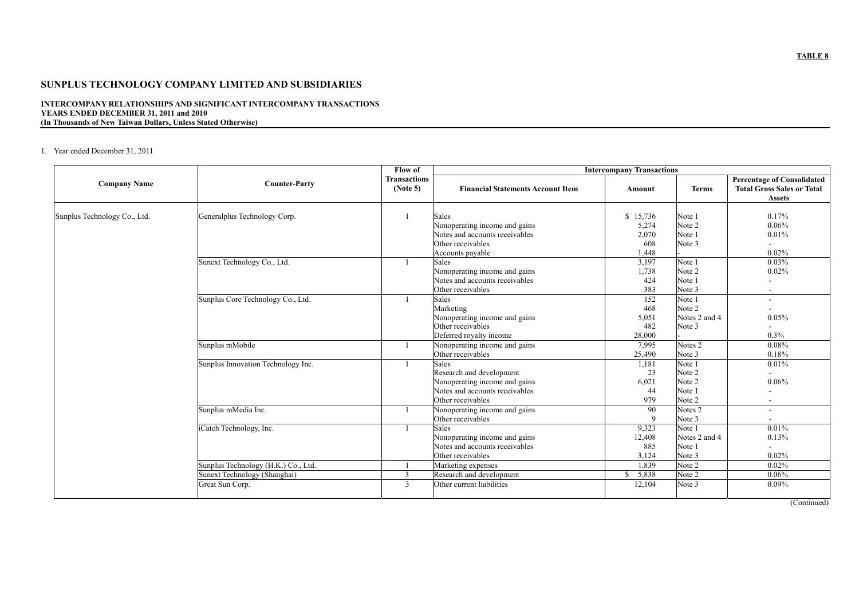#### **INTERCOMPANY RELATIONSHIPS AND SIGNIFICANT INTERCOMPANY TRANSACTIONS YEARS ENDED DECEMBER 31, 2011 and 2010 (In Thousands of New Taiwan Dollars, Unless Stated Otherwise)**

#### 1. Year ended December 31, 2011

|                              |                                                                     | Flow of                         | <b>Intercompany Transactions</b>                                                                                                 |                                            |                                                |                                                                                         |  |
|------------------------------|---------------------------------------------------------------------|---------------------------------|----------------------------------------------------------------------------------------------------------------------------------|--------------------------------------------|------------------------------------------------|-----------------------------------------------------------------------------------------|--|
| <b>Company Name</b>          | <b>Counter-Party</b>                                                | <b>Transactions</b><br>(Note 5) | <b>Financial Statements Account Item</b>                                                                                         | Amount                                     | <b>Terms</b>                                   | <b>Percentage of Consolidated</b><br><b>Total Gross Sales or Total</b><br><b>Assets</b> |  |
| Sunplus Technology Co., Ltd. | Generalplus Technology Corp.                                        |                                 | <b>Sales</b><br>Nonoperating income and gains<br>Notes and accounts receivables<br>Other receivables<br>Accounts payable         | \$15,736<br>5,274<br>2,070<br>608<br>1,448 | Note 1<br>Note 2<br>Note 1<br>Note 3           | 0.17%<br>0.06%<br>0.01%<br>0.02%                                                        |  |
|                              | Sunext Technology Co., Ltd.                                         |                                 | <b>Sales</b><br>Nonoperating income and gains<br>Notes and accounts receivables<br>Other receivables                             | 3,197<br>1,738<br>424<br>383               | Note 1<br>Note 2<br>Note 1<br>Note 3           | 0.03%<br>0.02%<br>٠                                                                     |  |
|                              | Sunplus Core Technology Co., Ltd.                                   |                                 | <b>Sales</b><br>Marketing<br>Nonoperating income and gains<br>Other receivables<br>Deferred royalty income                       | 152<br>468<br>5,051<br>482<br>28,000       | Note 1<br>Note 2<br>Notes 2 and 4<br>Note 3    | $\overline{\phantom{a}}$<br>0.05%<br>$\overline{\phantom{0}}$<br>0.3%                   |  |
|                              | Sunplus mMobile                                                     |                                 | Nonoperating income and gains<br>Other receivables                                                                               | 7,995<br>25,490                            | Notes 2<br>Note 3                              | 0.08%<br>0.18%                                                                          |  |
|                              | Sunplus Innovation Technology Inc.                                  |                                 | <b>Sales</b><br>Research and development<br>Nonoperating income and gains<br>Notes and accounts receivables<br>Other receivables | 1,181<br>23<br>6,021<br>44<br>979          | Note 1<br>Note 2<br>Note 2<br>Note 1<br>Note 2 | 0.01%<br>$\overline{a}$<br>0.06%                                                        |  |
|                              | Sunplus mMedia Inc.                                                 |                                 | Nonoperating income and gains<br>Other receivables                                                                               | 90<br>9                                    | Notes 2<br>Note 3                              |                                                                                         |  |
|                              | iCatch Technology, Inc.                                             |                                 | <b>Sales</b><br>Nonoperating income and gains<br>Notes and accounts receivables<br>Other receivables                             | 9,323<br>12,408<br>885<br>3,124            | Note 1<br>Notes 2 and 4<br>Note 1<br>Note 3    | 0.01%<br>0.13%<br>0.02%                                                                 |  |
|                              | Sunplus Technology (H.K.) Co., Ltd.<br>Sunext Technology (Shanghai) | 3                               | Marketing expenses<br>Research and development                                                                                   | 1,839<br>\$5,838                           | Note 2<br>Note 2                               | 0.02%<br>0.06%                                                                          |  |
|                              | Great Sun Corp.                                                     | $\overline{3}$                  | Other current liabilities                                                                                                        | 12,104                                     | Note 3                                         | $0.09\%$                                                                                |  |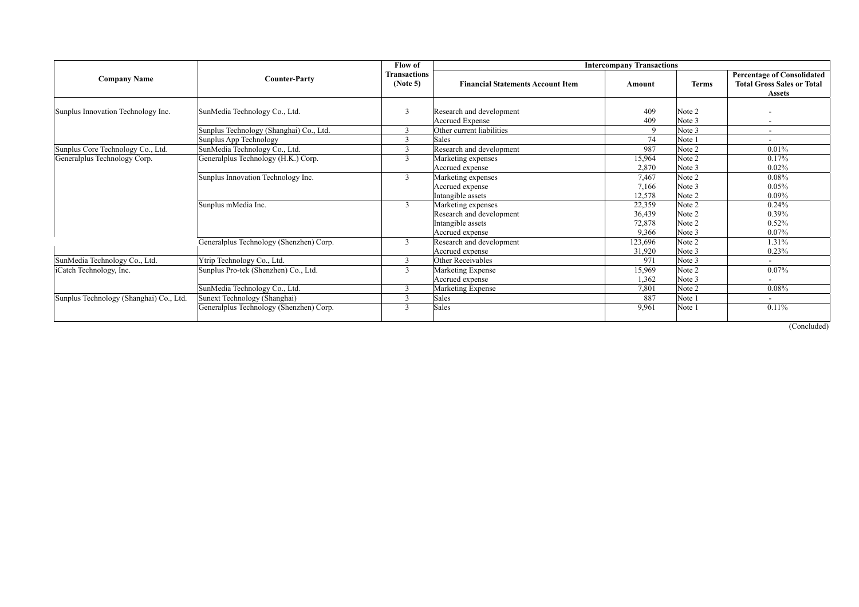|                                         |                                         | Flow of                         |                                                                     |                            |                            |                                                                                         |
|-----------------------------------------|-----------------------------------------|---------------------------------|---------------------------------------------------------------------|----------------------------|----------------------------|-----------------------------------------------------------------------------------------|
| <b>Company Name</b>                     | <b>Counter-Party</b>                    | <b>Transactions</b><br>(Note 5) | <b>Financial Statements Account Item</b>                            | Amount                     | <b>Terms</b>               | <b>Percentage of Consolidated</b><br><b>Total Gross Sales or Total</b><br><b>Assets</b> |
| Sunplus Innovation Technology Inc.      | SunMedia Technology Co., Ltd.           | 3                               | Research and development<br><b>Accrued Expense</b>                  | 409<br>409                 | Note 2<br>Note 3           |                                                                                         |
|                                         | Sunplus Technology (Shanghai) Co., Ltd. | 3                               | Other current liabilities                                           | $\mathbf{Q}$               | Note 3                     | $\sim$                                                                                  |
|                                         | Sunplus App Technology                  | $\mathcal{R}$                   | <b>Sales</b>                                                        | 74                         | Note 1                     |                                                                                         |
| Sunplus Core Technology Co., Ltd.       | SunMedia Technology Co., Ltd.           |                                 | Research and development                                            | 987                        | Note 2                     | 0.01%                                                                                   |
| Generalplus Technology Corp.            | Generalplus Technology (H.K.) Corp.     | 3                               | Marketing expenses<br>Accrued expense                               | 15,964<br>2,870            | Note 2<br>Note 3           | 0.17%<br>0.02%                                                                          |
|                                         | Sunplus Innovation Technology Inc.      | 3                               | Marketing expenses                                                  | 7,467                      | Note 2                     | 0.08%                                                                                   |
|                                         |                                         |                                 | Accrued expense<br>Intangible assets                                | 7,166<br>12,578            | Note 3<br>Note 2           | 0.05%<br>$0.09\%$                                                                       |
|                                         | Sunplus mMedia Inc.                     | $\overline{3}$                  | Marketing expenses<br>Research and development<br>Intangible assets | 22,359<br>36,439<br>72,878 | Note 2<br>Note 2<br>Note 2 | 0.24%<br>0.39%<br>0.52%                                                                 |
|                                         |                                         |                                 | Accrued expense                                                     | 9,366                      | Note 3                     | 0.07%                                                                                   |
|                                         | Generalplus Technology (Shenzhen) Corp. | $\overline{3}$                  | Research and development<br>Accrued expense                         | 123,696<br>31,920          | Note 2<br>Note 3           | 1.31%<br>0.23%                                                                          |
| SunMedia Technology Co., Ltd.           | Ytrip Technology Co., Ltd.              | $\overline{3}$                  | Other Receivables                                                   | 971                        | Note 3                     |                                                                                         |
| iCatch Technology, Inc.                 | Sunplus Pro-tek (Shenzhen) Co., Ltd.    | 3                               | Marketing Expense<br>Accrued expense                                | 15,969<br>1,362            | Note 2<br>Note 3           | 0.07%                                                                                   |
|                                         | SunMedia Technology Co., Ltd.           |                                 | Marketing Expense                                                   | 7,801                      | Note 2                     | 0.08%                                                                                   |
| Sunplus Technology (Shanghai) Co., Ltd. | Sunext Technology (Shanghai)            |                                 | Sales                                                               | 887                        | Note 1                     | $\sim$                                                                                  |
|                                         | Generalplus Technology (Shenzhen) Corp. |                                 | Sales                                                               | 9,961                      | Note 1                     | 0.11%                                                                                   |

(Concluded)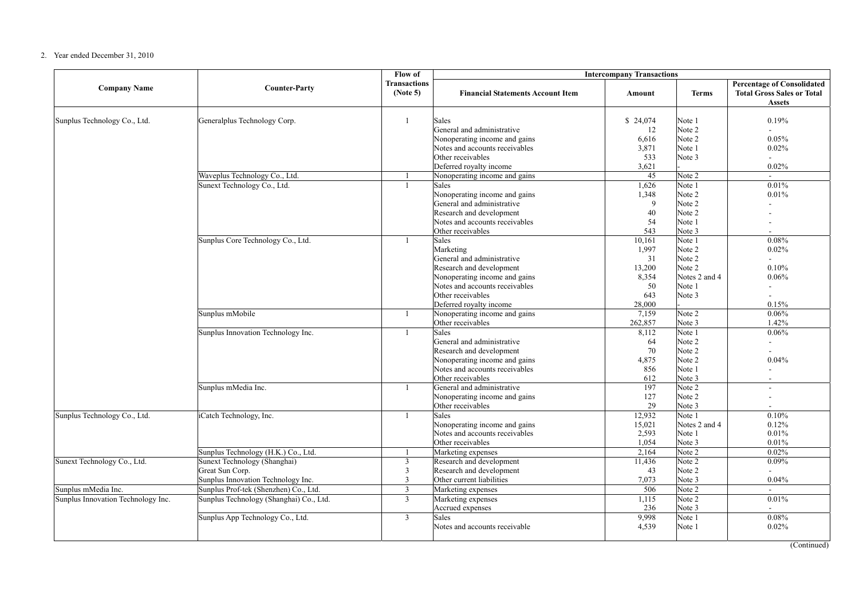#### 2. Year ended December 31, 2010

|                                    |                                                                                       | Flow of                                            | <b>Intercompany Transactions</b>                                                                                                                                                                       |                                                                 |                                                                           |                                                                                         |  |
|------------------------------------|---------------------------------------------------------------------------------------|----------------------------------------------------|--------------------------------------------------------------------------------------------------------------------------------------------------------------------------------------------------------|-----------------------------------------------------------------|---------------------------------------------------------------------------|-----------------------------------------------------------------------------------------|--|
| <b>Company Name</b>                | <b>Counter-Party</b>                                                                  | <b>Transactions</b><br>(Note 5)                    | <b>Financial Statements Account Item</b>                                                                                                                                                               | Amount                                                          | <b>Terms</b>                                                              | <b>Percentage of Consolidated</b><br><b>Total Gross Sales or Total</b><br><b>Assets</b> |  |
| Sunplus Technology Co., Ltd.       | Generalplus Technology Corp.                                                          | $\overline{1}$                                     | Sales<br>General and administrative<br>Nonoperating income and gains<br>Notes and accounts receivables<br>Other receivables<br>Deferred royalty income                                                 | \$24,074<br>12<br>6,616<br>3,871<br>533<br>3,621                | Note 1<br>Note 2<br>Note 2<br>Note 1<br>Note 3                            | 0.19%<br>0.05%<br>0.02%<br>0.02%                                                        |  |
|                                    | Waveplus Technology Co., Ltd.                                                         |                                                    | Nonoperating income and gains                                                                                                                                                                          | 45                                                              | Note 2                                                                    | $\mathcal{L}^{\pm}$                                                                     |  |
|                                    | Sunext Technology Co., Ltd.                                                           | $\overline{1}$                                     | Sales<br>Nonoperating income and gains<br>General and administrative<br>Research and development<br>Notes and accounts receivables<br>Other receivables                                                | 1,626<br>1,348<br>9<br>40<br>54<br>543                          | Note 1<br>Note 2<br>Note 2<br>Note 2<br>Note 1<br>Note 3                  | 0.01%<br>0.01%                                                                          |  |
|                                    | Sunplus Core Technology Co., Ltd.                                                     | $\mathbf{1}$                                       | <b>Sales</b><br>Marketing<br>General and administrative<br>Research and development<br>Nonoperating income and gains<br>Notes and accounts receivables<br>Other receivables<br>Deferred royalty income | 10,161<br>1,997<br>31<br>13,200<br>8,354<br>50<br>643<br>28,000 | Note 1<br>Note 2<br>Note 2<br>Note 2<br>Notes 2 and 4<br>Note 1<br>Note 3 | 0.08%<br>0.02%<br>$\overline{a}$<br>0.10%<br>0.06%<br>$\overline{a}$<br>0.15%           |  |
|                                    | Sunplus mMobile                                                                       |                                                    | Nonoperating income and gains<br>Other receivables                                                                                                                                                     | 7,159<br>262,857                                                | Note 2<br>Note 3                                                          | 0.06%<br>1.42%                                                                          |  |
|                                    | Sunplus Innovation Technology Inc.                                                    | $\overline{1}$                                     | Sales<br>General and administrative<br>Research and development<br>Nonoperating income and gains<br>Notes and accounts receivables<br>Other receivables                                                | 8,112<br>64<br>70<br>4,875<br>856<br>612                        | Note 1<br>Note 2<br>Note 2<br>Note 2<br>Note 1<br>Note 3                  | 0.06%<br>$\overline{a}$<br>0.04%                                                        |  |
|                                    | Sunplus mMedia Inc.                                                                   | $\mathbf{1}$                                       | General and administrative<br>Nonoperating income and gains<br>Other receivables                                                                                                                       | 197<br>127<br>29                                                | Note 2<br>Note 2<br>Note 3                                                | $\overline{a}$<br>$\overline{a}$                                                        |  |
| Sunplus Technology Co., Ltd.       | iCatch Technology, Inc.                                                               | $\overline{1}$                                     | Sales<br>Nonoperating income and gains<br>Notes and accounts receivables<br>Other receivables                                                                                                          | 12,932<br>15,021<br>2,593<br>1,054                              | Note 1<br>Notes 2 and 4<br>Note 1<br>Note 3                               | 0.10%<br>0.12%<br>0.01%<br>0.01%                                                        |  |
|                                    | Sunplus Technology (H.K.) Co., Ltd.                                                   |                                                    | Marketing expenses                                                                                                                                                                                     | 2,164                                                           | Note 2                                                                    | 0.02%                                                                                   |  |
| Sunext Technology Co., Ltd.        | Sunext Technology (Shanghai)<br>Great Sun Corp.<br>Sunplus Innovation Technology Inc. | $\overline{3}$<br>$\overline{3}$<br>$\overline{3}$ | Research and development<br>Research and development<br>Other current liabilities                                                                                                                      | 11,436<br>43<br>7,073                                           | Note 2<br>Note 2<br>Note 3                                                | 0.09%<br>0.04%                                                                          |  |
| Sunplus mMedia Inc.                | Sunplus Prof-tek (Shenzhen) Co., Ltd.                                                 | $\overline{3}$                                     | Marketing expenses                                                                                                                                                                                     | 506                                                             | Note 2                                                                    | $\overline{\phantom{a}}$                                                                |  |
| Sunplus Innovation Technology Inc. | Sunplus Technology (Shanghai) Co., Ltd.                                               | $\overline{3}$                                     | Marketing expenses<br>Accrued expenses                                                                                                                                                                 | 1,115<br>236                                                    | Note 2<br>Note 3                                                          | 0.01%                                                                                   |  |
|                                    | Sunplus App Technology Co., Ltd.                                                      | $\overline{3}$                                     | Sales<br>Notes and accounts receivable                                                                                                                                                                 | 9,998<br>4,539                                                  | Note 1<br>Note 1                                                          | 0.08%<br>0.02%                                                                          |  |